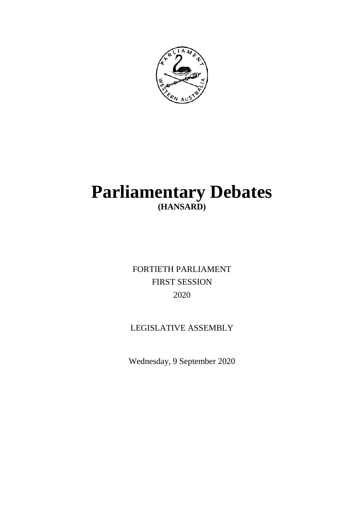

# **Parliamentary Debates (HANSARD)**

FORTIETH PARLIAMENT FIRST SESSION 2020

# LEGISLATIVE ASSEMBLY

Wednesday, 9 September 2020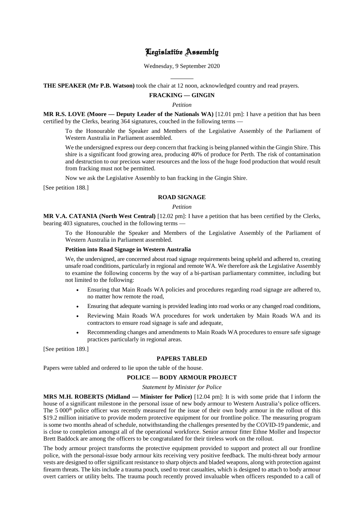# Legislative Assembly

Wednesday, 9 September 2020

 $\overline{a}$ **THE SPEAKER (Mr P.B. Watson)** took the chair at 12 noon, acknowledged country and read prayers.

# **FRACKING — GINGIN**

#### *Petition*

**MR R.S. LOVE (Moore — Deputy Leader of the Nationals WA)** [12.01 pm]: I have a petition that has been certified by the Clerks, bearing 364 signatures, couched in the following terms —

To the Honourable the Speaker and Members of the Legislative Assembly of the Parliament of Western Australia in Parliament assembled.

We the undersigned express our deep concern that fracking is being planned within the Gingin Shire. This shire is a significant food growing area, producing 40% of produce for Perth. The risk of contamination and destruction to our precious water resources and the loss of the huge food production that would result from fracking must not be permitted.

Now we ask the Legislative Assembly to ban fracking in the Gingin Shire.

[See petition 188.]

#### **ROAD SIGNAGE**

# *Petition*

**MR V.A. CATANIA (North West Central)** [12.02 pm]: I have a petition that has been certified by the Clerks, bearing 403 signatures, couched in the following terms —

To the Honourable the Speaker and Members of the Legislative Assembly of the Parliament of Western Australia in Parliament assembled.

#### **Petition into Road Signage in Western Australia**

We, the undersigned, are concerned about road signage requirements being upheld and adhered to, creating unsafe road conditions, particularly in regional and remote WA. We therefore ask the Legislative Assembly to examine the following concerns by the way of a bi-partisan parliamentary committee, including but not limited to the following:

- Ensuring that Main Roads WA policies and procedures regarding road signage are adhered to, no matter how remote the road,
- Ensuring that adequate warning is provided leading into road works or any changed road conditions,
- Reviewing Main Roads WA procedures for work undertaken by Main Roads WA and its contractors to ensure road signage is safe and adequate,
- Recommending changes and amendments to Main Roads WA procedures to ensure safe signage practices particularly in regional areas.

[See petition 189.]

# **PAPERS TABLED**

Papers were tabled and ordered to lie upon the table of the house.

# **POLICE — BODY ARMOUR PROJECT**

#### *Statement by Minister for Police*

**MRS M.H. ROBERTS (Midland — Minister for Police)** [12.04 pm]: It is with some pride that I inform the house of a significant milestone in the personal issue of new body armour to Western Australia's police officers. The 5 000<sup>th</sup> police officer was recently measured for the issue of their own body armour in the rollout of this \$19.2 million initiative to provide modern protective equipment for our frontline police. The measuring program is some two months ahead of schedule, notwithstanding the challenges presented by the COVID-19 pandemic, and is close to completion amongst all of the operational workforce. Senior armour fitter Ethne Moller and Inspector Brett Baddock are among the officers to be congratulated for their tireless work on the rollout.

The body armour project transforms the protective equipment provided to support and protect all our frontline police, with the personal-issue body armour kits receiving very positive feedback. The multi-threat body armour vests are designed to offer significant resistance to sharp objects and bladed weapons, along with protection against firearm threats. The kits include a trauma pouch, used to treat casualties, which is designed to attach to body armour overt carriers or utility belts. The trauma pouch recently proved invaluable when officers responded to a call of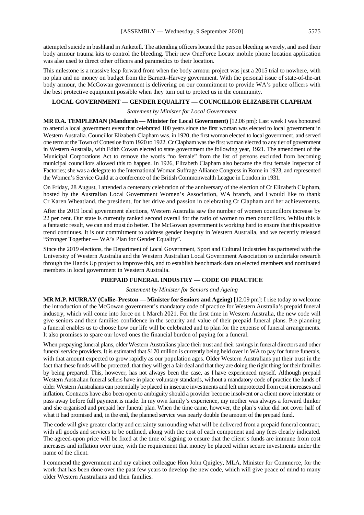attempted suicide in bushland in Anketell. The attending officers located the person bleeding severely, and used their body armour trauma kits to control the bleeding. Their new OneForce Locate mobile phone location application was also used to direct other officers and paramedics to their location.

This milestone is a massive leap forward from when the body armour project was just a 2015 trial to nowhere, with no plan and no money on budget from the Barnett–Harvey government. With the personal issue of state-of-the-art body armour, the McGowan government is delivering on our commitment to provide WA's police officers with the best protective equipment possible when they turn out to protect us in the community.

# **LOCAL GOVERNMENT — GENDER EQUALITY — COUNCILLOR ELIZABETH CLAPHAM**

#### *Statement by Minister for Local Government*

**MR D.A. TEMPLEMAN (Mandurah — Minister for Local Government)** [12.06 pm]: Last week I was honoured to attend a local government event that celebrated 100 years since the first woman was elected to local government in Western Australia. Councillor Elizabeth Clapham was, in 1920, the first woman elected to local government, and served one term at the Town of Cottesloe from 1920 to 1922. Cr Clapham was the first woman elected to any tier of government in Western Australia, with Edith Cowan elected to state government the following year, 1921. The amendment of the Municipal Corporations Act to remove the words "no female" from the list of persons excluded from becoming municipal councillors allowed this to happen. In 1926, Elizabeth Clapham also became the first female Inspector of Factories; she was a delegate to the International Woman Suffrage Alliance Congress in Rome in 1923, and represented the Women's Service Guild at a conference of the British Commonwealth League in London in 1931.

On Friday, 28 August, I attended a centenary celebration of the anniversary of the election of Cr Elizabeth Clapham, hosted by the Australian Local Government Women's Association, WA branch, and I would like to thank Cr Karen Wheatland, the president, for her drive and passion in celebrating Cr Clapham and her achievements.

After the 2019 local government elections, Western Australia saw the number of women councillors increase by 22 per cent. Our state is currently ranked second overall for the ratio of women to men councillors. Whilst this is a fantastic result, we can and must do better. The McGowan government is working hard to ensure that this positive trend continues. It is our commitment to address gender inequity in Western Australia, and we recently released "Stronger Together — WA's Plan for Gender Equality".

Since the 2019 elections, the Department of Local Government, Sport and Cultural Industries has partnered with the University of Western Australia and the Western Australian Local Government Association to undertake research through the Hands Up project to improve this, and to establish benchmark data on elected members and nominated members in local government in Western Australia.

# **PREPAID FUNERAL INDUSTRY — CODE OF PRACTICE**

#### *Statement by Minister for Seniors and Ageing*

**MR M.P. MURRAY (Collie–Preston — Minister for Seniors and Ageing)** [12.09 pm]: I rise today to welcome the introduction of the McGowan government's mandatory code of practice for Western Australia's prepaid funeral industry, which will come into force on 1 March 2021. For the first time in Western Australia, the new code will give seniors and their families confidence in the security and value of their prepaid funeral plans. Pre-planning a funeral enables us to choose how our life will be celebrated and to plan for the expense of funeral arrangements. It also promises to spare our loved ones the financial burden of paying for a funeral.

When prepaying funeral plans, older Western Australians place their trust and their savings in funeral directors and other funeral service providers. It is estimated that \$170 million is currently being held over in WA to pay for future funerals, with that amount expected to grow rapidly as our population ages. Older Western Australians put their trust in the fact that these funds will be protected, that they will get a fair deal and that they are doing the right thing for their families by being prepared. This, however, has not always been the case, as I have experienced myself. Although prepaid Western Australian funeral sellers have in place voluntary standards, without a mandatory code of practice the funds of older Western Australians can potentially be placed in insecure investments and left unprotected from cost increases and inflation. Contracts have also been open to ambiguity should a provider become insolvent or a client move interstate or pass away before full payment is made. In my own family's experience, my mother was always a forward thinker and she organised and prepaid her funeral plan. When the time came, however, the plan's value did not cover half of what it had promised and, in the end, the planned service was nearly double the amount of the prepaid fund.

The code will give greater clarity and certainty surrounding what will be delivered from a prepaid funeral contract, with all goods and services to be outlined, along with the cost of each component and any fees clearly indicated. The agreed-upon price will be fixed at the time of signing to ensure that the client's funds are immune from cost increases and inflation over time, with the requirement that money be placed within secure investments under the name of the client.

I commend the government and my cabinet colleague Hon John Quigley, MLA, Minister for Commerce, for the work that has been done over the past few years to develop the new code, which will give peace of mind to many older Western Australians and their families.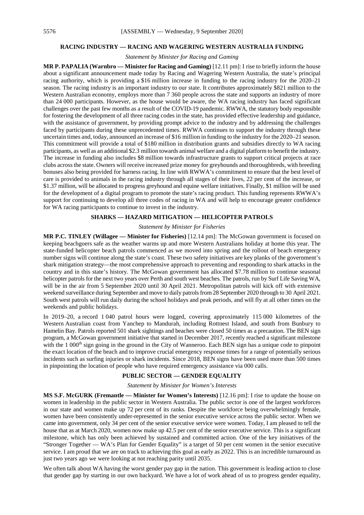#### **RACING INDUSTRY — RACING AND WAGERING WESTERN AUSTRALIA FUNDING**

*Statement by Minister for Racing and Gaming*

**MR P. PAPALIA (Warnbro — Minister for Racing and Gaming)** [12.11 pm]: I rise to briefly inform the house about a significant announcement made today by Racing and Wagering Western Australia, the state's principal racing authority, which is providing a \$16 million increase in funding to the racing industry for the 2020–21 season. The racing industry is an important industry to our state. It contributes approximately \$821 million to the Western Australian economy, employs more than 7 360 people across the state and supports an industry of more than 24 000 participants. However, as the house would be aware, the WA racing industry has faced significant challenges over the past few months as a result of the COVID-19 pandemic. RWWA, the statutory body responsible for fostering the development of all three racing codes in the state, has provided effective leadership and guidance, with the assistance of government, by providing prompt advice to the industry and by addressing the challenges faced by participants during these unprecedented times. RWWA continues to support the industry through these uncertain times and, today, announced an increase of \$16 million in funding to the industry for the 2020–21 season. This commitment will provide a total of \$180 million in distribution grants and subsidies directly to WA racing participants, as well as an additional \$2.3 million towards animal welfare and a digital platform to benefit the industry. The increase in funding also includes \$8 million towards infrastructure grants to support critical projects at race clubs across the state. Owners will receive increased prize money for greyhounds and thoroughbreds, with breeding bonuses also being provided for harness racing. In line with RWWA's commitment to ensure that the best level of care is provided to animals in the racing industry through all stages of their lives, 22 per cent of the increase, or \$1.37 million, will be allocated to progress greyhound and equine welfare initiatives. Finally, \$1 million will be used for the development of a digital program to promote the state's racing product. This funding represents RWWA's support for continuing to develop all three codes of racing in WA and will help to encourage greater confidence for WA racing participants to continue to invest in the industry.

# **SHARKS — HAZARD MITIGATION — HELICOPTER PATROLS**

#### *Statement by Minister for Fisheries*

**MR P.C. TINLEY (Willagee — Minister for Fisheries)** [12.14 pm]: The McGowan government is focused on keeping beachgoers safe as the weather warms up and more Western Australians holiday at home this year. The state-funded helicopter beach patrols commenced as we moved into spring and the rollout of beach emergency number signs will continue along the state's coast. These two safety initiatives are key planks of the government's shark mitigation strategy—the most comprehensive approach to preventing and responding to shark attacks in the country and in this state's history. The McGowan government has allocated \$7.78 million to continue seasonal helicopter patrols for the next two years over Perth and south west beaches. The patrols, run by Surf Life Saving WA, will be in the air from 5 September 2020 until 30 April 2021. Metropolitan patrols will kick off with extensive weekend surveillance during September and move to daily patrols from 28 September 2020 through to 30 April 2021. South west patrols will run daily during the school holidays and peak periods, and will fly at all other times on the weekends and public holidays.

In 2019–20, a record 1 040 patrol hours were logged, covering approximately 115 000 kilometres of the Western Australian coast from Yanchep to Mandurah, including Rottnest Island, and south from Bunbury to Hamelin Bay. Patrols reported 501 shark sightings and beaches were closed 50 times as a precaution. The BEN sign program, a McGowan government initiative that started in December 2017, recently reached a significant milestone with the  $1\ 000$ <sup>th</sup> sign going in the ground in the City of Wanneroo. Each BEN sign has a unique code to pinpoint the exact location of the beach and to improve crucial emergency response times for a range of potentially serious incidents such as surfing injuries or shark incidents. Since 2018, BEN signs have been used more than 500 times in pinpointing the location of people who have required emergency assistance via 000 calls.

#### **PUBLIC SECTOR — GENDER EQUALITY**

#### *Statement by Minister for Women's Interests*

**MS S.F. McGURK (Fremantle — Minister for Women's Interests)** [12.16 pm]: I rise to update the house on women in leadership in the public sector in Western Australia. The public sector is one of the largest workforces in our state and women make up 72 per cent of its ranks. Despite the workforce being overwhelmingly female, women have been consistently under-represented in the senior executive service across the public sector. When we came into government, only 34 per cent of the senior executive service were women. Today, I am pleased to tell the house that as at March 2020, women now make up 42.5 per cent of the senior executive service. This is a significant milestone, which has only been achieved by sustained and committed action. One of the key initiatives of the "Stronger Together — WA's Plan for Gender Equality" is a target of 50 per cent women in the senior executive service. I am proud that we are on track to achieving this goal as early as 2022. This is an incredible turnaround as just two years ago we were looking at not reaching parity until 2035.

We often talk about WA having the worst gender pay gap in the nation. This government is leading action to close that gender gap by starting in our own backyard. We have a lot of work ahead of us to progress gender equality,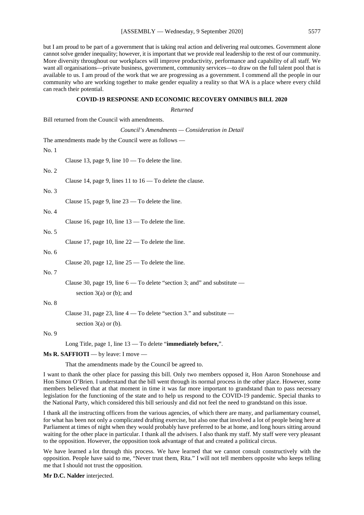but I am proud to be part of a government that is taking real action and delivering real outcomes. Government alone cannot solve gender inequality; however, it is important that we provide real leadership to the rest of our community. More diversity throughout our workplaces will improve productivity, performance and capability of all staff. We want all organisations—private business, government, community services—to draw on the full talent pool that is available to us. I am proud of the work that we are progressing as a government. I commend all the people in our community who are working together to make gender equality a reality so that WA is a place where every child can reach their potential.

#### **COVID-19 RESPONSE AND ECONOMIC RECOVERY OMNIBUS BILL 2020**

*Returned*

Bill returned from the Council with amendments.

|                                                      | Council's Amendments - Consideration in Detail                               |  |  |
|------------------------------------------------------|------------------------------------------------------------------------------|--|--|
| The amendments made by the Council were as follows — |                                                                              |  |  |
| No. 1                                                |                                                                              |  |  |
|                                                      | Clause 13, page 9, line 10 - To delete the line.                             |  |  |
| No. 2                                                |                                                                              |  |  |
|                                                      | Clause 14, page 9, lines 11 to $16 -$ To delete the clause.                  |  |  |
| No. 3                                                |                                                                              |  |  |
|                                                      | Clause 15, page 9, line $23 -$ To delete the line.                           |  |  |
| No. 4                                                |                                                                              |  |  |
|                                                      | Clause 16, page 10, line $13 -$ To delete the line.                          |  |  |
| No. 5                                                |                                                                              |  |  |
|                                                      | Clause 17, page 10, line $22 -$ To delete the line.                          |  |  |
| No. $6$                                              |                                                                              |  |  |
|                                                      | Clause 20, page 12, line $25 -$ To delete the line.                          |  |  |
| No. 7                                                |                                                                              |  |  |
|                                                      | Clause 30, page 19, line $6 - To$ delete "section 3; and" and substitute $-$ |  |  |
|                                                      | section $3(a)$ or (b); and                                                   |  |  |
| No. 8                                                |                                                                              |  |  |
|                                                      | Clause 31, page 23, line $4 - To$ delete "section 3." and substitute $-$     |  |  |
|                                                      | section $3(a)$ or (b).                                                       |  |  |
| No. 9                                                |                                                                              |  |  |
|                                                      | Long Title, page 1, line $13 -$ To delete "immediately before,".             |  |  |

# **Ms R. SAFFIOTI** — by leave: I move —

That the amendments made by the Council be agreed to.

I want to thank the other place for passing this bill. Only two members opposed it, Hon Aaron Stonehouse and Hon Simon O'Brien. I understand that the bill went through its normal process in the other place. However, some members believed that at that moment in time it was far more important to grandstand than to pass necessary legislation for the functioning of the state and to help us respond to the COVID-19 pandemic. Special thanks to the National Party, which considered this bill seriously and did not feel the need to grandstand on this issue.

I thank all the instructing officers from the various agencies, of which there are many, and parliamentary counsel, for what has been not only a complicated drafting exercise, but also one that involved a lot of people being here at Parliament at times of night when they would probably have preferred to be at home, and long hours sitting around waiting for the other place in particular. I thank all the advisers. I also thank my staff. My staff were very pleasant to the opposition. However, the opposition took advantage of that and created a political circus.

We have learned a lot through this process. We have learned that we cannot consult constructively with the opposition. People have said to me, "Never trust them, Rita." I will not tell members opposite who keeps telling me that I should not trust the opposition.

**Mr D.C. Nalder** interjected.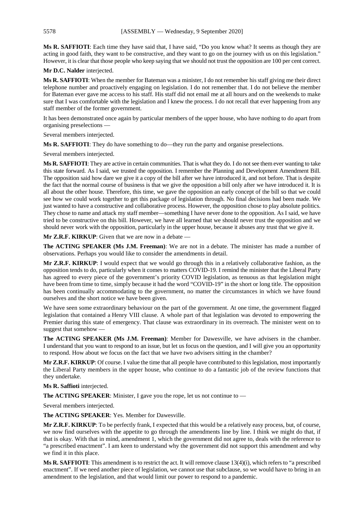**Ms R. SAFFIOTI**: Each time they have said that, I have said, "Do you know what? It seems as though they are acting in good faith, they want to be constructive, and they want to go on the journey with us on this legislation." However, it is clear that those people who keep saying that we should not trust the opposition are 100 per cent correct.

**Mr D.C. Nalder** interjected.

**Ms R. SAFFIOTI**: When the member for Bateman was a minister, I do not remember his staff giving me their direct telephone number and proactively engaging on legislation. I do not remember that. I do not believe the member for Bateman ever gave me access to his staff. His staff did not email me at all hours and on the weekends to make sure that I was comfortable with the legislation and I knew the process. I do not recall that ever happening from any staff member of the former government.

It has been demonstrated once again by particular members of the upper house, who have nothing to do apart from organising preselections —

Several members interjected.

**Ms R. SAFFIOTI**: They do have something to do—they run the party and organise preselections.

Several members interjected.

**Ms R. SAFFIOTI**: They are active in certain communities. That is what they do. I do not see them ever wanting to take this state forward. As I said, we trusted the opposition. I remember the Planning and Development Amendment Bill. The opposition said how dare we give it a copy of the bill after we have introduced it, and not before. That is despite the fact that the normal course of business is that we give the opposition a bill only after we have introduced it. It is all about the other house. Therefore, this time, we gave the opposition an early concept of the bill so that we could see how we could work together to get this package of legislation through. No final decisions had been made. We just wanted to have a constructive and collaborative process. However, the opposition chose to play absolute politics. They chose to name and attack my staff member—something I have never done to the opposition. As I said, we have tried to be constructive on this bill. However, we have all learned that we should never trust the opposition and we should never work with the opposition, particularly in the upper house, because it abuses any trust that we give it.

**Mr Z.R.F. KIRKUP**: Given that we are now in a debate —

**The ACTING SPEAKER (Ms J.M. Freeman)**: We are not in a debate. The minister has made a number of observations. Perhaps you would like to consider the amendments in detail.

**Mr Z.R.F. KIRKUP**: I would expect that we would go through this in a relatively collaborative fashion, as the opposition tends to do, particularly when it comes to matters COVID-19. I remind the minister that the Liberal Party has agreed to every piece of the government's priority COVID legislation, as tenuous as that legislation might have been from time to time, simply because it had the word "COVID-19" in the short or long title. The opposition has been continually accommodating to the government, no matter the circumstances in which we have found ourselves and the short notice we have been given.

We have seen some extraordinary behaviour on the part of the government. At one time, the government flagged legislation that contained a Henry VIII clause. A whole part of that legislation was devoted to empowering the Premier during this state of emergency. That clause was extraordinary in its overreach. The minister went on to suggest that somehow —

**The ACTING SPEAKER (Ms J.M. Freeman)**: Member for Dawesville, we have advisers in the chamber. I understand that you want to respond to an issue, but let us focus on the question, and I will give you an opportunity to respond. How about we focus on the fact that we have two advisers sitting in the chamber?

**Mr Z.R.F. KIRKUP**: Of course. I value the time that all people have contributed to this legislation, most importantly the Liberal Party members in the upper house, who continue to do a fantastic job of the review functions that they undertake.

# **Ms R. Saffioti** interjected.

**The ACTING SPEAKER**: Minister, I gave you the rope, let us not continue to —

Several members interjected.

**The ACTING SPEAKER**: Yes. Member for Dawesville.

**Mr Z.R.F. KIRKUP**: To be perfectly frank, I expected that this would be a relatively easy process, but, of course, we now find ourselves with the appetite to go through the amendments line by line. I think we might do that, if that is okay. With that in mind, amendment 1, which the government did not agree to, deals with the reference to "a prescribed enactment". I am keen to understand why the government did not support this amendment and why we find it in this place.

**Ms R. SAFFIOTI:** This amendment is to restrict the act. It will remove clause 13(4)(i), which refers to "a prescribed enactment". If we need another piece of legislation, we cannot use that subclause, so we would have to bring in an amendment to the legislation, and that would limit our power to respond to a pandemic.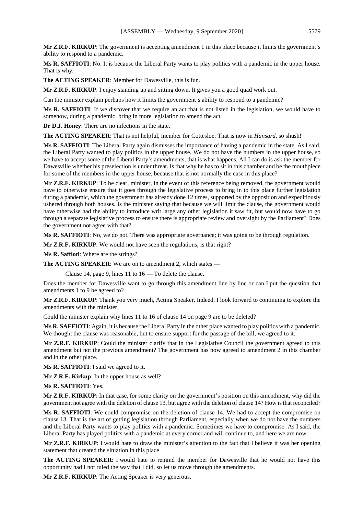**Mr Z.R.F. KIRKUP**: The government is accepting amendment 1 in this place because it limits the government's ability to respond to a pandemic.

**Ms R. SAFFIOTI**: No. It is because the Liberal Party wants to play politics with a pandemic in the upper house. That is why.

**The ACTING SPEAKER**: Member for Dawesville, this is fun.

**Mr Z.R.F. KIRKUP**: I enjoy standing up and sitting down. It gives you a good quad work out.

Can the minister explain perhaps how it limits the government's ability to respond to a pandemic?

**Ms R. SAFFIOTI**: If we discover that we require an act that is not listed in the legislation, we would have to somehow, during a pandemic, bring in more legislation to amend the act.

**Dr D.J. Honey**: There are no infections in the state.

**The ACTING SPEAKER**: That is not helpful, member for Cottesloe. That is now in *Hansard*, so shush!

**Ms R. SAFFIOTI**: The Liberal Party again dismisses the importance of having a pandemic in the state. As I said, the Liberal Party wanted to play politics in the upper house. We do not have the numbers in the upper house, so we have to accept some of the Liberal Party's amendments; that is what happens. All I can do is ask the member for Dawesville whether his preselection is under threat. Is that why he has to sit in this chamber and be the mouthpiece for some of the members in the upper house, because that is not normally the case in this place?

**Mr Z.R.F. KIRKUP**: To be clear, minister, in the event of this reference being removed, the government would have to otherwise ensure that it goes through the legislative process to bring in to this place further legislation during a pandemic, which the government has already done 12 times, supported by the opposition and expeditiously ushered through both houses. Is the minister saying that because we will limit the clause, the government would have otherwise had the ability to introduce writ large any other legislation it saw fit, but would now have to go through a separate legislative process to ensure there is appropriate review and oversight by the Parliament? Does the government not agree with that?

**Ms R. SAFFIOTI**: No, we do not. There was appropriate governance; it was going to be through regulation.

**Mr Z.R.F. KIRKUP**: We would not have seen the regulations; is that right?

**Ms R. Saffioti**: Where are the strings?

**The ACTING SPEAKER**: We are on to amendment 2, which states —

Clause 14, page 9, lines 11 to 16 — To delete the clause.

Does the member for Dawesville want to go through this amendment line by line or can I put the question that amendments 1 to 9 be agreed to?

**Mr Z.R.F. KIRKUP**: Thank you very much, Acting Speaker. Indeed, I look forward to continuing to explore the amendments with the minister.

Could the minister explain why lines 11 to 16 of clause 14 on page 9 are to be deleted?

**Ms R. SAFFIOTI**: Again, it is because the Liberal Party in the other place wanted to play politics with a pandemic. We thought the clause was reasonable, but to ensure support for the passage of the bill, we agreed to it.

**Mr Z.R.F. KIRKUP**: Could the minister clarify that in the Legislative Council the government agreed to this amendment but not the previous amendment? The government has now agreed to amendment 2 in this chamber and in the other place.

**Ms R. SAFFIOTI**: I said we agreed to it.

**Mr Z.R.F. Kirkup**: In the upper house as well?

**Ms R. SAFFIOTI**: Yes.

**Mr Z.R.F. KIRKUP**: In that case, for some clarity on the government's position on this amendment, why did the government not agree with the deletion of clause 13, but agree with the deletion of clause 14? How is that reconciled?

**Ms R. SAFFIOTI**: We could compromise on the deletion of clause 14. We had to accept the compromise on clause 13. That is the art of getting legislation through Parliament, especially when we do not have the numbers and the Liberal Party wants to play politics with a pandemic. Sometimes we have to compromise. As I said, the Liberal Party has played politics with a pandemic at every corner and will continue to, and here we are now.

**Mr Z.R.F. KIRKUP**: I would hate to draw the minister's attention to the fact that I believe it was her opening statement that created the situation in this place.

**The ACTING SPEAKER**: I would hate to remind the member for Dawesville that he would not have this opportunity had I not ruled the way that I did, so let us move through the amendments.

**Mr Z.R.F. KIRKUP**: The Acting Speaker is very generous.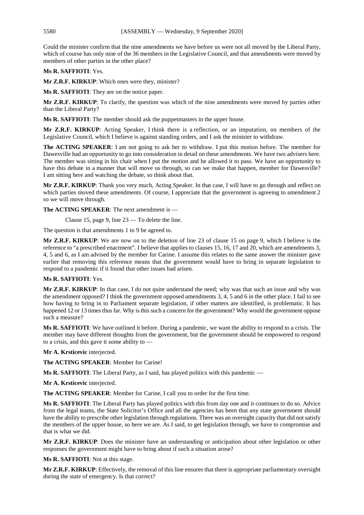Could the minister confirm that the nine amendments we have before us were not all moved by the Liberal Party, which of course has only nine of the 36 members in the Legislative Council, and that amendments were moved by members of other parties in the other place?

# **Ms R. SAFFIOTI**: Yes.

**Mr Z.R.F. KIRKUP**: Which ones were they, minister?

**Ms R. SAFFIOTI**: They are on the notice paper.

**Mr Z.R.F. KIRKUP**: To clarify, the question was which of the nine amendments were moved by parties other than the Liberal Party?

**Ms R. SAFFIOTI**: The member should ask the puppetmasters in the upper house.

**Mr Z.R.F. KIRKUP**: Acting Speaker, I think there is a reflection, or an imputation, on members of the Legislative Council, which I believe is against standing orders, and I ask the minister to withdraw.

**The ACTING SPEAKER**: I am not going to ask her to withdraw. I put this motion before. The member for Dawesville had an opportunity to go into consideration in detail on these amendments. We have two advisers here. The member was sitting in his chair when I put the motion and he allowed it to pass. We have an opportunity to have this debate in a manner that will move us through, so can we make that happen, member for Dawesville? I am sitting here and watching the debate, so think about that.

**Mr Z.R.F. KIRKUP**: Thank you very much, Acting Speaker. In that case, I will have to go through and reflect on which parties moved these amendments. Of course, I appreciate that the government is agreeing to amendment 2 so we will move through.

**The ACTING SPEAKER**: The next amendment is —

Clause 15, page 9, line 23 — To delete the line.

The question is that amendments 1 to 9 be agreed to.

**Mr Z.R.F. KIRKUP**: We are now on to the deletion of line 23 of clause 15 on page 9, which I believe is the reference to "a prescribed enactment". I believe that applies to clauses 15, 16, 17 and 20, which are amendments 3, 4, 5 and 6, as I am advised by the member for Carine. I assume this relates to the same answer the minister gave earlier that removing this reference means that the government would have to bring in separate legislation to respond to a pandemic if it found that other issues had arisen.

# **Ms R. SAFFIOTI**: Yes.

**Mr Z.R.F. KIRKUP**: In that case, I do not quite understand the need; why was that such an issue and why was the amendment opposed? I think the government opposed amendments 3, 4, 5 and 6 in the other place. I fail to see how having to bring in to Parliament separate legislation, if other matters are identified, is problematic. It has happened 12 or 13 times thus far. Why is this such a concern for the government? Why would the government oppose such a measure?

**Ms R. SAFFIOTI**: We have outlined it before. During a pandemic, we want the ability to respond to a crisis. The member may have different thoughts from the government, but the government should be empowered to respond to a crisis, and this gave it some ability to —

**Mr A. Krsticevic** interjected.

**The ACTING SPEAKER**: Member for Carine!

**Ms R. SAFFIOTI**: The Liberal Party, as I said, has played politics with this pandemic —

**Mr A. Krsticevic** interjected.

**The ACTING SPEAKER**: Member for Carine, I call you to order for the first time.

**Ms R. SAFFIOTI**: The Liberal Party has played politics with this from day one and it continues to do so. Advice from the legal teams, the State Solicitor's Office and all the agencies has been that any state government should have the ability to prescribe other legislation through regulations. There was an oversight capacity that did not satisfy the members of the upper house, so here we are. As I said, to get legislation through, we have to compromise and that is what we did.

**Mr Z.R.F. KIRKUP**: Does the minister have an understanding or anticipation about other legislation or other responses the government might have to bring about if such a situation arose?

**Ms R. SAFFIOTI**: Not at this stage.

**Mr Z.R.F. KIRKUP**: Effectively, the removal of this line ensures that there is appropriate parliamentary oversight during the state of emergency. Is that correct?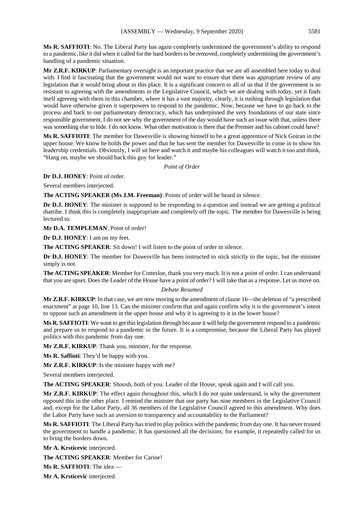**Ms R. SAFFIOTI**: No. The Liberal Party has again completely undermined the government's ability to respond to a pandemic, like it did when it called for the hard borders to be removed, completely undermining the government's handling of a pandemic situation.

**Mr Z.R.F. KIRKUP**: Parliamentary oversight is an important practice that we are all assembled here today to deal with. I find it fascinating that the government would not want to ensure that there was appropriate review of any legislation that it would bring about in this place. It is a significant concern to all of us that if the government is so resistant to agreeing with the amendments in the Legislative Council, which we are dealing with today, yet it finds itself agreeing with them in this chamber, where it has a vast majority, clearly, it is rushing through legislation that would have otherwise given it superpowers to respond to the pandemic. Now, because we have to go back to the process and back to our parliamentary democracy, which has underpinned the very foundations of our state since responsible government, I do not see why the government of the day would have such an issue with that, unless there was something else to hide. I do not know. What other motivation is there that the Premier and his cabinet could have?

**Ms R. SAFFIOTI**: The member for Dawesville is showing himself to be a great apprentice of Nick Goiran in the upper house. We know he holds the power and that he has sent the member for Dawesville to come in to show his leadership credentials. Obviously, I will sit here and watch it and maybe his colleagues will watch it too and think, "Hang on, maybe we should back this guy for leader."

*Point of Order*

**Dr D.J. HONEY**: Point of order.

Several members interjected.

**The ACTING SPEAKER (Ms J.M. Freeman)**: Points of order will be heard in silence.

**Dr D.J. HONEY**: The minister is supposed to be responding to a question and instead we are getting a political diatribe. I think this is completely inappropriate and completely off the topic. The member for Dawesville is being lectured to.

**Mr D.A. TEMPLEMAN**: Point of order!

**Dr D.J. HONEY**: I am on my feet.

**The ACTING SPEAKER**: Sit down! I will listen to the point of order in silence.

**Dr D.J. HONEY**: The member for Dawesville has been instructed to stick strictly to the topic, but the minister simply is not.

**The ACTING SPEAKER**: Member for Cottesloe, thank you very much. It is not a point of order. I can understand that you are upset. Does the Leader of the House have a point of order? I will take that as a response. Let us move on.

#### *Debate Resumed*

**Mr Z.R.F. KIRKUP**: In that case, we are now moving to the amendment of clause 16—the deletion of "a prescribed enactment" at page 10, line 13. Can the minister confirm that and again confirm why it is the government's intent to oppose such an amendment in the upper house and why it is agreeing to it in the lower house?

**Ms R. SAFFIOTI**: We want to get this legislation through because it will help the government respond to a pandemic and prepare us to respond to a pandemic in the future. It is a compromise, because the Liberal Party has played politics with this pandemic from day one.

**Mr Z.R.F. KIRKUP**: Thank you, minister, for the response.

**Ms R. Saffioti**: They'd be happy with you.

**Mr Z.R.F. KIRKUP**: Is the minister happy with me?

Several members interjected.

**The ACTING SPEAKER**: Shoosh, both of you. Leader of the House, speak again and I will call you.

**Mr Z.R.F. KIRKUP**: The effect again throughout this, which I do not quite understand, is why the government opposed this in the other place. I remind the minister that our party has nine members in the Legislative Council and, except for the Labor Party, all 36 members of the Legislative Council agreed to this amendment. Why does the Labor Party have such an aversion to transparency and accountability to the Parliament?

**Ms R. SAFFIOTI**: The Liberal Party has tried to play politics with the pandemic from day one. It has never trusted the government to handle a pandemic. It has questioned all the decisions; for example, it repeatedly called for us to bring the borders down.

**Mr A. Krsticevic** interjected.

**The ACTING SPEAKER**: Member for Carine!

**Ms R. SAFFIOTI**: The idea —

**Mr A. Krsticevic** interjected.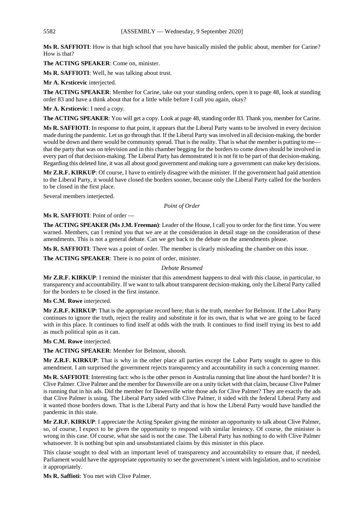**Ms R. SAFFIOTI**: How is that high school that you have basically misled the public about, member for Carine? How is that?

**The ACTING SPEAKER**: Come on, minister.

**Ms R. SAFFIOTI**: Well, he was talking about trust.

**Mr A. Krsticevic** interjected.

**The ACTING SPEAKER**: Member for Carine, take out your standing orders, open it to page 48, look at standing order 83 and have a think about that for a little while before I call you again, okay?

**Mr A. Krsticevic**: I need a copy.

**The ACTING SPEAKER**: You will get a copy. Look at page 48, standing order 83. Thank you, member for Carine.

**Ms R. SAFFIOTI**: In response to that point, it appears that the Liberal Party wants to be involved in every decision made during the pandemic. Let us go through that. If the Liberal Party was involved in all decision-making, the border would be down and there would be community spread. That is the reality. That is what the member is putting to me that the party that was on television and in this chamber begging for the borders to come down should be involved in every part of that decision-making. The Liberal Party has demonstrated it is not fit to be part of that decision-making. Regarding this deleted line, it was all about good government and making sure a government can make key decisions.

**Mr Z.R.F. KIRKUP**: Of course, I have to entirely disagree with the minister. If the government had paid attention to the Liberal Party, it would have closed the borders sooner, because only the Liberal Party called for the borders to be closed in the first place.

Several members interjected.

# *Point of Order*

# **Ms R. SAFFIOTI**: Point of order —

**The ACTING SPEAKER (Ms J.M. Freeman)**: Leader of the House, I call you to order for the first time. You were warned. Members, can I remind you that we are at the consideration in detail stage on the consideration of these amendments. This is not a general debate. Can we get back to the debate on the amendments please.

**Ms R. SAFFIOTI**: There was a point of order. The member is clearly misleading the chamber on this issue.

**The ACTING SPEAKER**: There is no point of order, minister.

#### *Debate Resumed*

**Mr Z.R.F. KIRKUP**: I remind the minister that this amendment happens to deal with this clause, in particular, to transparency and accountability. If we want to talk about transparent decision-making, only the Liberal Party called for the borders to be closed in the first instance.

#### **Ms C.M. Rowe** interjected.

**Mr Z.R.F. KIRKUP**: That is the appropriate record here; that is the truth, member for Belmont. If the Labor Party continues to ignore the truth, reject the reality and substitute it for its own, that is what we are going to be faced with in this place. It continues to find itself at odds with the truth. It continues to find itself trying its best to add as much political spin as it can.

**Ms C.M. Rowe** interjected.

**The ACTING SPEAKER**: Member for Belmont, shoosh.

**Mr Z.R.F. KIRKUP**: That is why in the other place all parties except the Labor Party sought to agree to this amendment. I am surprised the government rejects transparency and accountability in such a concerning manner.

**Ms R. SAFFIOTI**: Interesting fact: who is the other person in Australia running that line about the hard border? It is Clive Palmer. Clive Palmer and the member for Dawesville are on a unity ticket with that claim, because Clive Palmer is running that in his ads. Did the member for Dawesville write those ads for Clive Palmer? They are exactly the ads that Clive Palmer is using. The Liberal Party sided with Clive Palmer, it sided with the federal Liberal Party and it wanted those borders down. That is the Liberal Party and that is how the Liberal Party would have handled the pandemic in this state.

**Mr Z.R.F. KIRKUP**: I appreciate the Acting Speaker giving the minister an opportunity to talk about Clive Palmer, so, of course, I expect to be given the opportunity to respond with similar leniency. Of course, the minister is wrong in this case. Of course, what she said is not the case. The Liberal Party has nothing to do with Clive Palmer whatsoever. It is nothing but spin and unsubstantiated claims by this minister in this place.

This clause sought to deal with an important level of transparency and accountability to ensure that, if needed, Parliament would have the appropriate opportunity to see the government's intent with legislation, and to scrutinise it appropriately.

**Ms R. Saffioti**: You met with Clive Palmer.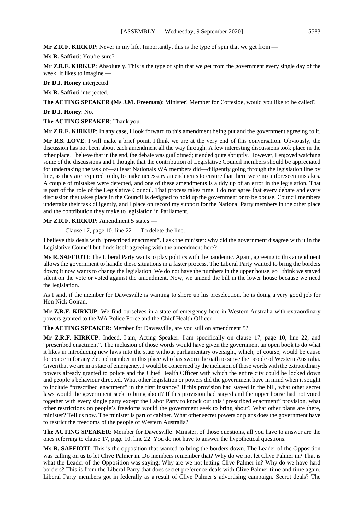**Mr Z.R.F. KIRKUP**: Never in my life. Importantly, this is the type of spin that we get from —

**Ms R. Saffioti**: You're sure?

**Mr Z.R.F. KIRKUP**: Absolutely. This is the type of spin that we get from the government every single day of the week. It likes to imagine —

**Dr D.J. Honey** interjected.

**Ms R. Saffioti** interjected.

**The ACTING SPEAKER (Ms J.M. Freeman)**: Minister! Member for Cottesloe, would you like to be called?

**Dr D.J. Honey**: No.

**The ACTING SPEAKER**: Thank you.

**Mr Z.R.F. KIRKUP**: In any case, I look forward to this amendment being put and the government agreeing to it.

**Mr R.S. LOVE**: I will make a brief point. I think we are at the very end of this conversation. Obviously, the discussion has not been about each amendment all the way through. A few interesting discussions took place in the other place. I believe that in the end, the debate was guillotined; it ended quite abruptly. However, I enjoyed watching some of the discussions and I thought that the contribution of Legislative Council members should be appreciated for undertaking the task of—at least Nationals WA members did—diligently going through the legislation line by line, as they are required to do, to make necessary amendments to ensure that there were no unforeseen mistakes. A couple of mistakes were detected, and one of these amendments is a tidy up of an error in the legislation. That is part of the role of the Legislative Council. That process takes time. I do not agree that every debate and every discussion that takes place in the Council is designed to hold up the government or to be obtuse. Council members undertake their task diligently, and I place on record my support for the National Party members in the other place and the contribution they make to legislation in Parliament.

**Mr Z.R.F. KIRKUP**: Amendment 5 states —

Clause 17, page 10, line  $22 - To$  delete the line.

I believe this deals with "prescribed enactment". I ask the minister: why did the government disagree with it in the Legislative Council but finds itself agreeing with the amendment here?

**Ms R. SAFFIOTI**: The Liberal Party wants to play politics with the pandemic. Again, agreeing to this amendment allows the government to handle these situations in a faster process. The Liberal Party wanted to bring the borders down; it now wants to change the legislation. We do not have the numbers in the upper house, so I think we stayed silent on the vote or voted against the amendment. Now, we amend the bill in the lower house because we need the legislation.

As I said, if the member for Dawesville is wanting to shore up his preselection, he is doing a very good job for Hon Nick Goiran.

**Mr Z.R.F. KIRKUP**: We find ourselves in a state of emergency here in Western Australia with extraordinary powers granted to the WA Police Force and the Chief Health Officer —

**The ACTING SPEAKER**: Member for Dawesville, are you still on amendment 5?

**Mr Z.R.F. KIRKUP**: Indeed, I am, Acting Speaker. I am specifically on clause 17, page 10, line 22, and "prescribed enactment". The inclusion of those words would have given the government an open book to do what it likes in introducing new laws into the state without parliamentary oversight, which, of course, would be cause for concern for any elected member in this place who has sworn the oath to serve the people of Western Australia. Given that we are in a state of emergency, I would be concerned by the inclusion of those words with the extraordinary powers already granted to police and the Chief Health Officer with which the entire city could be locked down and people's behaviour directed. What other legislation or powers did the government have in mind when it sought to include "prescribed enactment" in the first instance? If this provision had stayed in the bill, what other secret laws would the government seek to bring about? If this provision had stayed and the upper house had not voted together with every single party except the Labor Party to knock out this "prescribed enactment" provision, what other restrictions on people's freedoms would the government seek to bring about? What other plans are there, minister? Tell us now. The minister is part of cabinet. What other secret powers or plans does the government have to restrict the freedoms of the people of Western Australia?

**The ACTING SPEAKER**: Member for Dawesville! Minister, of those questions, all you have to answer are the ones referring to clause 17, page 10, line 22. You do not have to answer the hypothetical questions.

**Ms R. SAFFIOTI**: This is the opposition that wanted to bring the borders down. The Leader of the Opposition was calling on us to let Clive Palmer in. Do members remember that? Why do we not let Clive Palmer in? That is what the Leader of the Opposition was saying: Why are we not letting Clive Palmer in? Why do we have hard borders? This is from the Liberal Party that does secret preference deals with Clive Palmer time and time again. Liberal Party members got in federally as a result of Clive Palmer's advertising campaign. Secret deals? The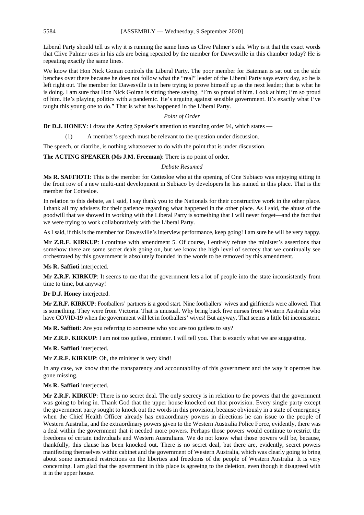Liberal Party should tell us why it is running the same lines as Clive Palmer's ads. Why is it that the exact words that Clive Palmer uses in his ads are being repeated by the member for Dawesville in this chamber today? He is repeating exactly the same lines.

We know that Hon Nick Goiran controls the Liberal Party. The poor member for Bateman is sat out on the side benches over there because he does not follow what the "real" leader of the Liberal Party says every day, so he is left right out. The member for Dawesville is in here trying to prove himself up as the next leader; that is what he is doing. I am sure that Hon Nick Goiran is sitting there saying, "I'm so proud of him. Look at him; I'm so proud of him. He's playing politics with a pandemic. He's arguing against sensible government. It's exactly what I've taught this young one to do." That is what has happened in the Liberal Party.

#### *Point of Order*

**Dr D.J. HONEY**: I draw the Acting Speaker's attention to standing order 94, which states —

(1) A member's speech must be relevant to the question under discussion.

The speech, or diatribe, is nothing whatsoever to do with the point that is under discussion.

**The ACTING SPEAKER (Ms J.M. Freeman)**: There is no point of order.

#### *Debate Resumed*

**Ms R. SAFFIOTI**: This is the member for Cottesloe who at the opening of One Subiaco was enjoying sitting in the front row of a new multi-unit development in Subiaco by developers he has named in this place. That is the member for Cottesloe.

In relation to this debate, as I said, I say thank you to the Nationals for their constructive work in the other place. I thank all my advisers for their patience regarding what happened in the other place. As I said, the abuse of the goodwill that we showed in working with the Liberal Party is something that I will never forget—and the fact that we were trying to work collaboratively with the Liberal Party.

As I said, if this is the member for Dawesville's interview performance, keep going! I am sure he will be very happy.

**Mr Z.R.F. KIRKUP**: I continue with amendment 5. Of course, I entirely refute the minister's assertions that somehow there are some secret deals going on, but we know the high level of secrecy that we continually see orchestrated by this government is absolutely founded in the words to be removed by this amendment.

**Ms R. Saffioti** interjected.

**Mr Z.R.F. KIRKUP**: It seems to me that the government lets a lot of people into the state inconsistently from time to time, but anyway!

#### **Dr D.J. Honey** interjected.

**Mr Z.R.F. KIRKUP**: Footballers' partners is a good start. Nine footballers' wives and girlfriends were allowed. That is something. They were from Victoria. That is unusual. Why bring back five nurses from Western Australia who have COVID-19 when the government will let in footballers' wives! But anyway. That seems a little bit inconsistent.

**Ms R. Saffioti**: Are you referring to someone who you are too gutless to say?

**Mr Z.R.F. KIRKUP**: I am not too gutless, minister. I will tell you. That is exactly what we are suggesting.

**Ms R. Saffioti** interjected.

**Mr Z.R.F. KIRKUP**: Oh, the minister is very kind!

In any case, we know that the transparency and accountability of this government and the way it operates has gone missing.

#### **Ms R. Saffioti** interjected.

**Mr Z.R.F. KIRKUP**: There is no secret deal. The only secrecy is in relation to the powers that the government was going to bring in. Thank God that the upper house knocked out that provision. Every single party except the government party sought to knock out the words in this provision, because obviously in a state of emergency when the Chief Health Officer already has extraordinary powers in directions he can issue to the people of Western Australia, and the extraordinary powers given to the Western Australia Police Force, evidently, there was a deal within the government that it needed more powers. Perhaps those powers would continue to restrict the freedoms of certain individuals and Western Australians. We do not know what those powers will be, because, thankfully, this clause has been knocked out. There is no secret deal, but there are, evidently, secret powers manifesting themselves within cabinet and the government of Western Australia, which was clearly going to bring about some increased restrictions on the liberties and freedoms of the people of Western Australia. It is very concerning. I am glad that the government in this place is agreeing to the deletion, even though it disagreed with it in the upper house.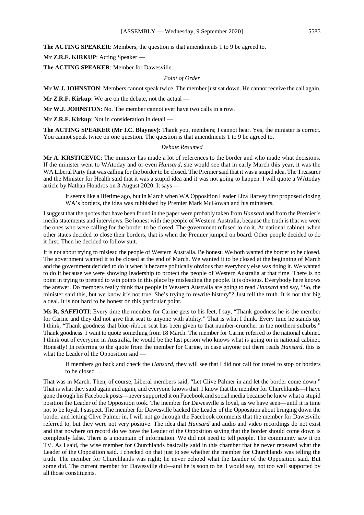**The ACTING SPEAKER**: Members, the question is that amendments 1 to 9 be agreed to.

**Mr Z.R.F. KIRKUP**: Acting Speaker —

**The ACTING SPEAKER**: Member for Dawesville.

# *Point of Order*

**Mr W.J. JOHNSTON**: Members cannot speak twice. The member just sat down. He cannot receive the call again.

**Mr Z.R.F. Kirkup**: We are on the debate, not the actual —

**Mr W.J. JOHNSTON**: No. The member cannot ever have two calls in a row.

**Mr Z.R.F. Kirkup**: Not in consideration in detail —

**The ACTING SPEAKER (Mr I.C. Blayney)**: Thank you, members; I cannot hear. Yes, the minister is correct. You cannot speak twice on one question. The question is that amendments 1 to 9 be agreed to.

#### *Debate Resumed*

**Mr A. KRSTICEVIC**: The minister has made a lot of references to the border and who made what decisions. If the minister went to WAtoday and or even *Hansard*, she would see that in early March this year, it was the WA Liberal Party that was calling for the border to be closed. The Premier said that it was a stupid idea. The Treasurer and the Minister for Health said that it was a stupid idea and it was not going to happen. I will quote a WAtoday article by Nathan Hondros on 3 August 2020. It says —

It seems like a lifetime ago, but in March when WA Opposition Leader Liza Harvey first proposed closing WA's borders, the idea was rubbished by Premier Mark McGowan and his ministers.

I suggest that the quotes that have been found in the paper were probably taken from *Hansard* and from the Premier's media statements and interviews. Be honest with the people of Western Australia, because the truth is that we were the ones who were calling for the border to be closed. The government refused to do it. At national cabinet, when other states decided to close their borders, that is when the Premier jumped on board. Other people decided to do it first. Then he decided to follow suit.

It is not about trying to mislead the people of Western Australia. Be honest. We both wanted the border to be closed. The government wanted it to be closed at the end of March. We wanted it to be closed at the beginning of March and the government decided to do it when it became politically obvious that everybody else was doing it. We wanted to do it because we were showing leadership to protect the people of Western Australia at that time. There is no point in trying to pretend to win points in this place by misleading the people. It is obvious. Everybody here knows the answer. Do members really think that people in Western Australia are going to read *Hansard* and say, "So, the minister said this, but we know it's not true. She's trying to rewrite history"? Just tell the truth. It is not that big a deal. It is not hard to be honest on this particular point.

**Ms R. SAFFIOTI**: Every time the member for Carine gets to his feet, I say, "Thank goodness he is the member for Carine and they did not give that seat to anyone with ability." That is what I think. Every time he stands up, I think, "Thank goodness that blue-ribbon seat has been given to that number-cruncher in the northern suburbs." Thank goodness. I want to quote something from 18 March. The member for Carine referred to the national cabinet. I think out of everyone in Australia, he would be the last person who knows what is going on in national cabinet. Honestly! In referring to the quote from the member for Carine, in case anyone out there reads *Hansard*, this is what the Leader of the Opposition said —

If members go back and check the *Hansard*, they will see that I did not call for travel to stop or borders to be closed …

That was in March. Then, of course, Liberal members said, "Let Clive Palmer in and let the border come down." That is what they said again and again, and everyone knows that. I know that the member for Churchlands—I have gone through his Facebook posts—never supported it on Facebook and social media because he knew what a stupid position the Leader of the Opposition took. The member for Dawesville is loyal, as we have seen—until it is time not to be loyal, I suspect. The member for Dawesville backed the Leader of the Opposition about bringing down the border and letting Clive Palmer in. I will not go through the Facebook comments that the member for Dawesville referred to, but they were not very positive. The idea that *Hansard* and audio and video recordings do not exist and that nowhere on record do we have the Leader of the Opposition saying that the border should come down is completely false. There is a mountain of information. We did not need to tell people. The community saw it on TV. As I said, the wise member for Churchlands basically said in this chamber that he never repeated what the Leader of the Opposition said. I checked on that just to see whether the member for Churchlands was telling the truth. The member for Churchlands was right; he never echoed what the Leader of the Opposition said. But some did. The current member for Dawesville did—and he is soon to be, I would say, not too well supported by all those constituents.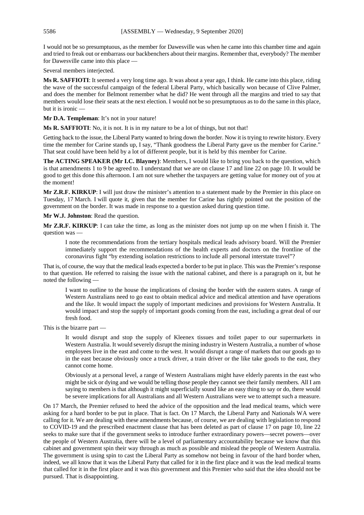I would not be so presumptuous, as the member for Dawesville was when he came into this chamber time and again and tried to freak out or embarrass our backbenchers about their margins. Remember that, everybody? The member for Dawesville came into this place —

Several members interjected.

**Ms R. SAFFIOTI**: It seemed a very long time ago. It was about a year ago, I think. He came into this place, riding the wave of the successful campaign of the federal Liberal Party, which basically won because of Clive Palmer, and does the member for Belmont remember what he did? He went through all the margins and tried to say that members would lose their seats at the next election. I would not be so presumptuous as to do the same in this place, but it is ironic —

**Mr D.A. Templeman**: It's not in your nature!

**Ms R. SAFFIOTI**: No, it is not. It is in my nature to be a lot of things, but not that!

Getting back to the issue, the Liberal Party wanted to bring down the border. Now it is trying to rewrite history. Every time the member for Carine stands up, I say, "Thank goodness the Liberal Party gave us the member for Carine." That seat could have been held by a lot of different people, but it is held by this member for Carine.

**The ACTING SPEAKER (Mr I.C. Blayney)**: Members, I would like to bring you back to the question, which is that amendments 1 to 9 be agreed to. I understand that we are on clause 17 and line 22 on page 10. It would be good to get this done this afternoon. I am not sure whether the taxpayers are getting value for money out of you at the moment!

**Mr Z.R.F. KIRKUP**: I will just draw the minister's attention to a statement made by the Premier in this place on Tuesday, 17 March. I will quote it, given that the member for Carine has rightly pointed out the position of the government on the border. It was made in response to a question asked during question time.

**Mr W.J. Johnston**: Read the question.

**Mr Z.R.F. KIRKUP**: I can take the time, as long as the minister does not jump up on me when I finish it. The question was —

I note the recommendations from the tertiary hospitals medical leads advisory board. Will the Premier immediately support the recommendations of the health experts and doctors on the frontline of the coronavirus fight "by extending isolation restrictions to include all personal interstate travel"?

That is, of course, the way that the medical leads expected a border to be put in place. This was the Premier's response to that question. He referred to raising the issue with the national cabinet, and there is a paragraph on it, but he noted the following —

I want to outline to the house the implications of closing the border with the eastern states. A range of Western Australians need to go east to obtain medical advice and medical attention and have operations and the like. It would impact the supply of important medicines and provisions for Western Australia. It would impact and stop the supply of important goods coming from the east, including a great deal of our fresh food.

This is the bizarre part —

It would disrupt and stop the supply of Kleenex tissues and toilet paper to our supermarkets in Western Australia. It would severely disrupt the mining industry in Western Australia, a number of whose employees live in the east and come to the west. It would disrupt a range of markets that our goods go to in the east because obviously once a truck driver, a train driver or the like take goods to the east, they cannot come home.

Obviously at a personal level, a range of Western Australians might have elderly parents in the east who might be sick or dying and we would be telling those people they cannot see their family members. All I am saying to members is that although it might superficially sound like an easy thing to say or do, there would be severe implications for all Australians and all Western Australians were we to attempt such a measure.

On 17 March, the Premier refused to heed the advice of the opposition and the lead medical teams, which were asking for a hard border to be put in place. That is fact. On 17 March, the Liberal Party and Nationals WA were calling for it. We are dealing with these amendments because, of course, we are dealing with legislation to respond to COVID-19 and the prescribed enactment clause that has been deleted as part of clause 17 on page 10, line 22 seeks to make sure that if the government seeks to introduce further extraordinary powers—secret powers—over the people of Western Australia, there will be a level of parliamentary accountability because we know that this cabinet and government spin their way through as much as possible and mislead the people of Western Australia. The government is using spin to cast the Liberal Party as somehow not being in favour of the hard border when, indeed, we all know that it was the Liberal Party that called for it in the first place and it was the lead medical teams that called for it in the first place and it was this government and this Premier who said that the idea should not be pursued. That is disappointing.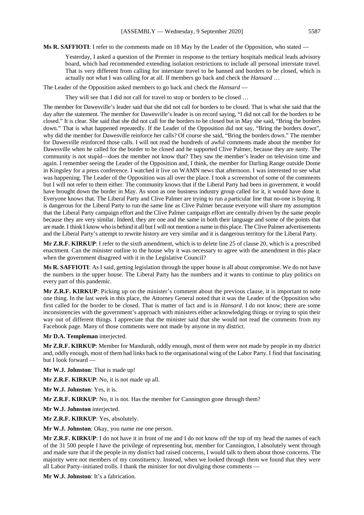**Ms R. SAFFIOTI**: I refer to the comments made on 18 May by the Leader of the Opposition, who stated —

Yesterday, I asked a question of the Premier in response to the tertiary hospitals medical leads advisory board, which had recommended extending isolation restrictions to include all personal interstate travel. That is very different from calling for interstate travel to be banned and borders to be closed, which is actually not what I was calling for at all. If members go back and check the *Hansard* …

The Leader of the Opposition asked members to go back and check the *Hansard* –

They will see that I did not call for travel to stop or borders to be closed …

The member for Dawesville's leader said that she did not call for borders to be closed. That is what she said that the day after the statement. The member for Dawesville's leader is on record saying, "I did not call for the borders to be closed." It is clear. She said that she did not call for the borders to be closed but in May she said, "Bring the borders down." That is what happened repeatedly. If the Leader of the Opposition did not say, "Bring the borders down", why did the member for Dawesville reinforce her calls? Of course she said, "Bring the borders down." The member for Dawesville reinforced those calls. I will not read the hundreds of awful comments made about the member for Dawesville when he called for the border to be closed and he supported Clive Palmer, because they are nasty. The community is not stupid—does the member not know that? They saw the member's leader on television time and again. I remember seeing the Leader of the Opposition and, I think, the member for Darling Range outside Dome in Kingsley for a press conference. I watched it live on WAMN news that afternoon. I was interested to see what was happening. The Leader of the Opposition was all over the place. I took a screenshot of some of the comments but I will not refer to them either. The community knows that if the Liberal Party had been in government, it would have brought down the border in May. As soon as one business industry group called for it, it would have done it. Everyone knows that. The Liberal Party and Clive Palmer are trying to run a particular line that no-one is buying. It is dangerous for the Liberal Party to run the same line as Clive Palmer because everyone will share my assumption that the Liberal Party campaign effort and the Clive Palmer campaign effort are centrally driven by the same people because they are very similar. Indeed, they are one and the same in both their language and some of the points that are made.I think I know who is behind it all butI will not mention a name in this place. The Clive Palmer advertisements and the Liberal Party's attempt to rewrite history are very similar and it is dangerous territory for the Liberal Party.

**Mr Z.R.F. KIRKUP**: I refer to the sixth amendment, which is to delete line 25 of clause 20, which is a prescribed enactment. Can the minister outline to the house why it was necessary to agree with the amendment in this place when the government disagreed with it in the Legislative Council?

**Ms R. SAFFIOTI**: As I said, getting legislation through the upper house is all about compromise. We do not have the numbers in the upper house. The Liberal Party has the numbers and it wants to continue to play politics on every part of this pandemic.

**Mr Z.R.F. KIRKUP**: Picking up on the minister's comment about the previous clause, it is important to note one thing. In the last week in this place, the Attorney General noted that it was the Leader of the Opposition who first called for the border to be closed. That is matter of fact and is in *Hansard*. I do not know; there are some inconsistencies with the government's approach with ministers either acknowledging things or trying to spin their way out of different things. I appreciate that the minister said that she would not read the comments from my Facebook page. Many of those comments were not made by anyone in my district.

**Mr D.A. Templeman** interjected.

**Mr Z.R.F. KIRKUP**: Member for Mandurah, oddly enough, most of them were not made by people in my district and, oddly enough, most of them had links back to the organisational wing of the Labor Party. I find that fascinating but I look forward —

**Mr W.J. Johnston**: That is made up!

**Mr Z.R.F. KIRKUP**: No, it is not made up all.

**Mr W.J. Johnston**: Yes, it is.

**Mr Z.R.F. KIRKUP**: No, it is not. Has the member for Cannington gone through them?

**Mr W.J. Johnston** interjected.

**Mr Z.R.F. KIRKUP**: Yes, absolutely.

**Mr W.J. Johnston**: Okay, you name me one person.

**Mr Z.R.F. KIRKUP**: I do not have it in front of me and I do not know off the top of my head the names of each of the 31 500 people I have the privilege of representing but, member for Cannington, I absolutely went through and made sure that if the people in my district had raised concerns, I would talk to them about those concerns. The majority were not members of my constituency. Instead, when we looked through them we found that they were all Labor Party–initiated trolls. I thank the minister for not divulging those comments —

**Mr W.J. Johnston**: It's a fabrication.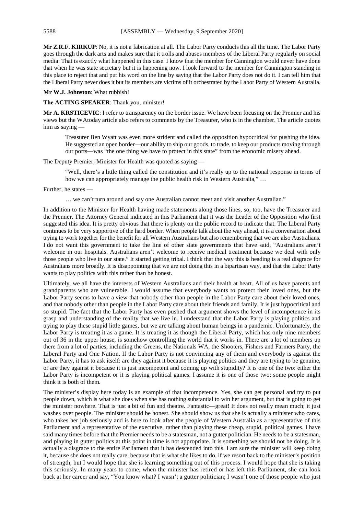**Mr Z.R.F. KIRKUP**: No, it is not a fabrication at all. The Labor Party conducts this all the time. The Labor Party goes through the dark arts and makes sure that it trolls and abuses members of the Liberal Party regularly on social media. That is exactly what happened in this case. I know that the member for Cannington would never have done that when he was state secretary but it is happening now. I look forward to the member for Cannington standing in this place to reject that and put his word on the line by saying that the Labor Party does not do it. I can tell him that the Liberal Party never does it but its members are victims of it orchestrated by the Labor Party of Western Australia.

**Mr W.J. Johnston**: What rubbish!

**The ACTING SPEAKER**: Thank you, minister!

**Mr A. KRSTICEVIC**: I refer to transparency on the border issue. We have been focusing on the Premier and his views but the WAtoday article also refers to comments by the Treasurer, who is in the chamber. The article quotes him as saying —

Treasurer Ben Wyatt was even more strident and called the opposition hypocritical for pushing the idea. He suggested an open border—our ability to ship our goods, to trade, to keep our products moving through our ports—was "the one thing we have to protect in this state" from the economic misery ahead.

The Deputy Premier; Minister for Health was quoted as saying —

"Well, there's a little thing called the constitution and it's really up to the national response in terms of how we can appropriately manage the public health risk in Western Australia," …

Further, he states —

… we can't turn around and say one Australian cannot meet and visit another Australian."

In addition to the Minister for Health having made statements along those lines, so, too, have the Treasurer and the Premier. The Attorney General indicated in this Parliament that it was the Leader of the Opposition who first suggested this idea. It is pretty obvious that there is plenty on the public record to indicate that. The Liberal Party continues to be very supportive of the hard border. When people talk about the way ahead, it is a conversation about trying to work together for the benefit for all Western Australians but also remembering that we are also Australians. I do not want this government to take the line of other state governments that have said, "Australians aren't welcome in our hospitals. Australians aren't welcome to receive medical treatment because we deal with only those people who live in our state." It started getting tribal. I think that the way this is heading is a real disgrace for Australians more broadly. It is disappointing that we are not doing this in a bipartisan way, and that the Labor Party wants to play politics with this rather than be honest.

Ultimately, we all have the interests of Western Australians and their health at heart. All of us have parents and grandparents who are vulnerable. I would assume that everybody wants to protect their loved ones, but the Labor Party seems to have a view that nobody other than people in the Labor Party care about their loved ones, and that nobody other than people in the Labor Party care about their friends and family. It is just hypocritical and so stupid. The fact that the Labor Party has even pushed that argument shows the level of incompetence in its grasp and understanding of the reality that we live in. I understand that the Labor Party is playing politics and trying to play these stupid little games, but we are talking about human beings in a pandemic. Unfortunately, the Labor Party is treating it as a game. It is treating it as though the Liberal Party, which has only nine members out of 36 in the upper house, is somehow controlling the world that it works in. There are a lot of members up there from a lot of parties, including the Greens, the Nationals WA, the Shooters, Fishers and Farmers Party, the Liberal Party and One Nation. If the Labor Party is not convincing any of them and everybody is against the Labor Party, it has to ask itself: are they against it because it is playing politics and they are trying to be genuine, or are they against it because it is just incompetent and coming up with stupidity? It is one of the two: either the Labor Party is incompetent or it is playing political games. I assume it is one of those two; some people might think it is both of them.

The minister's display here today is an example of that incompetence. Yes, she can get personal and try to put people down, which is what she does when she has nothing substantial to win her argument, but that is going to get the minister nowhere. That is just a bit of fun and theatre. Fantastic—great! It does not really mean much; it just washes over people. The minister should be honest. She should show us that she is actually a minister who cares, who takes her job seriously and is here to look after the people of Western Australia as a representative of this Parliament and a representative of the executive, rather than playing these cheap, stupid, political games. I have said many times before that the Premier needs to be a statesman, not a gutter politician. He needs to be a statesman, and playing in gutter politics at this point in time is not appropriate. It is something we should not be doing. It is actually a disgrace to the entire Parliament that it has descended into this. I am sure the minister will keep doing it, because she does not really care, because that is what she likes to do, if we resort back to the minister's position of strength, but I would hope that she is learning something out of this process. I would hope that she is taking this seriously. In many years to come, when the minister has retired or has left this Parliament, she can look back at her career and say, "You know what? I wasn't a gutter politician; I wasn't one of those people who just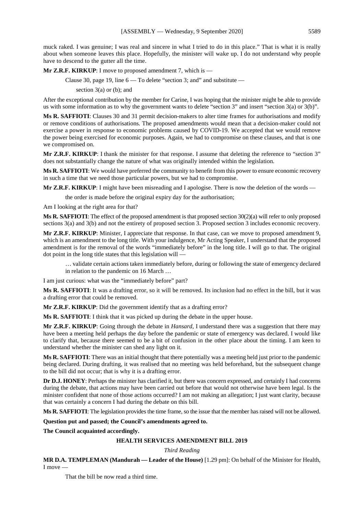muck raked. I was genuine; I was real and sincere in what I tried to do in this place." That is what it is really about when someone leaves this place. Hopefully, the minister will wake up. I do not understand why people have to descend to the gutter all the time.

**Mr Z.R.F. KIRKUP**: I move to proposed amendment 7, which is —

Clause 30, page 19, line  $6 - To$  delete "section 3; and" and substitute  $-$ 

section  $3(a)$  or (b); and

After the exceptional contribution by the member for Carine, I was hoping that the minister might be able to provide us with some information as to why the government wants to delete "section 3" and insert "section 3(a) or 3(b)".

**Ms R. SAFFIOTI**: Clauses 30 and 31 permit decision-makers to alter time frames for authorisations and modify or remove conditions of authorisations. The proposed amendments would mean that a decision-maker could not exercise a power in response to economic problems caused by COVID-19. We accepted that we would remove the power being exercised for economic purposes. Again, we had to compromise on these clauses, and that is one we compromised on.

**Mr Z.R.F. KIRKUP**: I thank the minister for that response. I assume that deleting the reference to "section 3" does not substantially change the nature of what was originally intended within the legislation.

**Ms R. SAFFIOTI**: We would have preferred the community to benefit from this power to ensure economic recovery in such a time that we need those particular powers, but we had to compromise.

**Mr Z.R.F. KIRKUP**: I might have been misreading and I apologise. There is now the deletion of the words —

the order is made before the original expiry day for the authorisation;

Am I looking at the right area for that?

**Ms R. SAFFIOTI**: The effect of the proposed amendment is that proposed section 30(2)(a) will refer to only proposed sections 3(a) and 3(b) and not the entirety of proposed section 3. Proposed section 3 includes economic recovery.

**Mr Z.R.F. KIRKUP**: Minister, I appreciate that response. In that case, can we move to proposed amendment 9, which is an amendment to the long title. With your indulgence, Mr Acting Speaker, I understand that the proposed amendment is for the removal of the words "immediately before" in the long title. I will go to that. The original dot point in the long title states that this legislation will —

… validate certain actions taken immediately before, during or following the state of emergency declared in relation to the pandemic on 16 March …

I am just curious: what was the "immediately before" part?

**Ms R. SAFFIOTI**: It was a drafting error, so it will be removed. Its inclusion had no effect in the bill, but it was a drafting error that could be removed.

**Mr Z.R.F. KIRKUP**: Did the government identify that as a drafting error?

**Ms R. SAFFIOTI**: I think that it was picked up during the debate in the upper house.

**Mr Z.R.F. KIRKUP**: Going through the debate in *Hansard*, I understand there was a suggestion that there may have been a meeting held perhaps the day before the pandemic or state of emergency was declared. I would like to clarify that, because there seemed to be a bit of confusion in the other place about the timing. I am keen to understand whether the minister can shed any light on it.

**Ms R. SAFFIOTI**: There was an initial thought that there potentially was a meeting held just prior to the pandemic being declared. During drafting, it was realised that no meeting was held beforehand, but the subsequent change to the bill did not occur; that is why it is a drafting error.

**Dr D.J. HONEY**: Perhaps the minister has clarified it, but there was concern expressed, and certainly I had concerns during the debate, that actions may have been carried out before that would not otherwise have been legal. Is the minister confident that none of those actions occurred? I am not making an allegation; I just want clarity, because that was certainly a concern I had during the debate on this bill.

**Ms R. SAFFIOTI**: The legislation provides the time frame, so the issue that the member has raised will not be allowed.

**Question put and passed; the Council's amendments agreed to.**

**The Council acquainted accordingly.**

# **HEALTH SERVICES AMENDMENT BILL 2019**

*Third Reading*

**MR D.A. TEMPLEMAN (Mandurah — Leader of the House)** [1.29 pm]: On behalf of the Minister for Health, I move —

That the bill be now read a third time.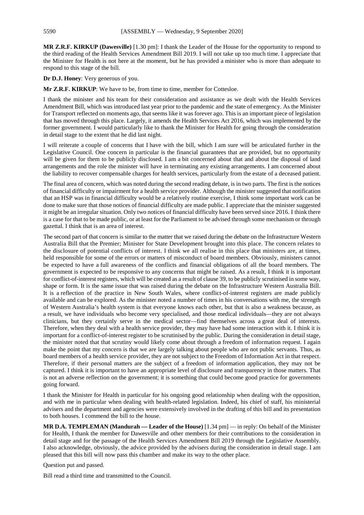**MR Z.R.F. KIRKUP (Dawesville)** [1.30 pm]: I thank the Leader of the House for the opportunity to respond to the third reading of the Health Services Amendment Bill 2019. I will not take up too much time. I appreciate that the Minister for Health is not here at the moment, but he has provided a minister who is more than adequate to respond to this stage of the bill.

**Dr D.J. Honey**: Very generous of you.

**Mr Z.R.F. KIRKUP**: We have to be, from time to time, member for Cottesloe.

I thank the minister and his team for their consideration and assistance as we dealt with the Health Services Amendment Bill, which was introduced last year prior to the pandemic and the state of emergency. As the Minister for Transport reflected on moments ago, that seems like it was forever ago. This is an important piece of legislation that has moved through this place. Largely, it amends the Health Services Act 2016, which was implemented by the former government. I would particularly like to thank the Minister for Health for going through the consideration in detail stage to the extent that he did last night.

I will reiterate a couple of concerns that I have with the bill, which I am sure will be articulated further in the Legislative Council. One concern in particular is the financial guarantees that are provided, but no opportunity will be given for them to be publicly disclosed. I am a bit concerned about that and about the disposal of land arrangements and the role the minister will have in terminating any existing arrangements. I am concerned about the liability to recover compensable charges for health services, particularly from the estate of a deceased patient.

The final area of concern, which was noted during the second reading debate, is in two parts. The first is the notices of financial difficulty or impairment for a health service provider. Although the minister suggested that notification that an HSP was in financial difficulty would be a relatively routine exercise, I think some important work can be done to make sure that those notices of financial difficulty are made public. I appreciate that the minister suggested it might be an irregular situation. Only two notices of financial difficulty have been served since 2016. I think there is a case for that to be made public, or at least for the Parliament to be advised through some mechanism or through gazettal. I think that is an area of interest.

The second part of that concern is similar to the matter that we raised during the debate on the Infrastructure Western Australia Bill that the Premier; Minister for State Development brought into this place. The concern relates to the disclosure of potential conflicts of interest. I think we all realise in this place that ministers are, at times, held responsible for some of the errors or matters of misconduct of board members. Obviously, ministers cannot be expected to have a full awareness of the conflicts and financial obligations of all the board members. The government is expected to be responsive to any concerns that might be raised. As a result, I think it is important for conflict-of-interest registers, which will be created as a result of clause 39, to be publicly scrutinised in some way, shape or form. It is the same issue that was raised during the debate on the Infrastructure Western Australia Bill. It is a reflection of the practice in New South Wales, where conflict-of-interest registers are made publicly available and can be explored. As the minister noted a number of times in his conversations with me, the strength of Western Australia's health system is that everyone knows each other, but that is also a weakness because, as a result, we have individuals who become very specialised, and those medical individuals—they are not always clinicians, but they certainly serve in the medical sector—find themselves across a great deal of interests. Therefore, when they deal with a health service provider, they may have had some interaction with it. I think it is important for a conflict-of-interest register to be scrutinised by the public. During the consideration in detail stage, the minister noted that that scrutiny would likely come about through a freedom of information request. I again make the point that my concern is that we are largely talking about people who are not public servants. Thus, as board members of a health service provider, they are not subject to the Freedom of Information Act in that respect. Therefore, if their personal matters are the subject of a freedom of information application, they may not be captured. I think it is important to have an appropriate level of disclosure and transparency in those matters. That is not an adverse reflection on the government; it is something that could become good practice for governments going forward.

I thank the Minister for Health in particular for his ongoing good relationship when dealing with the opposition, and with me in particular when dealing with health-related legislation. Indeed, his chief of staff, his ministerial advisers and the department and agencies were extensively involved in the drafting of this bill and its presentation to both houses. I commend the bill to the house.

**MR D.A. TEMPLEMAN (Mandurah — Leader of the House)** [1.34 pm] — in reply: On behalf of the Minister for Health, I thank the member for Dawesville and other members for their contributions to the consideration in detail stage and for the passage of the Health Services Amendment Bill 2019 through the Legislative Assembly. I also acknowledge, obviously, the advice provided by the advisers during the consideration in detail stage. I am pleased that this bill will now pass this chamber and make its way to the other place.

Question put and passed.

Bill read a third time and transmitted to the Council.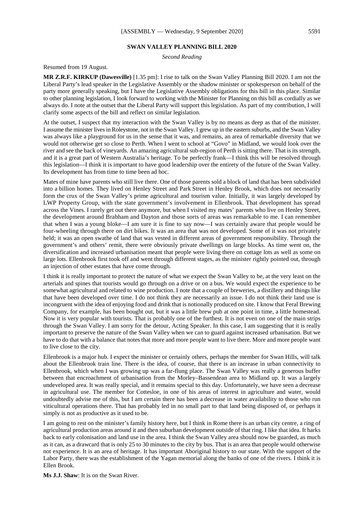# **SWAN VALLEY PLANNING BILL 2020**

*Second Reading*

Resumed from 19 August.

**MR Z.R.F. KIRKUP (Dawesville)** [1.35 pm]: I rise to talk on the Swan Valley Planning Bill 2020. I am not the Liberal Party's lead speaker in the Legislative Assembly or the shadow minister or spokesperson on behalf of the party more generally speaking, but I have the Legislative Assembly obligations for this bill in this place. Similar to other planning legislation, I look forward to working with the Minister for Planning on this bill as cordially as we always do. I note at the outset that the Liberal Party will support this legislation. As part of my contribution, I will clarify some aspects of the bill and reflect on similar legislation.

At the outset, I suspect that my interaction with the Swan Valley is by no means as deep as that of the minister. I assume the minister lives in Roleystone, not in the Swan Valley. I grew up in the eastern suburbs, and the Swan Valley was always like a playground for us in the sense that it was, and remains, an area of remarkable diversity that we would not otherwise get so close to Perth. When I went to school at "Govo" in Midland, we would look over the river and see the back of vineyards. An amazing agricultural sub-region of Perth is sitting there. That is its strength, and it is a great part of Western Australia's heritage. To be perfectly frank—I think this will be resolved through this legislation—I think it is important to have good leadership over the entirety of the future of the Swan Valley. Its development has from time to time been ad hoc.

Mates of mine have parents who still live there. One of those parents sold a block of land that has been subdivided into a billion homes. They lived on Henley Street and Park Street in Henley Brook, which does not necessarily form the crux of the Swan Valley's prime agricultural and tourism value. Initially, it was largely developed by LWP Property Group, with the state government's involvement in Ellenbrook. That development has spread across the Vines. I rarely get out there anymore, but when I visited my mates' parents who live on Henley Street, the development around Brabham and Dayton and those sorts of areas was remarkable to me. I can remember that when I was a young bloke—I am sure it is fine to say now—I was certainly aware that people would be four-wheeling through there on dirt bikes. It was an area that was not developed. Some of it was not privately held; it was an open swathe of land that was vested in different areas of government responsibility. Through the government's and others' remit, there were obviously private dwellings on large blocks. As time went on, the diversification and increased urbanisation meant that people were living there on cottage lots as well as some on large lots. Ellenbrook first took off and went through different stages, as the minister rightly pointed out, through an injection of other estates that have come through.

I think it is really important to protect the nature of what we expect the Swan Valley to be, at the very least on the arterials and spines that tourists would go through on a drive or on a bus. We would expect the experience to be somewhat agricultural and related to wine production. I note that a couple of breweries, a distillery and things like that have been developed over time. I do not think they are necessarily an issue. I do not think their land use is incongruent with the idea of enjoying food and drink that is notionally produced on site. I know that Feral Brewing Company, for example, has been bought out, but it was a little brew pub at one point in time, a little homestead. Now it is very popular with tourists. That is probably one of the furthest. It is not even on one of the main strips through the Swan Valley. I am sorry for the detour, Acting Speaker. In this case, I am suggesting that it is really important to preserve the nature of the Swan Valley when we can to guard against increased urbanisation. But we have to do that with a balance that notes that more and more people want to live there. More and more people want to live close to the city.

Ellenbrook is a major hub. I expect the minister or certainly others, perhaps the member for Swan Hills, will talk about the Ellenbrook train line. There is the idea, of course, that there is an increase in urban connectivity to Ellenbrook, which when I was growing up was a far-flung place. The Swan Valley was really a generous buffer between that encroachment of urbanisation from the Morley–Bassendean area to Midland up. It was a largely undeveloped area. It was really special, and it remains special to this day. Unfortunately, we have seen a decrease in agricultural use. The member for Cottesloe, in one of his areas of interest in agriculture and water, would undoubtedly advise me of this, but I am certain there has been a decrease in water availability to those who run viticultural operations there. That has probably led in no small part to that land being disposed of, or perhaps it simply is not as productive as it used to be.

I am going to rest on the minister's family history here, but I think in Rome there is an urban city centre, a ring of agricultural production areas around it and then suburban development outside of that ring. I like that idea. It harks back to early colonisation and land use in the area. I think the Swan Valley area should now be guarded, as much as it can, as a drawcard that is only 25 to 30 minutes to the city by bus. That is an area that people would otherwise not experience. It is an area of heritage. It has important Aboriginal history to our state. With the support of the Labor Party, there was the establishment of the Yagan memorial along the banks of one of the rivers. I think it is Ellen Brook.

**Ms J.J. Shaw**: It is on the Swan River.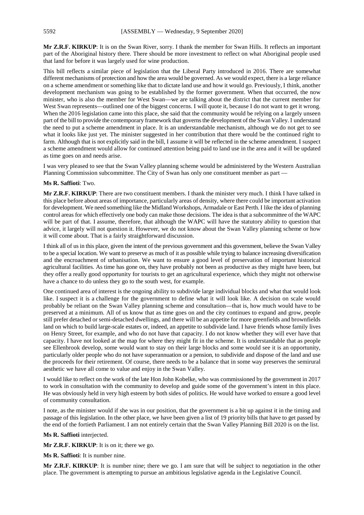**Mr Z.R.F. KIRKUP**: It is on the Swan River, sorry. I thank the member for Swan Hills. It reflects an important part of the Aboriginal history there. There should be more investment to reflect on what Aboriginal people used that land for before it was largely used for wine production.

This bill reflects a similar piece of legislation that the Liberal Party introduced in 2016. There are somewhat different mechanisms of protection and how the area would be governed. As we would expect, there is a large reliance on a scheme amendment or something like that to dictate land use and how it would go. Previously, I think, another development mechanism was going to be established by the former government. When that occurred, the now minister, who is also the member for West Swan—we are talking about the district that the current member for West Swan represents—outlined one of the biggest concerns. I will quote it, because I do not want to get it wrong. When the 2016 legislation came into this place, she said that the community would be relying on a largely unseen part of the bill to provide the contemporary framework that governs the development of the Swan Valley. I understand the need to put a scheme amendment in place. It is an understandable mechanism, although we do not get to see what it looks like just yet. The minister suggested in her contribution that there would be the continued right to farm. Although that is not explicitly said in the bill, I assume it will be reflected in the scheme amendment. I suspect a scheme amendment would allow for continued attention being paid to land use in the area and it will be updated as time goes on and needs arise.

I was very pleased to see that the Swan Valley planning scheme would be administered by the Western Australian Planning Commission subcommittee. The City of Swan has only one constituent member as part —

#### **Ms R. Saffioti**: Two.

**Mr Z.R.F. KIRKUP**: There are two constituent members. I thank the minister very much. I think I have talked in this place before about areas of importance, particularly areas of density, where there could be important activation for development. We need something like the Midland Workshops, Armadale or East Perth. I like the idea of planning control areas for which effectively one body can make those decisions. The idea is that a subcommittee of the WAPC will be part of that. I assume, therefore, that although the WAPC will have the statutory ability to question that advice, it largely will not question it. However, we do not know about the Swan Valley planning scheme or how it will come about. That is a fairly straightforward discussion.

I think all of us in this place, given the intent of the previous government and this government, believe the Swan Valley to be a special location. We want to preserve as much of it as possible while trying to balance increasing diversification and the encroachment of urbanisation. We want to ensure a good level of preservation of important historical agricultural facilities. As time has gone on, they have probably not been as productive as they might have been, but they offer a really good opportunity for tourists to get an agricultural experience, which they might not otherwise have a chance to do unless they go to the south west, for example.

One continued area of interest is the ongoing ability to subdivide large individual blocks and what that would look like. I suspect it is a challenge for the government to define what it will look like. A decision on scale would probably be reliant on the Swan Valley planning scheme and consultation—that is, how much would have to be preserved at a minimum. All of us know that as time goes on and the city continues to expand and grow, people still prefer detached or semi-detached dwellings, and there will be an appetite for more greenfields and brownfields land on which to build large-scale estates or, indeed, an appetite to subdivide land. I have friends whose family lives on Henry Street, for example, and who do not have that capacity. I do not know whether they will ever have that capacity. I have not looked at the map for where they might fit in the scheme. It is understandable that as people see Ellenbrook develop, some would want to stay on their large blocks and some would see it is an opportunity, particularly older people who do not have superannuation or a pension, to subdivide and dispose of the land and use the proceeds for their retirement. Of course, there needs to be a balance that in some way preserves the semirural aesthetic we have all come to value and enjoy in the Swan Valley.

I would like to reflect on the work of the late Hon John Kobelke, who was commissioned by the government in 2017 to work in consultation with the community to develop and guide some of the government's intent in this place. He was obviously held in very high esteem by both sides of politics. He would have worked to ensure a good level of community consultation.

I note, as the minister would if she was in our position, that the government is a bit up against it in the timing and passage of this legislation. In the other place, we have been given a list of 19 priority bills that have to get passed by the end of the fortieth Parliament. I am not entirely certain that the Swan Valley Planning Bill 2020 is on the list.

**Ms R. Saffioti** interjected.

**Mr Z.R.F. KIRKUP**: It is on it; there we go.

**Ms R. Saffioti**: It is number nine.

**Mr Z.R.F. KIRKUP**: It is number nine; there we go. I am sure that will be subject to negotiation in the other place. The government is attempting to pursue an ambitious legislative agenda in the Legislative Council.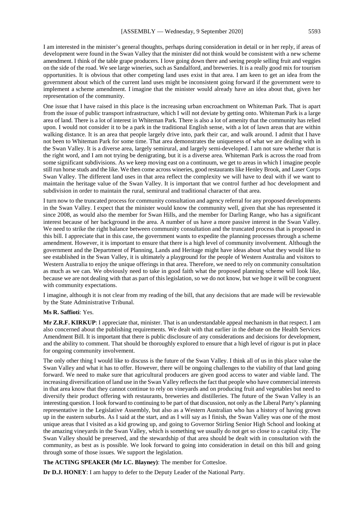I am interested in the minister's general thoughts, perhaps during consideration in detail or in her reply, if areas of development were found in the Swan Valley that the minister did not think would be consistent with a new scheme amendment. I think of the table grape producers. I love going down there and seeing people selling fruit and veggies on the side of the road. We see large wineries, such as Sandalford, and breweries. It is a really good mix for tourism opportunities. It is obvious that other competing land uses exist in that area. I am keen to get an idea from the government about which of the current land uses might be inconsistent going forward if the government were to implement a scheme amendment. I imagine that the minister would already have an idea about that, given her representation of the community.

One issue that I have raised in this place is the increasing urban encroachment on Whiteman Park. That is apart from the issue of public transport infrastructure, which I will not deviate by getting onto. Whiteman Park is a large area of land. There is a lot of interest in Whiteman Park. There is also a lot of amenity that the community has relied upon. I would not consider it to be a park in the traditional English sense, with a lot of lawn areas that are within walking distance. It is an area that people largely drive into, park their car, and walk around. I admit that I have not been to Whiteman Park for some time. That area demonstrates the uniqueness of what we are dealing with in the Swan Valley. It is a diverse area, largely semirural, and largely semi-developed. I am not sure whether that is the right word, and I am not trying be denigrating, but it is a diverse area. Whiteman Park is across the road from some significant subdivisions. As we keep moving east on a continuum, we get to areas in which I imagine people still run horse studs and the like. We then come across wineries, good restaurants like Henley Brook, and Laser Corps Swan Valley. The different land uses in that area reflect the complexity we will have to deal with if we want to maintain the heritage value of the Swan Valley. It is important that we control further ad hoc development and subdivision in order to maintain the rural, semirural and traditional character of that area.

I turn now to the truncated process for community consultation and agency referral for any proposed developments in the Swan Valley. I expect that the minister would know the community well, given that she has represented it since 2008, as would also the member for Swan Hills, and the member for Darling Range, who has a significant interest because of her background in the area. A number of us have a more passive interest in the Swan Valley. We need to strike the right balance between community consultation and the truncated process that is proposed in this bill. I appreciate that in this case, the government wants to expedite the planning processes through a scheme amendment. However, it is important to ensure that there is a high level of community involvement. Although the government and the Department of Planning, Lands and Heritage might have ideas about what they would like to see established in the Swan Valley, it is ultimately a playground for the people of Western Australia and visitors to Western Australia to enjoy the unique offerings in that area. Therefore, we need to rely on community consultation as much as we can. We obviously need to take in good faith what the proposed planning scheme will look like, because we are not dealing with that as part of this legislation, so we do not know, but we hope it will be congruent with community expectations.

I imagine, although it is not clear from my reading of the bill, that any decisions that are made will be reviewable by the State Administrative Tribunal.

#### **Ms R. Saffioti**: Yes.

**Mr Z.R.F. KIRKUP**: I appreciate that, minister. That is an understandable appeal mechanism in that respect. I am also concerned about the publishing requirements. We dealt with that earlier in the debate on the Health Services Amendment Bill. It is important that there is public disclosure of any considerations and decisions for development, and the ability to comment. That should be thoroughly explored to ensure that a high level of rigour is put in place for ongoing community involvement.

The only other thing I would like to discuss is the future of the Swan Valley. I think all of us in this place value the Swan Valley and what it has to offer. However, there will be ongoing challenges to the viability of that land going forward. We need to make sure that agricultural producers are given good access to water and viable land. The increasing diversification of land use in the Swan Valley reflects the fact that people who have commercial interests in that area know that they cannot continue to rely on vineyards and on producing fruit and vegetables but need to diversify their product offering with restaurants, breweries and distilleries. The future of the Swan Valley is an interesting question. I look forward to continuing to be part of that discussion, not only as the Liberal Party's planning representative in the Legislative Assembly, but also as a Western Australian who has a history of having grown up in the eastern suburbs. As I said at the start, and as I will say as I finish, the Swan Valley was one of the most unique areas that I visited as a kid growing up, and going to Governor Stirling Senior High School and looking at the amazing vineyards in the Swan Valley, which is something we usually do not get so close to a capital city. The Swan Valley should be preserved, and the stewardship of that area should be dealt with in consultation with the community, as best as is possible. We look forward to going into consideration in detail on this bill and going through some of those issues. We support the legislation.

**The ACTING SPEAKER (Mr I.C. Blayney)**: The member for Cottesloe.

**Dr D.J. HONEY**: I am happy to defer to the Deputy Leader of the National Party.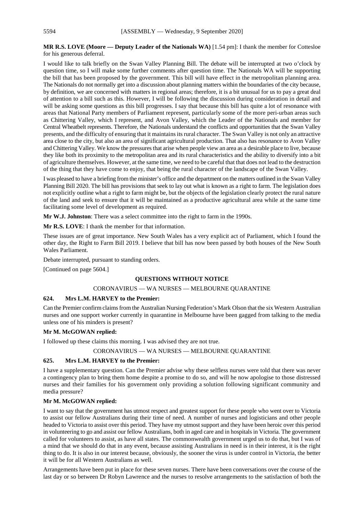#### **MR R.S. LOVE (Moore — Deputy Leader of the Nationals WA)** [1.54 pm]: I thank the member for Cottesloe for his generous deferral.

I would like to talk briefly on the Swan Valley Planning Bill. The debate will be interrupted at two o'clock by question time, so I will make some further comments after question time. The Nationals WA will be supporting the bill that has been proposed by the government. This bill will have effect in the metropolitan planning area. The Nationals do not normally get into a discussion about planning matters within the boundaries of the city because, by definition, we are concerned with matters in regional areas; therefore, it is a bit unusual for us to pay a great deal of attention to a bill such as this. However, I will be following the discussion during consideration in detail and will be asking some questions as this bill progresses. I say that because this bill has quite a lot of resonance with areas that National Party members of Parliament represent, particularly some of the more peri-urban areas such as Chittering Valley, which I represent, and Avon Valley, which the Leader of the Nationals and member for Central Wheatbelt represents. Therefore, the Nationals understand the conflicts and opportunities that the Swan Valley presents, and the difficulty of ensuring that it maintains its rural character. The Swan Valley is not only an attractive area close to the city, but also an area of significant agricultural production. That also has resonance to Avon Valley and Chittering Valley. We know the pressures that arise when people view an area as a desirable place to live, because they like both its proximity to the metropolitan area and its rural characteristics and the ability to diversify into a bit of agriculture themselves. However, at the same time, we need to be careful that that does not lead to the destruction of the thing that they have come to enjoy, that being the rural character of the landscape of the Swan Valley.

I was pleased to have a briefing from the minister's office and the department on the matters outlined in the Swan Valley Planning Bill 2020. The bill has provisions that seek to lay out what is known as a right to farm. The legislation does not explicitly outline what a right to farm might be, but the objects of the legislation clearly protect the rural nature of the land and seek to ensure that it will be maintained as a productive agricultural area while at the same time facilitating some level of development as required.

**Mr W.J. Johnston**: There was a select committee into the right to farm in the 1990s.

**Mr R.S. LOVE**: I thank the member for that information.

These issues are of great importance. New South Wales has a very explicit act of Parliament, which I found the other day, the Right to Farm Bill 2019. I believe that bill has now been passed by both houses of the New South Wales Parliament.

Debate interrupted, pursuant to standing orders.

[Continued on page 5604.]

# **QUESTIONS WITHOUT NOTICE**

#### CORONAVIRUS — WA NURSES — MELBOURNE QUARANTINE

#### **624. Mrs L.M. HARVEY to the Premier:**

Can the Premier confirm claims from the Australian Nursing Federation's Mark Olson that the six Western Australian nurses and one support worker currently in quarantine in Melbourne have been gagged from talking to the media unless one of his minders is present?

# **Mr M. McGOWAN replied:**

I followed up these claims this morning. I was advised they are not true.

#### CORONAVIRUS — WA NURSES — MELBOURNE QUARANTINE

# **625. Mrs L.M. HARVEY to the Premier:**

I have a supplementary question. Can the Premier advise why these selfless nurses were told that there was never a contingency plan to bring them home despite a promise to do so, and will he now apologise to those distressed nurses and their families for his government only providing a solution following significant community and media pressure?

#### **Mr M. McGOWAN replied:**

I want to say that the government has utmost respect and greatest support for these people who went over to Victoria to assist our fellow Australians during their time of need. A number of nurses and logisticians and other people headed to Victoria to assist over this period. They have my utmost support and they have been heroic over this period in volunteering to go and assist our fellow Australians, both in aged care and in hospitals in Victoria. The government called for volunteers to assist, as have all states. The commonwealth government urged us to do that, but I was of a mind that we should do that in any event, because assisting Australians in need is in their interest, it is the right thing to do. It is also in our interest because, obviously, the sooner the virus is under control in Victoria, the better it will be for all Western Australians as well.

Arrangements have been put in place for these seven nurses. There have been conversations over the course of the last day or so between Dr Robyn Lawrence and the nurses to resolve arrangements to the satisfaction of both the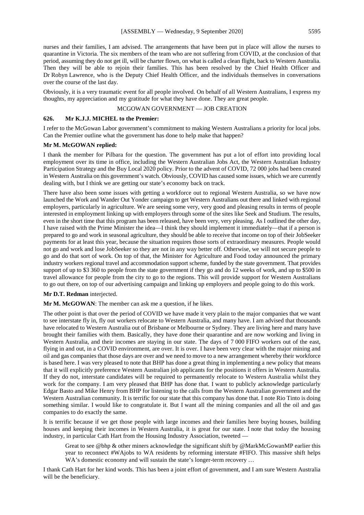nurses and their families, I am advised. The arrangements that have been put in place will allow the nurses to quarantine in Victoria. The six members of the team who are not suffering from COVID, at the conclusion of that period, assuming they do not get ill, will be charter flown, on what is called a clean flight, back to Western Australia. Then they will be able to rejoin their families. This has been resolved by the Chief Health Officer and Dr Robyn Lawrence, who is the Deputy Chief Health Officer, and the individuals themselves in conversations over the course of the last day.

Obviously, it is a very traumatic event for all people involved. On behalf of all Western Australians, I express my thoughts, my appreciation and my gratitude for what they have done. They are great people.

# MCGOWAN GOVERNMENT — JOB CREATION

# **626. Mr K.J.J. MICHEL to the Premier:**

I refer to the McGowan Labor government's commitment to making Western Australians a priority for local jobs. Can the Premier outline what the government has done to help make that happen?

# **Mr M. McGOWAN replied:**

I thank the member for Pilbara for the question. The government has put a lot of effort into providing local employment over its time in office, including the Western Australian Jobs Act, the Western Australian Industry Participation Strategy and the Buy Local 2020 policy. Prior to the advent of COVID, 72 000 jobs had been created in Western Australia on this government's watch. Obviously, COVID has caused some issues, which we are currently dealing with, but I think we are getting our state's economy back on track.

There have also been some issues with getting a workforce out to regional Western Australia, so we have now launched the Work and Wander Out Yonder campaign to get Western Australians out there and linked with regional employers, particularly in agriculture. We are seeing some very, very good and pleasing results in terms of people interested in employment linking up with employers through some of the sites like Seek and Studium. The results, even in the short time that this program has been released, have been very, very pleasing. As I outlined the other day, I have raised with the Prime Minister the idea—I think they should implement it immediately—that if a person is prepared to go and work in seasonal agriculture, they should be able to receive that income on top of their JobSeeker payments for at least this year, because the situation requires those sorts of extraordinary measures. People would not go and work and lose JobSeeker so they are not in any way better off. Otherwise, we will not secure people to go and do that sort of work. On top of that, the Minister for Agriculture and Food today announced the primary industry workers regional travel and accommodation support scheme, funded by the state government. That provides support of up to \$3 360 to people from the state government if they go and do 12 weeks of work, and up to \$500 in travel allowance for people from the city to go to the regions. This will provide support for Western Australians to go out there, on top of our advertising campaign and linking up employers and people going to do this work.

# **Mr D.T. Redman** interjected.

**Mr M. McGOWAN**: The member can ask me a question, if he likes.

The other point is that over the period of COVID we have made it very plain to the major companies that we want to see interstate fly in, fly out workers relocate to Western Australia, and many have. I am advised that thousands have relocated to Western Australia out of Brisbane or Melbourne or Sydney. They are living here and many have brought their families with them. Basically, they have done their quarantine and are now working and living in Western Australia, and their incomes are staying in our state. The days of 7 000 FIFO workers out of the east, flying in and out, in a COVID environment, are over. It is over. I have been very clear with the major mining and oil and gas companies that those days are over and we need to move to a new arrangement whereby their workforce is based here. I was very pleased to note that BHP has done a great thing in implementing a new policy that means that it will explicitly preference Western Australian job applicants for the positions it offers in Western Australia. If they do not, interstate candidates will be required to permanently relocate to Western Australia whilst they work for the company. I am very pleased that BHP has done that. I want to publicly acknowledge particularly Edgar Basto and Mike Henry from BHP for listening to the calls from the Western Australian government and the Western Australian community. It is terrific for our state that this company has done that. I note Rio Tinto is doing something similar. I would like to congratulate it. But I want all the mining companies and all the oil and gas companies to do exactly the same.

It is terrific because if we get those people with large incomes and their families here buying houses, building houses and keeping their incomes in Western Australia, it is great for our state. I note that today the housing industry, in particular Cath Hart from the Housing Industry Association, tweeted —

Great to see @bhp & other miners acknowledge the significant shift by @MarkMcGowanMP earlier this year to reconnect #WAjobs to WA residents by reforming interstate #FIFO. This massive shift helps WA's domestic economy and will sustain the state's longer-term recovery ...

I thank Cath Hart for her kind words. This has been a joint effort of government, and I am sure Western Australia will be the beneficiary.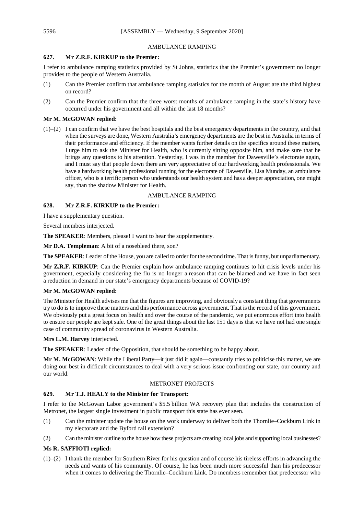# AMBULANCE RAMPING

# **627. Mr Z.R.F. KIRKUP to the Premier:**

I refer to ambulance ramping statistics provided by St Johns, statistics that the Premier's government no longer provides to the people of Western Australia.

- (1) Can the Premier confirm that ambulance ramping statistics for the month of August are the third highest on record?
- (2) Can the Premier confirm that the three worst months of ambulance ramping in the state's history have occurred under his government and all within the last 18 months?

#### **Mr M. McGOWAN replied:**

(1)–(2) I can confirm that we have the best hospitals and the best emergency departments in the country, and that when the surveys are done, Western Australia's emergency departments are the best in Australia in terms of their performance and efficiency. If the member wants further details on the specifics around these matters, I urge him to ask the Minister for Health, who is currently sitting opposite him, and make sure that he brings any questions to his attention. Yesterday, I was in the member for Dawesville's electorate again, and I must say that people down there are very appreciative of our hardworking health professionals. We have a hardworking health professional running for the electorate of Dawesville, Lisa Munday, an ambulance officer, who is a terrific person who understands our health system and has a deeper appreciation, one might say, than the shadow Minister for Health.

#### AMBULANCE RAMPING

#### **628. Mr Z.R.F. KIRKUP to the Premier:**

I have a supplementary question.

Several members interjected.

**The SPEAKER**: Members, please! I want to hear the supplementary.

**Mr D.A. Templeman**: A bit of a nosebleed there, son?

**The SPEAKER**: Leader of the House, you are called to order for the second time. That is funny, but unparliamentary.

**Mr Z.R.F. KIRKUP**: Can the Premier explain how ambulance ramping continues to hit crisis levels under his government, especially considering the flu is no longer a reason that can be blamed and we have in fact seen a reduction in demand in our state's emergency departments because of COVID-19?

#### **Mr M. McGOWAN replied:**

The Minister for Health advises me that the figures are improving, and obviously a constant thing that governments try to do is to improve these matters and this performance across government. That is the record of this government. We obviously put a great focus on health and over the course of the pandemic, we put enormous effort into health to ensure our people are kept safe. One of the great things about the last 151 days is that we have not had one single case of community spread of coronavirus in Western Australia.

**Mrs L.M. Harvey** interjected.

**The SPEAKER**: Leader of the Opposition, that should be something to be happy about.

**Mr M. McGOWAN**: While the Liberal Party—it just did it again—constantly tries to politicise this matter, we are doing our best in difficult circumstances to deal with a very serious issue confronting our state, our country and our world.

# METRONET PROJECTS

# **629. Mr T.J. HEALY to the Minister for Transport:**

I refer to the McGowan Labor government's \$5.5 billion WA recovery plan that includes the construction of Metronet, the largest single investment in public transport this state has ever seen.

- (1) Can the minister update the house on the work underway to deliver both the Thornlie–Cockburn Link in my electorate and the Byford rail extension?
- (2) Can the minister outline to the house how these projects are creating local jobs and supporting local businesses?

#### **Ms R. SAFFIOTI replied:**

(1)–(2) I thank the member for Southern River for his question and of course his tireless efforts in advancing the needs and wants of his community. Of course, he has been much more successful than his predecessor when it comes to delivering the Thornlie–Cockburn Link. Do members remember that predecessor who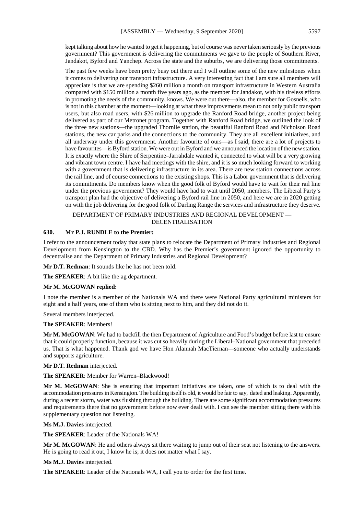kept talking about how he wanted to get it happening, but of course was never taken seriously by the previous government? This government is delivering the commitments we gave to the people of Southern River, Jandakot, Byford and Yanchep. Across the state and the suburbs, we are delivering those commitments.

The past few weeks have been pretty busy out there and I will outline some of the new milestones when it comes to delivering our transport infrastructure. A very interesting fact that I am sure all members will appreciate is that we are spending \$260 million a month on transport infrastructure in Western Australia compared with \$150 million a month five years ago, as the member for Jandakot, with his tireless efforts in promoting the needs of the community, knows. We were out there—also, the member for Gosnells, who is not in this chamber at the moment—looking at what these improvements mean to not only public transport users, but also road users, with \$26 million to upgrade the Ranford Road bridge, another project being delivered as part of our Metronet program. Together with Ranford Road bridge, we outlined the look of the three new stations—the upgraded Thornlie station, the beautiful Ranford Road and Nicholson Road stations, the new car parks and the connections to the community. They are all excellent initiatives, and all underway under this government. Another favourite of ours—as I said, there are a lot of projects to have favourites—is Byford station. We were out in Byford and we announced the location of the new station. It is exactly where the Shire of Serpentine–Jarrahdale wanted it, connected to what will be a very growing and vibrant town centre. I have had meetings with the shire, and it is so much looking forward to working with a government that is delivering infrastructure in its area. There are new station connections across the rail line, and of course connections to the existing shops. This is a Labor government that is delivering its commitments. Do members know when the good folk of Byford would have to wait for their rail line under the previous government? They would have had to wait until 2050, members. The Liberal Party's transport plan had the objective of delivering a Byford rail line in 2050, and here we are in 2020 getting on with the job delivering for the good folk of Darling Range the services and infrastructure they deserve.

#### DEPARTMENT OF PRIMARY INDUSTRIES AND REGIONAL DEVELOPMENT — DECENTRALISATION

# **630. Mr P.J. RUNDLE to the Premier:**

I refer to the announcement today that state plans to relocate the Department of Primary Industries and Regional Development from Kensington to the CBD. Why has the Premier's government ignored the opportunity to decentralise and the Department of Primary Industries and Regional Development?

**Mr D.T. Redman**: It sounds like he has not been told.

**The SPEAKER**: A bit like the ag department.

#### **Mr M. McGOWAN replied:**

I note the member is a member of the Nationals WA and there were National Party agricultural ministers for eight and a half years, one of them who is sitting next to him, and they did not do it.

Several members interjected.

#### **The SPEAKER**: Members!

**Mr M. McGOWAN**: We had to backfill the then Department of Agriculture and Food's budget before last to ensure that it could properly function, because it was cut so heavily during the Liberal–National government that preceded us. That is what happened. Thank god we have Hon Alannah MacTiernan—someone who actually understands and supports agriculture.

**Mr D.T. Redman** interjected.

**The SPEAKER**: Member for Warren–Blackwood!

**Mr M. McGOWAN**: She is ensuring that important initiatives are taken, one of which is to deal with the accommodation pressures in Kensington. The building itself is old, it would be fair to say, dated and leaking. Apparently, during a recent storm, water was flushing through the building. There are some significant accommodation pressures and requirements there that no government before now ever dealt with. I can see the member sitting there with his supplementary question not listening.

**Ms M.J. Davies** interjected.

**The SPEAKER**: Leader of the Nationals WA!

**Mr M. McGOWAN**: He and others always sit there waiting to jump out of their seat not listening to the answers. He is going to read it out, I know he is; it does not matter what I say.

#### **Ms M.J. Davies** interjected.

**The SPEAKER**: Leader of the Nationals WA, I call you to order for the first time.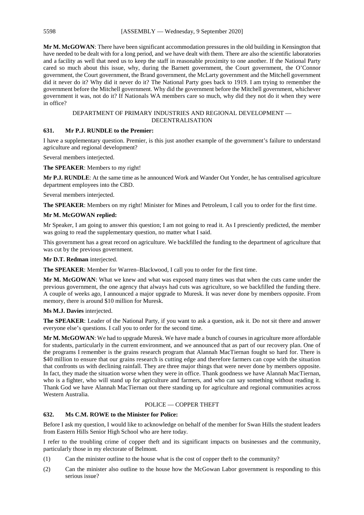**Mr M. McGOWAN**: There have been significant accommodation pressures in the old building in Kensington that have needed to be dealt with for a long period, and we have dealt with them. There are also the scientific laboratories and a facility as well that need us to keep the staff in reasonable proximity to one another. If the National Party cared so much about this issue, why, during the Barnett government, the Court government, the O'Connor government, the Court government, the Brand government, the McLarty government and the Mitchell government did it never do it? Why did it never do it? The National Party goes back to 1919. I am trying to remember the government before the Mitchell government. Why did the government before the Mitchell government, whichever government it was, not do it? If Nationals WA members care so much, why did they not do it when they were in office?

# DEPARTMENT OF PRIMARY INDUSTRIES AND REGIONAL DEVELOPMENT — DECENTRALISATION

# **631. Mr P.J. RUNDLE to the Premier:**

I have a supplementary question. Premier, is this just another example of the government's failure to understand agriculture and regional development?

Several members interjected.

# **The SPEAKER**: Members to my right!

**Mr P.J. RUNDLE**: At the same time as he announced Work and Wander Out Yonder, he has centralised agriculture department employees into the CBD.

Several members interjected.

**The SPEAKER**: Members on my right! Minister for Mines and Petroleum, I call you to order for the first time.

# **Mr M. McGOWAN replied:**

Mr Speaker, I am going to answer this question; I am not going to read it. As I presciently predicted, the member was going to read the supplementary question, no matter what I said.

This government has a great record on agriculture. We backfilled the funding to the department of agriculture that was cut by the previous government.

**Mr D.T. Redman** interjected.

**The SPEAKER**: Member for Warren–Blackwood, I call you to order for the first time.

**Mr M. McGOWAN**: What we knew and what was exposed many times was that when the cuts came under the previous government, the one agency that always had cuts was agriculture, so we backfilled the funding there. A couple of weeks ago, I announced a major upgrade to Muresk. It was never done by members opposite. From memory, there is around \$10 million for Muresk.

# **Ms M.J. Davies** interjected.

**The SPEAKER**: Leader of the National Party, if you want to ask a question, ask it. Do not sit there and answer everyone else's questions. I call you to order for the second time.

**Mr M. McGOWAN**: We had to upgrade Muresk. We have made a bunch of courses in agriculture more affordable for students, particularly in the current environment, and we announced that as part of our recovery plan. One of the programs I remember is the grains research program that Alannah MacTiernan fought so hard for. There is \$40 million to ensure that our grains research is cutting edge and therefore farmers can cope with the situation that confronts us with declining rainfall. They are three major things that were never done by members opposite. In fact, they made the situation worse when they were in office. Thank goodness we have Alannah MacTiernan, who is a fighter, who will stand up for agriculture and farmers, and who can say something without reading it. Thank God we have Alannah MacTiernan out there standing up for agriculture and regional communities across Western Australia.

# POLICE — COPPER THEFT

# **632. Ms C.M. ROWE to the Minister for Police:**

Before I ask my question, I would like to acknowledge on behalf of the member for Swan Hills the student leaders from Eastern Hills Senior High School who are here today.

I refer to the troubling crime of copper theft and its significant impacts on businesses and the community, particularly those in my electorate of Belmont.

- (1) Can the minister outline to the house what is the cost of copper theft to the community?
- (2) Can the minister also outline to the house how the McGowan Labor government is responding to this serious issue?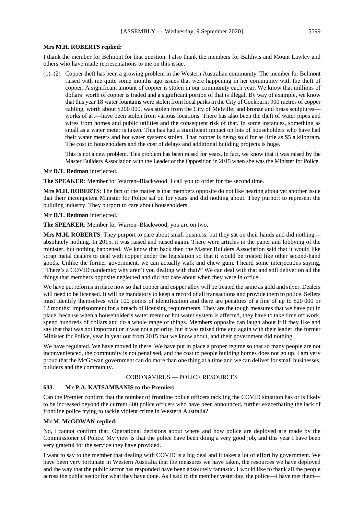#### **Mrs M.H. ROBERTS replied:**

I thank the member for Belmont for that question. I also thank the members for Baldivis and Mount Lawley and others who have made representations to me on this issue.

(1)–(2) Copper theft has been a growing problem in the Western Australian community. The member for Belmont raised with me quite some months ago issues that were happening in her community with the theft of copper. A significant amount of copper is stolen in our community each year. We know that millions of dollars' worth of copper is traded and a significant portion of that is illegal. By way of example, we know that this year 18 water fountains were stolen from local parks in the City of Cockburn; 900 metres of copper cabling, worth about \$200 000, was stolen from the City of Melville; and bronze and brass sculptures works of art—have been stolen from various locations. There has also been the theft of water pipes and wires from homes and public utilities and the consequent risk of that. In some instances, something as small as a water meter is taken. This has had a significant impact on lots of householders who have had their water meters and hot water systems stolen. That copper is being sold for as little as \$5 a kilogram. The cost to householders and the cost of delays and additional building projects is huge.

This is not a new problem. This problem has been raised for years. In fact, we know that it was raised by the Master Builders Association with the Leader of the Opposition in 2015 when she was the Minister for Police.

#### **Mr D.T. Redman** interjected.

**The SPEAKER**: Member for Warren–Blackwood, I call you to order for the second time.

**Mrs M.H. ROBERTS**: The fact of the matter is that members opposite do not like hearing about yet another issue that their incompetent Minister for Police sat on for years and did nothing about. They purport to represent the building industry. They purport to care about householders.

#### **Mr D.T. Redman** interjected.

**The SPEAKER**: Member for Warren–Blackwood, you are on two.

**Mrs M.H. ROBERTS**: They purport to care about small business, but they sat on their hands and did nothing absolutely nothing. In 2015, it was raised and raised again. There were articles in the paper and lobbying of the minister, but nothing happened. We know that back then the Master Builders Association said that it would like scrap metal dealers to deal with copper under the legislation so that it would be treated like other second-hand goods. Unlike the former government, we can actually walk and chew gum. I heard some interjections saying, "There's a COVID pandemic; why aren't you dealing with that?" We can deal with that and still deliver on all the things that members opposite neglected and did not care about when they were in office.

We have put reforms in place now so that copper and copper alloy will be treated the same as gold and silver. Dealers will need to be licensed. It will be mandatory to keep a record of all transactions and provide them to police. Sellers must identify themselves with 100 points of identification and there are penalties of a fine of up to \$20 000 or 12 months' imprisonment for a breach of licensing requirements. They are the tough measures that we have put in place, because when a householder's water meter or hot water system is affected, they have to take time off work, spend hundreds of dollars and do a whole range of things. Members opposite can laugh about it if they like and say that that was not important or it was not a priority, but it was raised time and again with their leader, the former Minister for Police, year in year out from 2015 that we know about, and their government did nothing.

We have regulated. We have moved in there. We have put in place a proper regime so that so many people are not inconvenienced, the community is not penalised, and the cost to people building homes does not go up. I am very proud that the McGowan government can do more than one thing at a time and we can deliver for small businesses, builders and the community.

# CORONAVIRUS — POLICE RESOURCES

#### **633. Mr P.A. KATSAMBANIS to the Premier:**

Can the Premier confirm that the number of frontline police officers tackling the COVID situation has or is likely to be increased beyond the current 400 police officers who have been announced, further exacerbating the lack of frontline police trying to tackle violent crime in Western Australia?

#### **Mr M. McGOWAN replied:**

No, I cannot confirm that. Operational decisions about where and how police are deployed are made by the Commissioner of Police. My view is that the police have been doing a very good job, and this year I have been very grateful for the service they have provided.

I want to say to the member that dealing with COVID is a big deal and it takes a lot of effort by government. We have been very fortunate in Western Australia that the measures we have taken, the resources we have deployed and the way that the public sector has responded have been absolutely fantastic. I would like to thank all the people across the public sector for what they have done. As I said to the member yesterday, the police—I have met them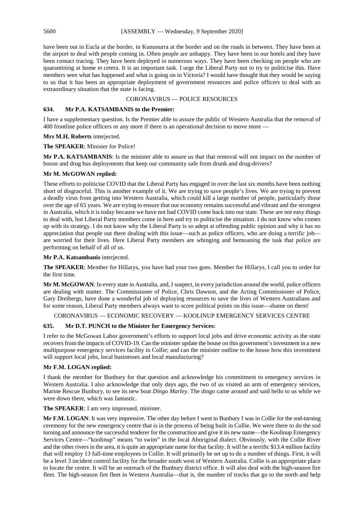have been out in Eucla at the border, in Kununurra at the border and on the roads in between. They have been at the airport to deal with people coming in. Often people are unhappy. They have been in our hotels and they have been contact tracing. They have been deployed in numerous ways. They have been checking on people who are quarantining at home et cetera. It is an important task. I urge the Liberal Party not to try to politicise this. Have members seen what has happened and what is going on in Victoria? I would have thought that they would be saying to us that it has been an appropriate deployment of government resources and police officers to deal with an extraordinary situation that the state is facing.

# CORONAVIRUS — POLICE RESOURCES

#### **634. Mr P.A. KATSAMBANIS to the Premier:**

I have a supplementary question. Is the Premier able to assure the public of Western Australia that the removal of 400 frontline police officers or any more if there is an operational decision to move more —

#### **Mrs M.H. Roberts** interjected.

# **The SPEAKER**: Minister for Police!

**Mr P.A. KATSAMBANIS**: Is the minister able to assure us that that removal will not impact on the number of booze and drug bus deployments that keep our community safe from drunk and drug-drivers?

# **Mr M. McGOWAN replied:**

These efforts to politicise COVID that the Liberal Party has engaged in over the last six months have been nothing short of disgraceful. This is another example of it. We are trying to save people's lives. We are trying to prevent a deadly virus from getting into Western Australia, which could kill a large number of people, particularly those over the age of 65 years. We are trying to ensure that our economy remains successful and vibrant and the strongest in Australia, which it is today because we have not had COVID come back into our state. These are not easy things to deal with, but Liberal Party members come in here and try to politicise the situation. I do not know who comes up with its strategy. I do not know why the Liberal Party is so adept at offending public opinion and why it has no appreciation that people out there dealing with this issue—such as police officers, who are doing a terrific job are worried for their lives. Here Liberal Party members are whinging and bemoaning the task that police are performing on behalf of all of us.

# **Mr P.A. Katsambanis** interjected.

**The SPEAKER**: Member for Hillarys, you have had your two goes. Member for Hillarys, I call you to order for the first time.

**Mr M. McGOWAN**: In every state in Australia, and, I suspect, in every jurisdiction around the world, police officers are dealing with matter. The Commissioner of Police, Chris Dawson, and the Acting Commissioner of Police, Gary Dreibergs, have done a wonderful job of deploying resources to save the lives of Western Australians and for some reason, Liberal Party members always want to score political points on this issue—shame on them!

# CORONAVIRUS — ECONOMIC RECOVERY — KOOLINUP EMERGENCY SERVICES CENTRE

#### **635. Mr D.T. PUNCH to the Minister for Emergency Services:**

I refer to the McGowan Labor government's efforts to support local jobs and drive economic activity as the state recovers from the impacts of COVID-19. Can the minister update the house on this government's investment in a new multipurpose emergency services facility in Collie; and can the minister outline to the house how this investment will support local jobs, local businesses and local manufacturing?

# **Mr F.M. LOGAN replied:**

I thank the member for Bunbury for that question and acknowledge his commitment to emergency services in Western Australia. I also acknowledge that only days ago, the two of us visited an arm of emergency services, Marine Rescue Bunbury, to see its new boat *Dingo Marley.* The dingo came around and said hello to us while we were down there, which was fantastic.

**The SPEAKER**: I am very impressed, minister.

**Mr F.M. LOGAN**: It was very impressive. The other day before I went to Bunbury I was in Collie for the sod-turning ceremony for the new emergency centre that is in the process of being built in Collie. We were there to do the sod turning and announce the successful tenderer for the construction and give it its new name—the Koolinup Emergency Services Centre—"koolinup" means "to swim" in the local Aboriginal dialect. Obviously, with the Collie River and the other rivers in the area, it is quite an appropriate name for that facility. It will be a terrific \$13.4 million facility that will employ 13 full-time employees in Collie. It will primarily be set up to do a number of things. First, it will be a level 3 incident control facility for the broader south west of Western Australia. Collie is an appropriate place to locate the centre. It will be an outreach of the Bunbury district office. It will also deal with the high-season fire fleet. The high-season fire fleet in Western Australia—that is, the number of trucks that go to the north and help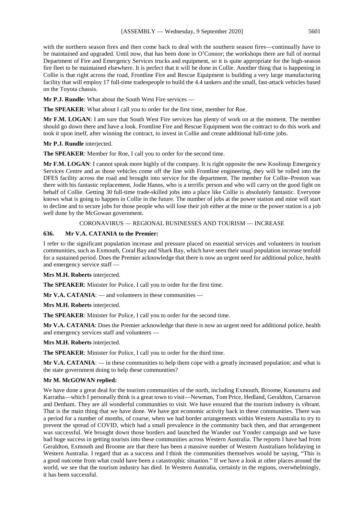with the northern season fires and then come back to deal with the southern season fires—continually have to be maintained and upgraded. Until now, that has been done in O'Connor; the workshops there are full of normal Department of Fire and Emergency Services trucks and equipment, so it is quite appropriate for the high-season fire fleet to be maintained elsewhere. It is perfect that it will be done in Collie. Another thing that is happening in Collie is that right across the road, Frontline Fire and Rescue Equipment is building a very large manufacturing facility that will employ 17 full-time tradespeople to build the 4.4 tankers and the small, fast-attack vehicles based on the Toyota chassis.

**Mr P.J. Rundle**: What about the South West Fire services —

**The SPEAKER**: What about I call you to order for the first time, member for Roe.

**Mr F.M. LOGAN**: I am sure that South West Fire services has plenty of work on at the moment. The member should go down there and have a look. Frontline Fire and Rescue Equipment won the contract to do this work and took it upon itself, after winning the contract, to invest in Collie and create additional full-time jobs.

# **Mr P.J. Rundle** interjected.

**The SPEAKER**: Member for Roe, I call you to order for the second time.

**Mr F.M. LOGAN**: I cannot speak more highly of the company. It is right opposite the new Koolinup Emergency Services Centre and as those vehicles come off the line with Frontline engineering, they will be rolled into the DFES facility across the road and brought into service for the department. The member for Collie–Preston was there with his fantastic replacement, Jodie Hanns, who is a terrific person and who will carry on the good fight on behalf of Collie. Getting 30 full-time trade-skilled jobs into a place like Collie is absolutely fantastic. Everyone knows what is going to happen in Collie in the future. The number of jobs at the power station and mine will start to decline and to secure jobs for those people who will lose their job either at the mine or the power station is a job well done by the McGowan government.

# CORONAVIRUS — REGIONAL BUSINESSES AND TOURISM — INCREASE

# **636. Mr V.A. CATANIA to the Premier:**

I refer to the significant population increase and pressure placed on essential services and volunteers in tourism communities, such as Exmouth, Coral Bay and Shark Bay, which have seen their usual population increase tenfold for a sustained period. Does the Premier acknowledge that there is now an urgent need for additional police, health and emergency service staff —

#### **Mrs M.H. Roberts** interjected.

**The SPEAKER**: Minister for Police, I call you to order for the first time.

**Mr V.A. CATANIA:** — and volunteers in these communities —

**Mrs M.H. Roberts** interjected.

**The SPEAKER**: Minister for Police, I call you to order for the second time.

**Mr V.A. CATANIA**: Does the Premier acknowledge that there is now an urgent need for additional police, health and emergency services staff and volunteers —

**Mrs M.H. Roberts** interjected.

**The SPEAKER**: Minister for Police, I call you to order for the third time.

**Mr V.A. CATANIA:** — in these communities to help them cope with a greatly increased population; and what is the state government doing to help these communities?

# **Mr M. McGOWAN replied:**

We have done a great deal for the tourism communities of the north, including Exmouth, Broome, Kununurra and Karratha—which I personally think is a great town to visit—Newman, Tom Price, Hedland, Geraldton, Carnarvon and Denham. They are all wonderful communities to visit. We have ensured that the tourism industry is vibrant. That is the main thing that we have done. We have got economic activity back in these communities. There was a period for a number of months, of course, when we had border arrangements within Western Australia to try to prevent the spread of COVID, which had a small prevalence in the community back then, and that arrangement was successful. We brought down those borders and launched the Wander out Yonder campaign and we have had huge success in getting tourists into these communities across Western Australia. The reports I have had from Geraldton, Exmouth and Broome are that there has been a massive number of Western Australians holidaying in Western Australia. I regard that as a success and I think the communities themselves would be saying, "This is a good outcome from what could have been a catastrophic situation." If we have a look at other places around the world, we see that the tourism industry has died. In Western Australia, certainly in the regions, overwhelmingly, it has been successful.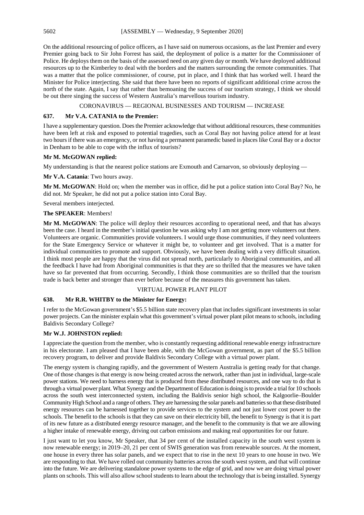On the additional resourcing of police officers, as I have said on numerous occasions, as the last Premier and every Premier going back to Sir John Forrest has said, the deployment of police is a matter for the Commissioner of Police. He deploys them on the basis of the assessed need on any given day or month. We have deployed additional resources up to the Kimberley to deal with the borders and the matters surrounding the remote communities. That was a matter that the police commissioner, of course, put in place, and I think that has worked well. I heard the Minister for Police interjecting. She said that there have been no reports of significant additional crime across the north of the state. Again, I say that rather than bemoaning the success of our tourism strategy, I think we should be out there singing the success of Western Australia's marvellous tourism industry.

CORONAVIRUS — REGIONAL BUSINESSES AND TOURISM — INCREASE

# **637. Mr V.A. CATANIA to the Premier:**

I have a supplementary question. Does the Premier acknowledge that without additional resources, these communities have been left at risk and exposed to potential tragedies, such as Coral Bay not having police attend for at least two hours if there was an emergency, or not having a permanent paramedic based in places like Coral Bay or a doctor in Denham to be able to cope with the influx of tourists?

# **Mr M. McGOWAN replied:**

My understanding is that the nearest police stations are Exmouth and Carnarvon, so obviously deploying —

# **Mr V.A. Catania**: Two hours away.

**Mr M. McGOWAN**: Hold on; when the member was in office, did he put a police station into Coral Bay? No, he did not. Mr Speaker, he did not put a police station into Coral Bay.

Several members interjected.

# **The SPEAKER**: Members!

**Mr M. McGOWAN**: The police will deploy their resources according to operational need, and that has always been the case. I heard in the member's initial question he was asking why I am not getting more volunteers out there. Volunteers are organic. Communities provide volunteers. I would urge those communities, if they need volunteers for the State Emergency Service or whatever it might be, to volunteer and get involved. That is a matter for individual communities to promote and support. Obviously, we have been dealing with a very difficult situation. I think most people are happy that the virus did not spread north, particularly to Aboriginal communities, and all the feedback I have had from Aboriginal communities is that they are so thrilled that the measures we have taken have so far prevented that from occurring. Secondly, I think those communities are so thrilled that the tourism trade is back better and stronger than ever before because of the measures this government has taken.

#### VIRTUAL POWER PLANT PILOT

# **638. Mr R.R. WHITBY to the Minister for Energy:**

I refer to the McGowan government's \$5.5 billion state recovery plan that includes significant investments in solar power projects. Can the minister explain what this government's virtual power plant pilot means to schools, including Baldivis Secondary College?

# **Mr W.J. JOHNSTON replied:**

I appreciate the question from the member, who is constantly requesting additional renewable energy infrastructure in his electorate. I am pleased that I have been able, with the McGowan government, as part of the \$5.5 billion recovery program, to deliver and provide Baldivis Secondary College with a virtual power plant.

The energy system is changing rapidly, and the government of Western Australia is getting ready for that change. One of those changes is that energy is now being created across the network, rather than just in individual, large-scale power stations. We need to harness energy that is produced from these distributed resources, and one way to do that is through a virtual power plant. What Synergy and the Department of Education is doing is to provide a trial for 10 schools across the south west interconnected system, including the Baldivis senior high school, the Kalgoorlie–Boulder Community High School and a range of others. They are harnessing the solar panels and batteries so that these distributed energy resources can be harnessed together to provide services to the system and not just lower cost power to the schools. The benefit to the schools is that they can save on their electricity bill, the benefit to Synergy is that it is part of its new future as a distributed energy resource manager, and the benefit to the community is that we are allowing a higher intake of renewable energy, driving out carbon emissions and making real opportunities for our future.

I just want to let you know, Mr Speaker, that 34 per cent of the installed capacity in the south west system is now renewable energy; in 2019–20, 21 per cent of SWIS generation was from renewable sources. At the moment, one house in every three has solar panels, and we expect that to rise in the next 10 years to one house in two. We are responding to that. We have rolled out community batteries across the south west system, and that will continue into the future. We are delivering standalone power systems to the edge of grid, and now we are doing virtual power plants on schools. This will also allow school students to learn about the technology that is being installed. Synergy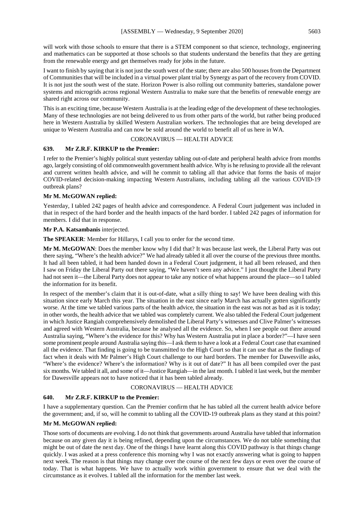will work with those schools to ensure that there is a STEM component so that science, technology, engineering and mathematics can be supported at those schools so that students understand the benefits that they are getting from the renewable energy and get themselves ready for jobs in the future.

I want to finish by saying that it is not just the south west of the state; there are also 500 houses from the Department of Communities that will be included in a virtual power plant trial by Synergy as part of the recovery from COVID. It is not just the south west of the state. Horizon Power is also rolling out community batteries, standalone power systems and microgrids across regional Western Australia to make sure that the benefits of renewable energy are shared right across our community.

This is an exciting time, because Western Australia is at the leading edge of the development of these technologies. Many of these technologies are not being delivered to us from other parts of the world, but rather being produced here in Western Australia by skilled Western Australian workers. The technologies that are being developed are unique to Western Australia and can now be sold around the world to benefit all of us here in WA.

# CORONAVIRUS — HEALTH ADVICE

# **639. Mr Z.R.F. KIRKUP to the Premier:**

I refer to the Premier's highly political stunt yesterday tabling out-of-date and peripheral health advice from months ago, largely consisting of old commonwealth government health advice. Why is he refusing to provide all the relevant and current written health advice, and will he commit to tabling all that advice that forms the basis of major COVID-related decision-making impacting Western Australians, including tabling all the various COVID-19 outbreak plans?

# **Mr M. McGOWAN replied:**

Yesterday, I tabled 242 pages of health advice and correspondence. A Federal Court judgement was included in that in respect of the hard border and the health impacts of the hard border. I tabled 242 pages of information for members. I did that in response.

# **Mr P.A. Katsambanis** interjected.

**The SPEAKER**: Member for Hillarys, I call you to order for the second time.

**Mr M. McGOWAN**: Does the member know why I did that? It was because last week, the Liberal Party was out there saying, "Where's the health advice?" We had already tabled it all over the course of the previous three months. It had all been tabled, it had been handed down in a Federal Court judgement, it had all been released, and then I saw on Friday the Liberal Party out there saying, "We haven't seen any advice." I just thought the Liberal Party had not seen it—the Liberal Party does not appear to take any notice of what happens around the place—so I tabled the information for its benefit.

In respect of the member's claim that it is out-of-date, what a silly thing to say! We have been dealing with this situation since early March this year. The situation in the east since early March has actually gotten significantly worse. At the time we tabled various parts of the health advice, the situation in the east was not as bad as it is today; in other words, the health advice that we tabled was completely current. We also tabled the Federal Court judgement in which Justice Rangiah comprehensively demolished the Liberal Party's witnesses and Clive Palmer's witnesses and agreed with Western Australia, because he analysed all the evidence. So, when I see people out there around Australia saying, "Where's the evidence for this? Why has Western Australia put in place a border?"—I have seen some prominent people around Australia saying this—I ask them to have a look at a Federal Court case that examined all the evidence. That finding is going to be transmitted to the High Court so that it can use that as the findings of fact when it deals with Mr Palmer's High Court challenge to our hard borders. The member for Dawesville asks, "Where's the evidence? Where's the information? Why is it out of date?" It has all been compiled over the past six months. We tabled it all, and some of it—Justice Rangiah—in the last month. I tabled it last week, but the member for Dawesville appears not to have noticed that it has been tabled already.

# CORONAVIRUS — HEALTH ADVICE

# **640. Mr Z.R.F. KIRKUP to the Premier:**

I have a supplementary question. Can the Premier confirm that he has tabled all the current health advice before the government; and, if so, will he commit to tabling all the COVID-19 outbreak plans as they stand at this point?

# **Mr M. McGOWAN replied:**

Those sorts of documents are evolving. I do not think that governments around Australia have tabled that information because on any given day it is being refined, depending upon the circumstances. We do not table something that might be out of date the next day. One of the things I have learnt along this COVID pathway is that things change quickly. I was asked at a press conference this morning why I was not exactly answering what is going to happen next week. The reason is that things may change over the course of the next few days or even over the course of today. That is what happens. We have to actually work within government to ensure that we deal with the circumstance as it evolves. I tabled all the information for the member last week.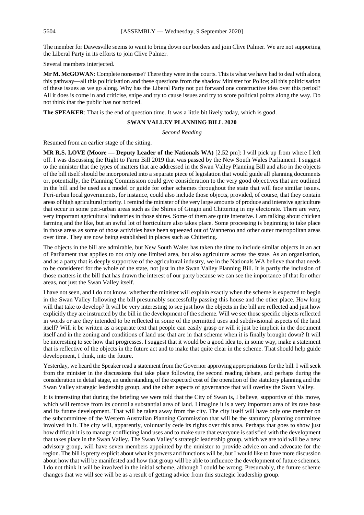The member for Dawesville seems to want to bring down our borders and join Clive Palmer. We are not supporting the Liberal Party in its efforts to join Clive Palmer.

Several members interjected.

**Mr M. McGOWAN**: Complete nonsense? There they were in the courts. This is what we have had to deal with along this pathway—all this politicisation and these questions from the shadow Minister for Police; all this politicisation of these issues as we go along. Why has the Liberal Party not put forward one constructive idea over this period? All it does is come in and criticise, snipe and try to cause issues and try to score political points along the way. Do not think that the public has not noticed.

**The SPEAKER**: That is the end of question time. It was a little bit lively today, which is good.

#### **SWAN VALLEY PLANNING BILL 2020**

*Second Reading*

Resumed from an earlier stage of the sitting.

**MR R.S. LOVE (Moore — Deputy Leader of the Nationals WA)** [2.52 pm]: I will pick up from where I left off. I was discussing the Right to Farm Bill 2019 that was passed by the New South Wales Parliament. I suggest to the minister that the types of matters that are addressed in the Swan Valley Planning Bill and also in the objects of the bill itself should be incorporated into a separate piece of legislation that would guide all planning documents or, potentially, the Planning Commission could give consideration to the very good objectives that are outlined in the bill and be used as a model or guide for other schemes throughout the state that will face similar issues. Peri-urban local governments, for instance, could also include those objects, provided, of course, that they contain areas of high agricultural priority. I remind the minister of the very large amounts of produce and intensive agriculture that occur in some peri-urban areas such as the Shires of Gingin and Chittering in my electorate. There are very, very important agricultural industries in those shires. Some of them are quite intensive. I am talking about chicken farming and the like, but an awful lot of horticulture also takes place. Some processing is beginning to take place in those areas as some of those activities have been squeezed out of Wanneroo and other outer metropolitan areas over time. They are now being established in places such as Chittering.

The objects in the bill are admirable, but New South Wales has taken the time to include similar objects in an act of Parliament that applies to not only one limited area, but also agriculture across the state. As an organisation, and as a party that is deeply supportive of the agricultural industry, we in the Nationals WA believe that that needs to be considered for the whole of the state, not just in the Swan Valley Planning Bill. It is partly the inclusion of those matters in the bill that has drawn the interest of our party because we can see the importance of that for other areas, not just the Swan Valley itself.

I have not seen, and I do not know, whether the minister will explain exactly when the scheme is expected to begin in the Swan Valley following the bill presumably successfully passing this house and the other place. How long will that take to develop? It will be very interesting to see just how the objects in the bill are reflected and just how explicitly they are instructed by the bill in the development of the scheme. Will we see those specific objects reflected in words or are they intended to be reflected in some of the permitted uses and subdivisional aspects of the land itself? Will it be written as a separate text that people can easily grasp or will it just be implicit in the document itself and in the zoning and conditions of land use that are in that scheme when it is finally brought down? It will be interesting to see how that progresses. I suggest that it would be a good idea to, in some way, make a statement that is reflective of the objects in the future act and to make that quite clear in the scheme. That should help guide development, I think, into the future.

Yesterday, we heard the Speaker read a statement from the Governor approving appropriations for the bill. I will seek from the minister in the discussions that take place following the second reading debate, and perhaps during the consideration in detail stage, an understanding of the expected cost of the operation of the statutory planning and the Swan Valley strategic leadership group, and the other aspects of governance that will overlay the Swan Valley.

It is interesting that during the briefing we were told that the City of Swan is, I believe, supportive of this move, which will remove from its control a substantial area of land. I imagine it is a very important area of its rate base and its future development. That will be taken away from the city. The city itself will have only one member on the subcommittee of the Western Australian Planning Commission that will be the statutory planning committee involved in it. The city will, apparently, voluntarily cede its rights over this area. Perhaps that goes to show just how difficult it is to manage conflicting land uses and to make sure that everyone is satisfied with the development that takes place in the Swan Valley. The Swan Valley's strategic leadership group, which we are told will be a new advisory group, will have seven members appointed by the minister to provide advice on and advocate for the region. The bill is pretty explicit about what its powers and functions will be, but I would like to have more discussion about how that will be manifested and how that group will be able to influence the development of future schemes. I do not think it will be involved in the initial scheme, although I could be wrong. Presumably, the future scheme changes that we will see will be as a result of getting advice from this strategic leadership group.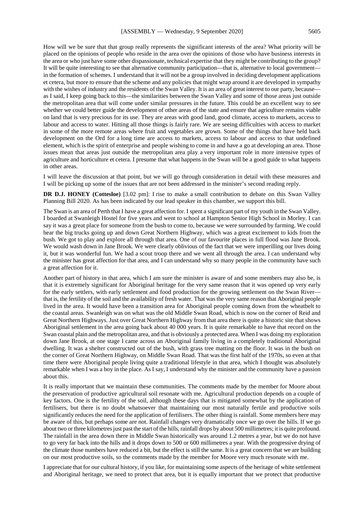How will we be sure that that group really represents the significant interests of the area? What priority will be placed on the opinions of people who reside in the area over the opinions of those who have business interests in the area or who just have some other dispassionate, technical expertise that they might be contributing to the group? It will be quite interesting to see that alternative community participation—that is, alternative to local government in the formation of schemes. I understand that it will not be a group involved in deciding development applications et cetera, but more to ensure that the scheme and any policies that might wrap around it are developed in sympathy with the wishes of industry and the residents of the Swan Valley. It is an area of great interest to our party, because as I said, I keep going back to this—the similarities between the Swan Valley and some of those areas just outside the metropolitan area that will come under similar pressures in the future. This could be an excellent way to see whether we could better guide the development of other areas of the state and ensure that agriculture remains viable on land that is very precious for its use. They are areas with good land, good climate, access to markets, access to labour and access to water. Hitting all those things is fairly rare. We are seeing difficulties with access to market in some of the more remote areas where fruit and vegetables are grown. Some of the things that have held back development on the Ord for a long time are access to markets, access to labour and access to that undefined element, which is the spirit of enterprise and people wishing to come in and have a go at developing an area. Those issues mean that areas just outside the metropolitan area play a very important role in more intensive types of agriculture and horticulture et cetera. I presume that what happens in the Swan will be a good guide to what happens in other areas.

I will leave the discussion at that point, but we will go through consideration in detail with these measures and I will be picking up some of the issues that are not been addressed in the minister's second reading reply.

**DR D.J. HONEY (Cottesloe)** [3.02 pm]: I rise to make a small contribution to debate on this Swan Valley Planning Bill 2020. As has been indicated by our lead speaker in this chamber, we support this bill.

The Swan is an area of Perth that I have a great affection for. I spent a significant part of my youth in the Swan Valley. I boarded at Swanleigh Hostel for five years and went to school at Hampton Senior High School in Morley. I can say it was a great place for someone from the bush to come to, because we were surrounded by farming. We could hear the big trucks going up and down Great Northern Highway, which was a great excitement to kids from the bush. We got to play and explore all through that area. One of our favourite places in full flood was Jane Brook. We would wash down in Jane Brook. We were clearly oblivious of the fact that we were imperilling our lives doing it, but it was wonderful fun. We had a scout troop there and we went all through the area. I can understand why the minister has great affection for that area, and I can understand why so many people in the community have such a great affection for it.

Another part of history in that area, which I am sure the minister is aware of and some members may also be, is that it is extremely significant for Aboriginal heritage for the very same reason that it was opened up very early for the early settlers, with early settlement and food production for the growing settlement on the Swan River that is, the fertility of the soil and the availability of fresh water. That was the very same reason that Aboriginal people lived in the area. It would have been a transition area for Aboriginal people coming down from the wheatbelt to the coastal areas. Swanleigh was on what was the old Middle Swan Road, which is now on the corner of Reid and Great Northern Highways. Just over Great Northern Highway from that area there is quite a historic site that shows Aboriginal settlement in the area going back about 40 000 years. It is quite remarkable to have that record on the Swan coastal plain and the metropolitan area, and that is obviously a protected area. When I was doing my exploration down Jane Brook, at one stage I came across an Aboriginal family living in a completely traditional Aboriginal dwelling. It was a shelter constructed out of the bush, with grass tree matting on the floor. It was in the bush on the corner of Great Northern Highway, on Middle Swan Road. That was the first half of the 1970s, so even at that time there were Aboriginal people living quite a traditional lifestyle in that area, which I thought was absolutely remarkable when I was a boy in the place. As I say, I understand why the minister and the community have a passion about this.

It is really important that we maintain these communities. The comments made by the member for Moore about the preservation of productive agricultural soil resonate with me. Agricultural production depends on a couple of key factors. One is the fertility of the soil, although these days that is mitigated somewhat by the application of fertilisers, but there is no doubt whatsoever that maintaining our most naturally fertile and productive soils significantly reduces the need for the application of fertilisers. The other thing is rainfall. Some members here may be aware of this, but perhaps some are not. Rainfall changes very dramatically once we go over the hills. If we go about two or three kilometres just past the start of the hills, rainfall drops by about 500 millimetres; it is quite profound. The rainfall in the area down there in Middle Swan historically was around 1.2 metres a year, but we do not have to go very far back into the hills and it drops down to 500 or 600 millimetres a year. With the progressive drying of the climate those numbers have reduced a bit, but the effect is still the same. It is a great concern that we are building on our most productive soils, so the comments made by the member for Moore very much resonate with me.

I appreciate that for our cultural history, if you like, for maintaining some aspects of the heritage of white settlement and Aboriginal heritage, we need to protect that area, but it is equally important that we protect that productive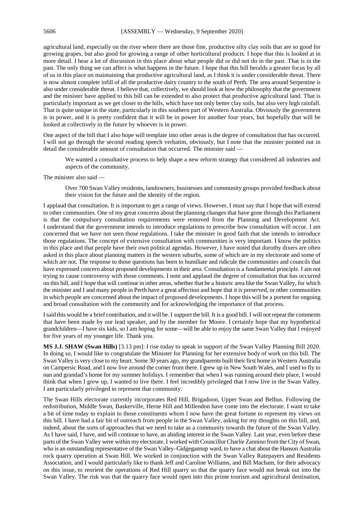agricultural land, especially on the river where there are those fine, productive silty clay soils that are so good for growing grapes, but also good for growing a range of other horticultural products. I hope that this is looked at in more detail. I hear a lot of discussion in this place about what people did or did not do in the past. That is in the past. The only thing we can affect is what happens in the future. I hope that this bill heralds a greater focus by all of us in this place on maintaining that productive agricultural land, as I think it is under considerable threat. There is now almost complete infill of all the productive dairy country to the south of Perth. The area around Serpentine is also under considerable threat. I believe that, collectively, we should look at how the philosophy that the government and the minister have applied to this bill can be extended to also protect that productive agricultural land. That is particularly important as we get closer to the hills, which have not only better clay soils, but also very high rainfall. That is quite unique in the state, particularly in this southern part of Western Australia. Obviously the government is in power, and it is pretty confident that it will be in power for another four years, but hopefully that will be looked at collectively in the future by whoever is in power.

One aspect of the bill that I also hope will template into other areas is the degree of consultation that has occurred. I will not go through the second reading speech verbatim, obviously, but I note that the minister pointed out in detail the considerable amount of consultation that occurred. The minister said —

We wanted a consultative process to help shape a new reform strategy that considered all industries and aspects of the community.

The minister also said -

Over 700 Swan Valley residents, landowners, businesses and community groups provided feedback about their vision for the future and the identity of the region.

I applaud that consultation. It is important to get a range of views. However, I must say that I hope that will extend to other communities. One of my great concerns about the planning changes that have gone through this Parliament is that the compulsory consultation requirements were removed from the Planning and Development Act. I understand that the government intends to introduce regulations to prescribe how consultation will occur. I am concerned that we have not seen those regulations. I take the minister in good faith that she intends to introduce those regulations. The concept of extensive consultation with communities is very important. I know the politics in this place and that people have their own political agendas. However, I have noted that dorothy dixers are often asked in this place about planning matters in the western suburbs, some of which are in my electorate and some of which are not. The response to those questions has been to humiliate and ridicule the communities and councils that have expressed concern about proposed developments in their area. Consultation is a fundamental principle. I am not trying to cause controversy with those comments. I note and applaud the degree of consultation that has occurred on this bill, and I hope that will continue in other areas, whether that be a historic area like the Swan Valley, for which the minister and I and many people in Perth have a great affection and hope that it is preserved, or other communities in which people are concerned about the impact of proposed developments. I hope this will be a portent for ongoing and broad consultation with the community and for acknowledging the importance of that process.

I said this would be a brief contribution, and it will be. I support the bill. It is a good bill. I will not repeat the comments that have been made by our lead speaker, and by the member for Moore. I certainly hope that my hypothetical grandchildren—I have six kids, so I am hoping for some—will be able to enjoy the same Swan Valley that I enjoyed for five years of my younger life. Thank you.

**MS J.J. SHAW (Swan Hills)** [3.13 pm]: I rise today to speak in support of the Swan Valley Planning Bill 2020. In doing so, I would like to congratulate the Minister for Planning for her extensive body of work on this bill. The Swan Valley is very close to my heart. Some 30 years ago, my grandparents built their first home in Western Australia on Campersic Road, and I now live around the corner from there. I grew up in New South Wales, and I used to fly to nan and grandad's home for my summer holidays. I remember that when I was running around their place, I would think that when I grew up, I wanted to live there. I feel incredibly privileged that I now live in the Swan Valley. I am particularly privileged to represent that community.

The Swan Hills electorate currently incorporates Red Hill, Brigadoon, Upper Swan and Belhus. Following the redistribution, Middle Swan, Baskerville, Herne Hill and Millendon have come into the electorate. I want to take a bit of time today to explain to those constituents whom I now have the great fortune to represent my views on this bill. I have had a fair bit of outreach from people in the Swan Valley, asking for my thoughts on this bill, and, indeed, about the sorts of approaches that we need to take as a community towards the future of the Swan Valley. As I have said, I have, and will continue to have, an abiding interest in the Swan Valley. Last year, even before these parts of the Swan Valley were within my electorate, I worked with Councillor Charlie Zannino from the City of Swan, who is an outstanding representative of the Swan Valley–Gidgegannup ward, to have a chat about the Hanson Australia rock quarry operation at Swan Hill. We worked in conjunction with the Swan Valley Ratepayers and Residents Association, and I would particularly like to thank Jeff and Caroline Williams, and Bill Macham, for their advocacy on this issue, to reorient the operations of Red Hill quarry so that the quarry face would not break out into the Swan Valley. The risk was that the quarry face would open into this prime tourism and agricultural destination,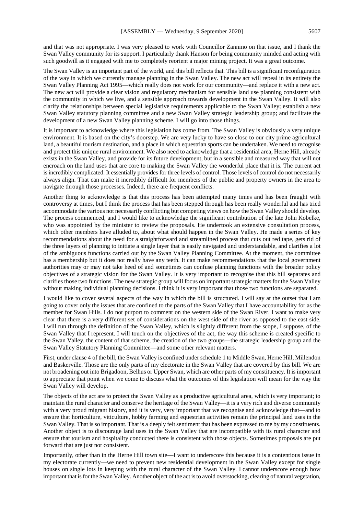and that was not appropriate. I was very pleased to work with Councillor Zannino on that issue, and I thank the Swan Valley community for its support. I particularly thank Hanson for being community minded and acting with such goodwill as it engaged with me to completely reorient a major mining project. It was a great outcome.

The Swan Valley is an important part of the world, and this bill reflects that. This bill is a significant reconfiguration of the way in which we currently manage planning in the Swan Valley. The new act will repeal in its entirety the Swan Valley Planning Act 1995—which really does not work for our community—and replace it with a new act. The new act will provide a clear vision and regulatory mechanism for sensible land use planning consistent with the community in which we live, and a sensible approach towards development in the Swan Valley. It will also clarify the relationships between special legislative requirements applicable to the Swan Valley; establish a new Swan Valley statutory planning committee and a new Swan Valley strategic leadership group; and facilitate the development of a new Swan Valley planning scheme. I will go into those things.

It is important to acknowledge where this legislation has come from. The Swan Valley is obviously a very unique environment. It is based on the city's doorstep. We are very lucky to have so close to our city prime agricultural land, a beautiful tourism destination, and a place in which equestrian sports can be undertaken. We need to recognise and protect this unique rural environment. We also need to acknowledge that a residential area, Herne Hill, already exists in the Swan Valley, and provide for its future development, but in a sensible and measured way that will not encroach on the land uses that are core to making the Swan Valley the wonderful place that it is. The current act is incredibly complicated. It essentially provides for three levels of control. Those levels of control do not necessarily always align. That can make it incredibly difficult for members of the public and property owners in the area to navigate through those processes. Indeed, there are frequent conflicts.

Another thing to acknowledge is that this process has been attempted many times and has been fraught with controversy at times, but I think the process that has been stepped through has been really wonderful and has tried accommodate the various not necessarily conflicting but competing views on how the Swan Valley should develop. The process commenced, and I would like to acknowledge the significant contribution of the late John Kobelke, who was appointed by the minister to review the proposals. He undertook an extensive consultation process, which other members have alluded to, about what should happen in the Swan Valley. He made a series of key recommendations about the need for a straightforward and streamlined process that cuts out red tape, gets rid of the three layers of planning to initiate a single layer that is easily navigated and understandable, and clarifies a lot of the ambiguous functions carried out by the Swan Valley Planning Committee. At the moment, the committee has a membership but it does not really have any teeth. It can make recommendations that the local government authorities may or may not take heed of and sometimes can confuse planning functions with the broader policy objectives of a strategic vision for the Swan Valley. It is very important to recognise that this bill separates and clarifies those two functions. The new strategic group will focus on important strategic matters for the Swan Valley without making individual planning decisions. I think it is very important that those two functions are separated.

I would like to cover several aspects of the way in which the bill is structured. I will say at the outset that I am going to cover only the issues that are confined to the parts of the Swan Valley that I have accountability for as the member for Swan Hills. I do not purport to comment on the western side of the Swan River. I want to make very clear that there is a very different set of considerations on the west side of the river as opposed to the east side. I will run through the definition of the Swan Valley, which is slightly different from the scope, I suppose, of the Swan Valley that I represent. I will touch on the objectives of the act, the way this scheme is created specific to the Swan Valley, the content of that scheme, the creation of the two groups—the strategic leadership group and the Swan Valley Statutory Planning Committee—and some other relevant matters.

First, under clause 4 of the bill, the Swan Valley is confined under schedule 1 to Middle Swan, Herne Hill, Millendon and Baskerville. Those are the only parts of my electorate in the Swan Valley that are covered by this bill. We are not broadening out into Brigadoon, Belhus or Upper Swan, which are other parts of my constituency. It is important to appreciate that point when we come to discuss what the outcomes of this legislation will mean for the way the Swan Valley will develop.

The objects of the act are to protect the Swan Valley as a productive agricultural area, which is very important; to maintain the rural character and conserve the heritage of the Swan Valley—it is a very rich and diverse community with a very proud migrant history, and it is very, very important that we recognise and acknowledge that—and to ensure that horticulture, viticulture, hobby farming and equestrian activities remain the principal land uses in the Swan Valley. That is so important. That is a deeply felt sentiment that has been expressed to me by my constituents. Another object is to discourage land uses in the Swan Valley that are incompatible with its rural character and ensure that tourism and hospitality conducted there is consistent with those objects. Sometimes proposals are put forward that are just not consistent.

Importantly, other than in the Herne Hill town site—I want to underscore this because it is a contentious issue in my electorate currently—we need to prevent new residential development in the Swan Valley except for single houses on single lots in keeping with the rural character of the Swan Valley. I cannot underscore enough how important that is for the Swan Valley. Another object of the act is to avoid overstocking, clearing of natural vegetation,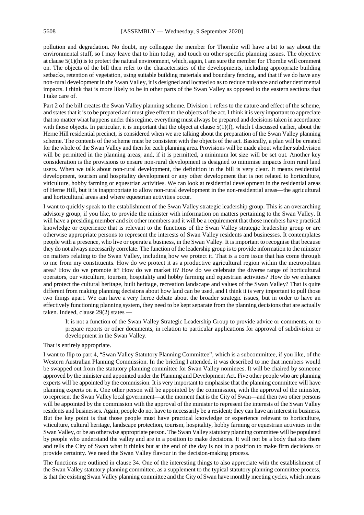pollution and degradation. No doubt, my colleague the member for Thornlie will have a bit to say about the environmental stuff, so I may leave that to him today, and touch on other specific planning issues. The objective at clause 5(1)(h) is to protect the natural environment, which, again, I am sure the member for Thornlie will comment on. The objects of the bill then refer to the characteristics of the developments, including appropriate building setbacks, retention of vegetation, using suitable building materials and boundary fencing, and that if we do have any non-rural development in the Swan Valley, it is designed and located so as to reduce nuisance and other detrimental impacts. I think that is more likely to be in other parts of the Swan Valley as opposed to the eastern sections that I take care of.

Part 2 of the bill creates the Swan Valley planning scheme. Division 1 refers to the nature and effect of the scheme, and states that it is to be prepared and must give effect to the objects of the act. I think it is very important to appreciate that no matter what happens under this regime, everything must always be prepared and decisions taken in accordance with those objects. In particular, it is important that the object at clause  $5(1)(f)$ , which I discussed earlier, about the Herne Hill residential precinct, is considered when we are talking about the preparation of the Swan Valley planning scheme. The contents of the scheme must be consistent with the objects of the act. Basically, a plan will be created for the whole of the Swan Valley and then for each planning area. Provisions will be made about whether subdivision will be permitted in the planning areas; and, if it is permitted, a minimum lot size will be set out. Another key consideration is the provisions to ensure non-rural development is designed to minimise impacts from rural land users. When we talk about non-rural development, the definition in the bill is very clear. It means residential development, tourism and hospitality development or any other development that is not related to horticulture, viticulture, hobby farming or equestrian activities. We can look at residential development in the residential areas of Herne Hill, but it is inappropriate to allow non-rural development in the non-residential areas—the agricultural and horticultural areas and where equestrian activities occur.

I want to quickly speak to the establishment of the Swan Valley strategic leadership group. This is an overarching advisory group, if you like, to provide the minister with information on matters pertaining to the Swan Valley. It will have a presiding member and six other members and it will be a requirement that those members have practical knowledge or experience that is relevant to the functions of the Swan Valley strategic leadership group or are otherwise appropriate persons to represent the interests of Swan Valley residents and businesses. It contemplates people with a presence, who live or operate a business, in the Swan Valley. It is important to recognise that because they do not always necessarily correlate. The function of the leadership group is to provide information to the minister on matters relating to the Swan Valley, including how we protect it. That is a core issue that has come through to me from my constituents. How do we protect it as a productive agricultural region within the metropolitan area? How do we promote it? How do we market it? How do we celebrate the diverse range of horticultural operators, our viticulture, tourism, hospitality and hobby farming and equestrian activities? How do we enhance and protect the cultural heritage, built heritage, recreation landscape and values of the Swan Valley? That is quite different from making planning decisions about how land can be used, and I think it is very important to pull those two things apart. We can have a very fierce debate about the broader strategic issues, but in order to have an effectively functioning planning system, they need to be kept separate from the planning decisions that are actually taken. Indeed, clause 29(2) states —

It is not a function of the Swan Valley Strategic Leadership Group to provide advice or comments, or to prepare reports or other documents, in relation to particular applications for approval of subdivision or development in the Swan Valley.

#### That is entirely appropriate.

I want to flip to part 4, "Swan Valley Statutory Planning Committee", which is a subcommittee, if you like, of the Western Australian Planning Commission. In the briefing I attended, it was described to me that members would be swapped out from the statutory planning committee for Swan Valley nominees. It will be chaired by someone approved by the minister and appointed under the Planning and Development Act. Five other people who are planning experts will be appointed by the commission. It is very important to emphasise that the planning committee will have planning experts on it. One other person will be appointed by the commission, with the approval of the minister, to represent the Swan Valley local government—at the moment that is the City of Swan—and then two other persons will be appointed by the commission with the approval of the minister to represent the interests of the Swan Valley residents and businesses. Again, people do not have to necessarily be a resident; they can have an interest in business. But the key point is that those people must have practical knowledge or experience relevant to horticulture, viticulture, cultural heritage, landscape protection, tourism, hospitality, hobby farming or equestrian activities in the Swan Valley, or be an otherwise appropriate person. The Swan Valley statutory planning committee will be populated by people who understand the valley and are in a position to make decisions. It will not be a body that sits there and tells the City of Swan what it thinks but at the end of the day is not in a position to make firm decisions or provide certainty. We need the Swan Valley flavour in the decision-making process.

The functions are outlined in clause 34. One of the interesting things to also appreciate with the establishment of the Swan Valley statutory planning committee, as a supplement to the typical statutory planning committee process, is that the existing Swan Valley planning committee and the City of Swan have monthly meeting cycles, which means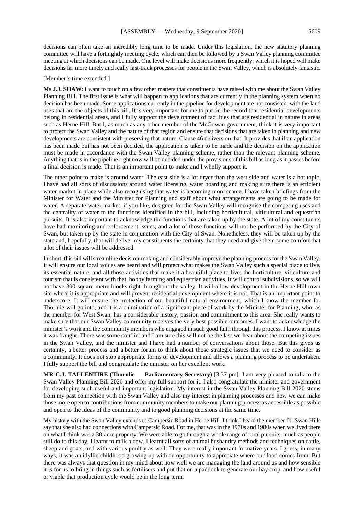decisions can often take an incredibly long time to be made. Under this legislation, the new statutory planning committee will have a fortnightly meeting cycle, which can then be followed by a Swan Valley planning committee meeting at which decisions can be made. One level will make decisions more frequently, which it is hoped will make decisions far more timely and really fast-track processes for people in the Swan Valley, which is absolutely fantastic.

[Member's time extended.]

**Ms J.J. SHAW**: I want to touch on a few other matters that constituents have raised with me about the Swan Valley Planning Bill. The first issue is what will happen to applications that are currently in the planning system when no decision has been made. Some applications currently in the pipeline for development are not consistent with the land uses that are the objects of this bill. It is very important for me to put on the record that residential developments belong in residential areas, and I fully support the development of facilities that are residential in nature in areas such as Herne Hill. But I, as much as any other member of the McGowan government, think it is very important to protect the Swan Valley and the nature of that region and ensure that decisions that are taken in planning and new developments are consistent with preserving that nature. Clause 46 delivers on that. It provides that if an application has been made but has not been decided, the application is taken to be made and the decision on the application must be made in accordance with the Swan Valley planning scheme, rather than the relevant planning scheme. Anything that is in the pipeline right now will be decided under the provisions of this bill as long as it passes before a final decision is made. That is an important point to make and I wholly support it.

The other point to make is around water. The east side is a lot dryer than the west side and water is a hot topic. I have had all sorts of discussions around water licensing, water hoarding and making sure there is an efficient water market in place while also recognising that water is becoming more scarce. I have taken briefings from the Minister for Water and the Minister for Planning and staff about what arrangements are going to be made for water. A separate water market, if you like, designed for the Swan Valley will recognise the competing uses and the centrality of water to the functions identified in the bill, including horticultural, viticultural and equestrian pursuits. It is also important to acknowledge the functions that are taken up by the state. A lot of my constituents have had monitoring and enforcement issues, and a lot of those functions will not be performed by the City of Swan, but taken up by the state in conjunction with the City of Swan. Nonetheless, they will be taken up by the state and, hopefully, that will deliver my constituents the certainty that they need and give them some comfort that a lot of their issues will be addressed.

In short, this bill will streamline decision-making and considerably improve the planning process for the Swan Valley. It will ensure our local voices are heard and will protect what makes the Swan Valley such a special place to live, its essential nature, and all those activities that make it a beautiful place to live: the horticulture, viticulture and tourism that is consistent with that, hobby farming and equestrian activities. It will control subdivisions, so we will not have 300-square-metre blocks right throughout the valley. It will allow development in the Herne Hill town site where it is appropriate and will prevent residential development where it is not. That is an important point to underscore. It will ensure the protection of our beautiful natural environment, which I know the member for Thornlie will go into, and it is a culmination of a significant piece of work by the Minister for Planning, who, as the member for West Swan, has a considerable history, passion and commitment to this area. She really wants to make sure that our Swan Valley community receives the very best possible outcomes. I want to acknowledge the minister's work and the community members who engaged in such good faith through this process. I know at times it was fraught. There was some conflict and I am sure this will not be the last we hear about the competing issues in the Swan Valley, and the minister and I have had a number of conversations about those. But this gives us certainty, a better process and a better forum to think about those strategic issues that we need to consider as a community. It does not stop appropriate forms of development and allows a planning process to be undertaken. I fully support the bill and congratulate the minister on her excellent work.

**MR C.J. TALLENTIRE (Thornlie — Parliamentary Secretary)** [3.37 pm]: I am very pleased to talk to the Swan Valley Planning Bill 2020 and offer my full support for it. I also congratulate the minister and government for developing such useful and important legislation. My interest in the Swan Valley Planning Bill 2020 stems from my past connection with the Swan Valley and also my interest in planning processes and how we can make those more open to contributions from community members to make our planning process as accessible as possible and open to the ideas of the community and to good planning decisions at the same time.

My history with the Swan Valley extends to Campersic Road in Herne Hill. I think I heard the member for Swan Hills say that she also had connections with Campersic Road. For me, that was in the 1970s and 1980s when we lived there on what I think was a 30-acre property. We were able to go through a whole range of rural pursuits, much as people still do to this day. I learnt to milk a cow. I learnt all sorts of animal husbandry methods and techniques on cattle, sheep and goats, and with various poultry as well. They were really important formative years. I guess, in many ways, it was an idyllic childhood growing up with an opportunity to appreciate where our food comes from. But there was always that question in my mind about how well we are managing the land around us and how sensible it is for us to bring in things such as fertilisers and put that on a paddock to generate our hay crop, and how useful or viable that production cycle would be in the long term.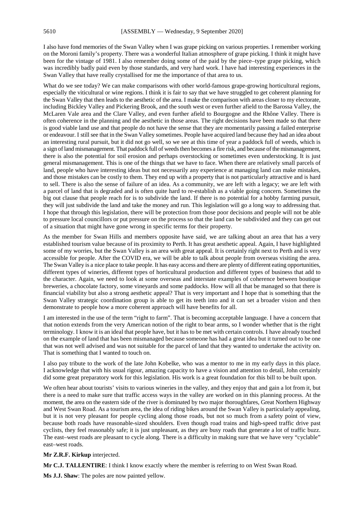I also have fond memories of the Swan Valley when I was grape picking on various properties. I remember working on the Moroni family's property. There was a wonderful Italian atmosphere of grape picking. I think it might have been for the vintage of 1981. I also remember doing some of the paid by the piece–type grape picking, which was incredibly badly paid even by those standards, and very hard work. I have had interesting experiences in the Swan Valley that have really crystallised for me the importance of that area to us.

What do we see today? We can make comparisons with other world-famous grape-growing horticultural regions, especially the viticultural or wine regions. I think it is fair to say that we have struggled to get coherent planning for the Swan Valley that then leads to the aesthetic of the area. I make the comparison with areas closer to my electorate, including Bickley Valley and Pickering Brook, and the south west or even further afield to the Barossa Valley, the McLaren Vale area and the Clare Valley, and even further afield to Bourgogne and the Rhône Valley. There is often coherence in the planning and the aesthetic in those areas. The right decisions have been made so that there is good viable land use and that people do not have the sense that they are momentarily passing a failed enterprise or endeavour. I still see that in the Swan Valley sometimes. People have acquired land because they had an idea about an interesting rural pursuit, but it did not go well, so we see at this time of year a paddock full of weeds, which is a sign of land mismanagement. That paddock full of weeds then becomes a fire risk, and because of the mismanagement, there is also the potential for soil erosion and perhaps overstocking or sometimes even understocking. It is just general mismanagement. This is one of the things that we have to face. When there are relatively small parcels of land, people who have interesting ideas but not necessarily any experience at managing land can make mistakes, and those mistakes can be costly to them. They end up with a property that is not particularly attractive and is hard to sell. There is also the sense of failure of an idea. As a community, we are left with a legacy; we are left with a parcel of land that is degraded and is often quite hard to re-establish as a viable going concern. Sometimes the big out clause that people reach for is to subdivide the land. If there is no potential for a hobby farming pursuit, they will just subdivide the land and take the money and run. This legislation will go a long way to addressing that. I hope that through this legislation, there will be protection from those poor decisions and people will not be able to pressure local councillors or put pressure on the process so that the land can be subdivided and they can get out of a situation that might have gone wrong in specific terms for their property.

As the member for Swan Hills and members opposite have said, we are talking about an area that has a very established tourism value because of its proximity to Perth. It has great aesthetic appeal. Again, I have highlighted some of my worries, but the Swan Valley is an area with great appeal. It is certainly right next to Perth and is very accessible for people. After the COVID era, we will be able to talk about people from overseas visiting the area. The Swan Valley is a nice place to take people. It has easy access and there are plenty of different eating opportunities, different types of wineries, different types of horticultural production and different types of business that add to the character. Again, we need to look at some overseas and interstate examples of coherence between boutique breweries, a chocolate factory, some vineyards and some paddocks. How will all that be managed so that there is financial viability but also a strong aesthetic appeal? That is very important and I hope that is something that the Swan Valley strategic coordination group is able to get its teeth into and it can set a broader vision and then demonstrate to people how a more coherent approach will have benefits for all.

I am interested in the use of the term "right to farm". That is becoming acceptable language. I have a concern that that notion extends from the very American notion of the right to bear arms, so I wonder whether that is the right terminology. I know it is an ideal that people have, but it has to be met with certain controls. I have already touched on the example of land that has been mismanaged because someone has had a great idea but it turned out to be one that was not well advised and was not suitable for the parcel of land that they wanted to undertake the activity on. That is something that I wanted to touch on.

I also pay tribute to the work of the late John Kobelke, who was a mentor to me in my early days in this place. I acknowledge that with his usual rigour, amazing capacity to have a vision and attention to detail, John certainly did some great preparatory work for this legislation. His work is a great foundation for this bill to be built upon.

We often hear about tourists' visits to various wineries in the valley, and they enjoy that and gain a lot from it, but there is a need to make sure that traffic access ways in the valley are worked on in this planning process. At the moment, the area on the eastern side of the river is dominated by two major thoroughfares, Great Northern Highway and West Swan Road. As a tourism area, the idea of riding bikes around the Swan Valley is particularly appealing, but it is not very pleasant for people cycling along those roads, but not so much from a safety point of view, because both roads have reasonable-sized shoulders. Even though road trains and high-speed traffic drive past cyclists, they feel reasonably safe; it is just unpleasant, as they are busy roads that generate a lot of traffic buzz. The east–west roads are pleasant to cycle along. There is a difficulty in making sure that we have very "cyclable" east–west roads.

#### **Mr Z.R.F. Kirkup** interjected.

**Mr C.J. TALLENTIRE**: I think I know exactly where the member is referring to on West Swan Road.

**Ms J.J. Shaw**: The poles are now painted yellow.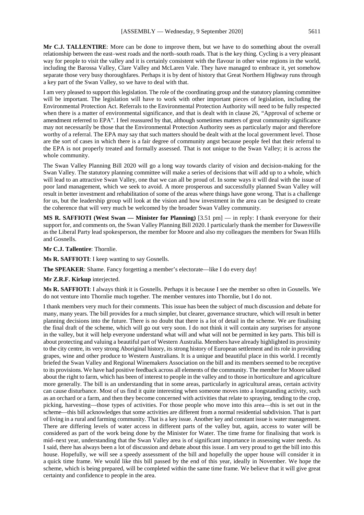**Mr C.J. TALLENTIRE**: More can be done to improve them, but we have to do something about the overall relationship between the east–west roads and the north–south roads. That is the key thing. Cycling is a very pleasant way for people to visit the valley and it is certainly consistent with the flavour in other wine regions in the world, including the Barossa Valley, Clare Valley and McLaren Vale. They have managed to embrace it, yet somehow separate those very busy thoroughfares. Perhaps it is by dent of history that Great Northern Highway runs through a key part of the Swan Valley, so we have to deal with that.

I am very pleased to support this legislation. The role of the coordinating group and the statutory planning committee will be important. The legislation will have to work with other important pieces of legislation, including the Environmental Protection Act. Referrals to the Environmental Protection Authority will need to be fully respected when there is a matter of environmental significance, and that is dealt with in clause 26, "Approval of scheme or amendment referred to EPA". I feel reassured by that, although sometimes matters of great community significance may not necessarily be those that the Environmental Protection Authority sees as particularly major and therefore worthy of a referral. The EPA may say that such matters should be dealt with at the local government level. Those are the sort of cases in which there is a fair degree of community angst because people feel that their referral to the EPA is not properly treated and formally assessed. That is not unique to the Swan Valley; it is across the whole community.

The Swan Valley Planning Bill 2020 will go a long way towards clarity of vision and decision-making for the Swan Valley. The statutory planning committee will make a series of decisions that will add up to a whole, which will lead to an attractive Swan Valley, one that we can all be proud of. In some ways it will deal with the issue of poor land management, which we seek to avoid. A more prosperous and successfully planned Swan Valley will result in better investment and rehabilitation of some of the areas where things have gone wrong. That is a challenge for us, but the leadership group will look at the vision and how investment in the area can be designed to create the coherence that will very much be welcomed by the broader Swan Valley community.

**MS R. SAFFIOTI (West Swan — Minister for Planning)** [3.51 pm] — in reply: I thank everyone for their support for, and comments on, the Swan Valley Planning Bill 2020. I particularly thank the member for Dawesville as the Liberal Party lead spokesperson, the member for Moore and also my colleagues the members for Swan Hills and Gosnells.

**Mr C.J. Tallentire**: Thornlie.

**Ms R. SAFFIOTI**: I keep wanting to say Gosnells.

**The SPEAKER**: Shame. Fancy forgetting a member's electorate—like I do every day!

**Mr Z.R.F. Kirkup** interjected.

**Ms R. SAFFIOTI**: I always think it is Gosnells. Perhaps it is because I see the member so often in Gosnells. We do not venture into Thornlie much together. The member ventures into Thornlie, but I do not.

I thank members very much for their comments. This issue has been the subject of much discussion and debate for many, many years. The bill provides for a much simpler, but clearer, governance structure, which will result in better planning decisions into the future. There is no doubt that there is a lot of detail in the scheme. We are finalising the final draft of the scheme, which will go out very soon. I do not think it will contain any surprises for anyone in the valley, but it will help everyone understand what will and what will not be permitted in key parts. This bill is about protecting and valuing a beautiful part of Western Australia. Members have already highlighted its proximity to the city centre, its very strong Aboriginal history, its strong history of European settlement and its role in providing grapes, wine and other produce to Western Australians. It is a unique and beautiful place in this world. I recently briefed the Swan Valley and Regional Winemakers Association on the bill and its members seemed to be receptive to its provisions. We have had positive feedback across all elements of the community. The member for Moore talked about the right to farm, which has been of interest to people in the valley and to those in horticulture and agriculture more generally. The bill is an understanding that in some areas, particularly in agricultural areas, certain activity can cause disturbance. Most of us find it quite interesting when someone moves into a longstanding activity, such as an orchard or a farm, and then they become concerned with activities that relate to spraying, tending to the crop, picking, harvesting—those types of activities. For those people who move into this area—this is set out in the scheme—this bill acknowledges that some activities are different from a normal residential subdivision. That is part of living in a rural and farming community. That is a key issue. Another key and constant issue is water management. There are differing levels of water access in different parts of the valley but, again, access to water will be considered as part of the work being done by the Minister for Water. The time frame for finalising that work is mid–next year, understanding that the Swan Valley area is of significant importance in assessing water needs. As I said, there has always been a lot of discussion and debate about this issue. I am very proud to get the bill into this house. Hopefully, we will see a speedy assessment of the bill and hopefully the upper house will consider it in a quick time frame. We would like this bill passed by the end of this year, ideally in November. We hope the scheme, which is being prepared, will be completed within the same time frame. We believe that it will give great certainty and confidence to people in the area.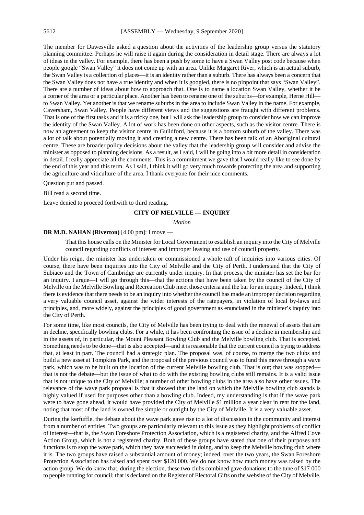The member for Dawesville asked a question about the activities of the leadership group versus the statutory planning committee. Perhaps he will raise it again during the consideration in detail stage. There are always a lot of ideas in the valley. For example, there has been a push by some to have a Swan Valley post code because when people google "Swan Valley" it does not come up with an area. Unlike Margaret River, which is an actual suburb, the Swan Valley is a collection of places—it is an identity rather than a suburb. There has always been a concern that the Swan Valley does not have a true identity and when it is googled, there is no pinpoint that says "Swan Valley". There are a number of ideas about how to approach that. One is to name a location Swan Valley, whether it be a corner of the area or a particular place. Another has been to rename one of the suburbs—for example, Herne Hill to Swan Valley. Yet another is that we rename suburbs in the area to include Swan Valley in the name. For example, Caversham, Swan Valley. People have different views and the suggestions are fraught with different problems. That is one of the first tasks and it is a tricky one, but I will ask the leadership group to consider how we can improve the identity of the Swan Valley. A lot of work has been done on other aspects, such as the visitor centre. There is now an agreement to keep the visitor centre in Guildford, because it is a bottom suburb of the valley. There was a lot of talk about potentially moving it and creating a new centre. There has been talk of an Aboriginal cultural centre. These are broader policy decisions about the valley that the leadership group will consider and advise the minister as opposed to planning decisions. As a result, as I said, I will be going into a bit more detail in consideration in detail. I really appreciate all the comments. This is a commitment we gave that I would really like to see done by the end of this year and this term. As I said, I think it will go very much towards protecting the area and supporting the agriculture and viticulture of the area. I thank everyone for their nice comments.

#### Question put and passed.

Bill read a second time.

Leave denied to proceed forthwith to third reading.

#### **CITY OF MELVILLE — INQUIRY**

*Motion*

#### **DR M.D. NAHAN (Riverton)** [4.00 pm]: I move —

That this house calls on the Minister for Local Government to establish an inquiry into the City of Melville council regarding conflicts of interest and improper leasing and use of council property.

Under his reign, the minister has undertaken or commissioned a whole raft of inquiries into various cities. Of course, there have been inquiries into the City of Melville and the City of Perth. I understand that the City of Subiaco and the Town of Cambridge are currently under inquiry. In that process, the minister has set the bar for an inquiry. I argue—I will go through this—that the actions that have been taken by the council of the City of Melville on the Melville Bowling and Recreation Club meet those criteria and the bar for an inquiry. Indeed, I think there is evidence that there needs to be an inquiry into whether the council has made an improper decision regarding a very valuable council asset, against the wider interests of the ratepayers, in violation of local by-laws and principles, and, more widely, against the principles of good government as enunciated in the minister's inquiry into the City of Perth.

For some time, like most councils, the City of Melville has been trying to deal with the renewal of assets that are in decline, specifically bowling clubs. For a while, it has been confronting the issue of a decline in membership and in the assets of, in particular, the Mount Pleasant Bowling Club and the Melville bowling club. That is accepted. Something needs to be done—that is also accepted—and it is reasonable that the current council is trying to address that, at least in part. The council had a strategic plan. The proposal was, of course, to merge the two clubs and build a new asset at Tompkins Park, and the proposal of the previous council was to fund this move through a wave park, which was to be built on the location of the current Melville bowling club. That is out; that was stopped that is not the debate—but the issue of what to do with the existing bowling clubs still remains. It is a valid issue that is not unique to the City of Melville; a number of other bowling clubs in the area also have other issues. The relevance of the wave park proposal is that it showed that the land on which the Melville bowling club stands is highly valued if used for purposes other than a bowling club. Indeed, my understanding is that if the wave park were to have gone ahead, it would have provided the City of Melville \$1 million a year clear in rent for the land, noting that most of the land is owned fee simple or outright by the City of Melville. It is a very valuable asset.

During the kerfuffle, the debate about the wave park gave rise to a lot of discussion in the community and interest from a number of entities. Two groups are particularly relevant to this issue as they highlight problems of conflict of interest—that is, the Swan Foreshore Protection Association, which is a registered charity, and the Alfred Cove Action Group, which is not a registered charity. Both of these groups have stated that one of their purposes and functions is to stop the wave park, which they have succeeded in doing, and to keep the Melville bowling club where it is. The two groups have raised a substantial amount of money; indeed, over the two years, the Swan Foreshore Protection Association has raised and spent over \$120 000. We do not know how much money was raised by the action group. We do know that, during the election, these two clubs combined gave donations to the tune of \$17 000 to people running for council; that is declared on the Register of Electoral Gifts on the website of the City of Melville.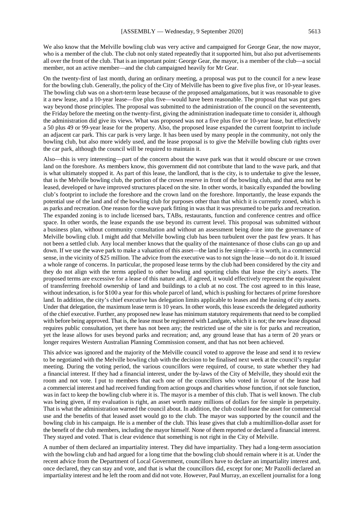We also know that the Melville bowling club was very active and campaigned for George Gear, the now mayor, who is a member of the club. The club not only stated repeatedly that it supported him, but also put advertisements all over the front of the club. That is an important point: George Gear, the mayor, is a member of the club—a social member, not an active member—and the club campaigned heavily for Mr Gear.

On the twenty-first of last month, during an ordinary meeting, a proposal was put to the council for a new lease for the bowling club. Generally, the policy of the City of Melville has been to give five plus five, or 10-year leases. The bowling club was on a short-term lease because of the proposed amalgamations, but it was reasonable to give it a new lease, and a 10-year lease—five plus five—would have been reasonable. The proposal that was put goes way beyond those principles. The proposal was submitted to the administration of the council on the seventeenth, the Friday before the meeting on the twenty-first, giving the administration inadequate time to consider it, although the administration did give its views. What was proposed was not a five plus five or 10-year lease, but effectively a 50 plus 49 or 99-year lease for the property. Also, the proposed lease expanded the current footprint to include an adjacent car park. This car park is very large. It has been used by many people in the community, not only the bowling club, but also more widely used, and the lease proposal is to give the Melville bowling club rights over the car park, although the council will be required to maintain it.

Also—this is very interesting—part of the concern about the wave park was that it would obscure or use crown land on the foreshore. As members know, this government did not contribute that land to the wave park, and that is what ultimately stopped it. As part of this lease, the landlord, that is the city, is to undertake to give the lessee, that is the Melville bowling club, the portion of the crown reserve in front of the bowling club, and that area not be leased, developed or have improved structures placed on the site. In other words, it basically expanded the bowling club's footprint to include the foreshore and the crown land on the foreshore. Importantly, the lease expands the potential use of the land and of the bowling club for purposes other than that which it is currently zoned, which is as parks and recreation. One reason for the wave park fitting in was that it was presumed to be parks and recreation. The expanded zoning is to include licensed bars, TABs, restaurants, function and conference centres and office space. In other words, the lease expands the use beyond its current level. This proposal was submitted without a business plan, without community consultation and without an assessment being done into the governance of Melville bowling club. I might add that Melville bowling club has been turbulent over the past few years. It has not been a settled club. Any local member knows that the quality of the maintenance of those clubs can go up and down. If we use the wave park to make a valuation of this asset—the land is fee simple—it is worth, in a commercial sense, in the vicinity of \$25 million. The advice from the executive was to not sign the lease—do not do it. It issued a whole range of concerns. In particular, the proposed lease terms by the club had been considered by the city and they do not align with the terms applied to other bowling and sporting clubs that lease the city's assets. The proposed terms are excessive for a lease of this nature and, if agreed, it would effectively represent the equivalent of transferring freehold ownership of land and buildings to a club at no cost. The cost agreed to in this lease, without indexation, is for \$100 a year for this whole parcel of land, which is pushing for hectares of prime foreshore land. In addition, the city's chief executive has delegation limits applicable to leases and the leasing of city assets. Under that delegation, the maximum lease term is 10 years. In other words, this lease exceeds the delegated authority of the chief executive. Further, any proposed new lease has minimum statutory requirements that need to be complied with before being approved. That is, the lease must be registered with Landgate, which it is not; the new lease disposal requires public consultation, yet there has not been any; the restricted use of the site is for parks and recreation, yet the lease allows for uses beyond parks and recreation; and, any ground lease that has a term of 20 years or longer requires Western Australian Planning Commission consent, and that has not been achieved.

This advice was ignored and the majority of the Melville council voted to approve the lease and send it to review to be negotiated with the Melville bowling club with the decision to be finalised next week at the council's regular meeting. During the voting period, the various councillors were required, of course, to state whether they had a financial interest. If they had a financial interest, under the by-laws of the City of Melville, they should exit the room and not vote. I put to members that each one of the councillors who voted in favour of the lease had a commercial interest and had received funding from action groups and charities whose function, if not sole function, was in fact to keep the bowling club where it is. The mayor is a member of this club. That is well known. The club was being given, if my evaluation is right, an asset worth many millions of dollars for fee simple in perpetuity. That is what the administration warned the council about. In addition, the club could lease the asset for commercial use and the benefits of that leased asset would go to the club. The mayor was supported by the council and the bowling club in his campaign. He is a member of the club. This lease gives that club a multimillion-dollar asset for the benefit of the club members, including the mayor himself. None of them reported or declared a financial interest. They stayed and voted. That is clear evidence that something is not right in the City of Melville.

A number of them declared an impartiality interest. They did have impartiality. They had a long-term association with the bowling club and had argued for a long time that the bowling club should remain where it is at. Under the recent advice from the Department of Local Government, councillors have to declare an impartiality interest and, once declared, they can stay and vote, and that is what the councillors did, except for one; Mr Pazolli declared an impartiality interest and he left the room and did not vote. However, Paul Murray, an excellent journalist for a long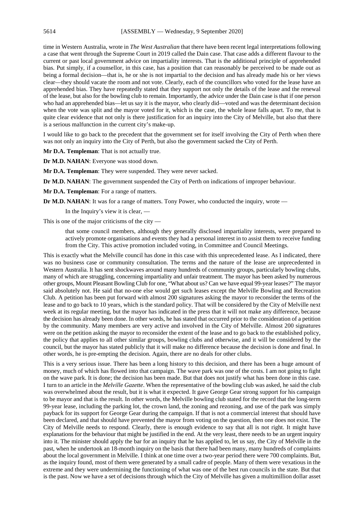time in Western Australia, wrote in *The West Australian* that there have been recent legal interpretations following a case that went through the Supreme Court in 2019 called the Dain case. That case adds a different flavour to the current or past local government advice on impartiality interests. That is the additional principle of apprehended bias. Put simply, if a counsellor, in this case, has a position that can reasonably be perceived to be made out as being a formal decision—that is, he or she is not impartial to the decision and has already made his or her views clear—they should vacate the room and not vote. Clearly, each of the councillors who voted for the lease have an apprehended bias. They have repeatedly stated that they support not only the details of the lease and the renewal of the lease, but also for the bowling club to remain. Importantly, the advice under the Dain case is that if one person who had an apprehended bias—let us say it is the mayor, who clearly did—voted and was the determinant decision when the vote was split and the mayor voted for it, which is the case, the whole lease falls apart. To me, that is quite clear evidence that not only is there justification for an inquiry into the City of Melville, but also that there is a serious malfunction in the current city's make-up.

I would like to go back to the precedent that the government set for itself involving the City of Perth when there was not only an inquiry into the City of Perth, but also the government sacked the City of Perth.

**Mr D.A. Templeman**: That is not actually true.

**Dr M.D. NAHAN**: Everyone was stood down.

**Mr D.A. Templeman**: They were suspended. They were never sacked.

**Dr M.D. NAHAN**: The government suspended the City of Perth on indications of improper behaviour.

**Mr D.A. Templeman**: For a range of matters.

**Dr M.D. NAHAN:** It was for a range of matters. Tony Power, who conducted the inquiry, wrote —

In the Inquiry's view it is clear, —

This is one of the major criticisms of the city —

that some council members, although they generally disclosed impartiality interests, were prepared to actively promote organisations and events they had a personal interest in to assist them to receive funding from the City. This active promotion included voting, in Committee and Council Meetings.

This is exactly what the Melville council has done in this case with this unprecedented lease. As I indicated, there was no business case or community consultation. The terms and the nature of the lease are unprecedented in Western Australia. It has sent shockwaves around many hundreds of community groups, particularly bowling clubs, many of which are struggling, concerning impartiality and unfair treatment. The mayor has been asked by numerous other groups, Mount Pleasant Bowling Club for one, "What about us? Can we have equal 99-year leases?" The mayor said absolutely not. He said that no-one else would get such leases except the Melville Bowling and Recreation Club. A petition has been put forward with almost 200 signatures asking the mayor to reconsider the terms of the lease and to go back to 10 years, which is the standard policy. That will be considered by the City of Melville next week at its regular meeting, but the mayor has indicated in the press that it will not make any difference, because the decision has already been done. In other words, he has stated that occurred prior to the consideration of a petition by the community. Many members are very active and involved in the City of Melville. Almost 200 signatures were on the petition asking the mayor to reconsider the extent of the lease and to go back to the established policy, the policy that applies to all other similar groups, bowling clubs and otherwise, and it will be considered by the council, but the mayor has stated publicly that it will make no difference because the decision is done and final. In other words, he is pre-empting the decision. Again, there are no deals for other clubs.

This is a very serious issue. There has been a long history to this decision, and there has been a huge amount of money, much of which has flowed into that campaign. The wave park was one of the costs. I am not going to fight on the wave park. It is done; the decision has been made. But that does not justify what has been done in this case. I turn to an article in the *Melville Gazette*. When the representative of the bowling club was asked, he said the club was overwhelmed about the result, but it is what it expected. It gave George Gear strong support for his campaign to be mayor and that is the result. In other words, the Melville bowling club stated for the record that the long-term 99-year lease, including the parking lot, the crown land, the zoning and rezoning, and use of the park was simply payback for its support for George Gear during the campaign. If that is not a commercial interest that should have been declared, and that should have prevented the mayor from voting on the question, then one does not exist. The City of Melville needs to respond. Clearly, there is enough evidence to say that all is not right. It might have explanations for the behaviour that might be justified in the end. At the very least, there needs to be an urgent inquiry into it. The minister should apply the bar for an inquiry that he has applied to, let us say, the City of Melville in the past, when he undertook an 18-month inquiry on the basis that there had been many, many hundreds of complaints about the local government in Melville. I think at one time over a two-year period there were 700 complaints. But, as the inquiry found, most of them were generated by a small cadre of people. Many of them were vexatious in the extreme and they were undermining the functioning of what was one of the best run councils in the state. But that is the past. Now we have a set of decisions through which the City of Melville has given a multimillion dollar asset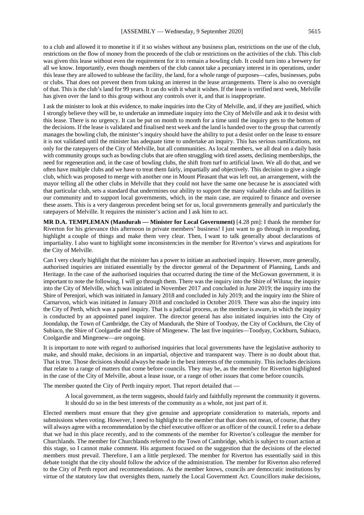to a club and allowed it to monetise it if it so wishes without any business plan, restrictions on the use of the club, restrictions on the flow of money from the proceeds of the club or restrictions on the activities of the club. This club was given this lease without even the requirement for it to remain a bowling club. It could turn into a brewery for all we know. Importantly, even though members of the club cannot take a pecuniary interest in its operations, under this lease they are allowed to sublease the facility, the land, for a whole range of purposes—cafes, businesses, pubs or clubs. That does not prevent them from taking an interest in the lease arrangements. There is also no oversight of that. This is the club's land for 99 years. It can do with it what it wishes. If the lease is verified next week, Melville has given over the land to this group without any controls over it, and that is inappropriate.

I ask the minister to look at this evidence, to make inquiries into the City of Melville, and, if they are justified, which I strongly believe they will be, to undertake an immediate inquiry into the City of Melville and ask it to desist with this lease. There is no urgency. It can be put on month to month for a time until the inquiry gets to the bottom of the decisions. If the lease is validated and finalised next week and the land is handed over to the group that currently manages the bowling club, the minister's inquiry should have the ability to put a desist order on the lease to ensure it is not validated until the minister has adequate time to undertake an inquiry. This has serious ramifications, not only for the ratepayers of the City of Melville, but all communities. As local members, we all deal on a daily basis with community groups such as bowling clubs that are often struggling with tired assets, declining memberships, the need for regeneration and, in the case of bowling clubs, the shift from turf to artificial lawn. We all do that, and we often have multiple clubs and we have to treat them fairly, impartially and objectively. This decision to give a single club, which was proposed to merge with another one in Mount Pleasant that was left out, an arrangement, with the mayor telling all the other clubs in Melville that they could not have the same one because he is associated with that particular club, sets a standard that undermines our ability to support the many valuable clubs and facilities in our community and to support local governments, which, in the main case, are required to finance and oversee these assets. This is a very dangerous precedent being set for us, local governments generally and particularly the ratepayers of Melville. It requires the minister's action and I ask him to act.

**MR D.A. TEMPLEMAN (Mandurah — Minister for Local Government)** [4.28 pm]: I thank the member for Riverton for his grievance this afternoon in private members' business! I just want to go through in responding, highlight a couple of things and make them very clear. Then, I want to talk generally about declarations of impartiality. I also want to highlight some inconsistencies in the member for Riverton's views and aspirations for the City of Melville.

Can I very clearly highlight that the minister has a power to initiate an authorised inquiry. However, more generally, authorised inquiries are initiated essentially by the director general of the Department of Planning, Lands and Heritage. In the case of the authorised inquiries that occurred during the time of the McGowan government, it is important to note the following. I will go through them. There was the inquiry into the Shire of Wiluna; the inquiry into the City of Melville, which was initiated in November 2017 and concluded in June 2019; the inquiry into the Shire of Perenjori, which was initiated in January 2018 and concluded in July 2019; and the inquiry into the Shire of Carnarvon, which was initiated in January 2018 and concluded in October 2019. There was also the inquiry into the City of Perth, which was a panel inquiry. That is a judicial process, as the member is aware, in which the inquiry is conducted by an appointed panel inquirer. The director general has also initiated inquiries into the City of Joondalup, the Town of Cambridge, the City of Mandurah, the Shire of Toodyay, the City of Cockburn, the City of Subiaco, the Shire of Coolgardie and the Shire of Mingenew. The last five inquiries—Toodyay, Cockburn, Subiaco, Coolgardie and Mingenew—are ongoing.

It is important to note with regard to authorised inquiries that local governments have the legislative authority to make, and should make, decisions in an impartial, objective and transparent way. There is no doubt about that. That is true. Those decisions should always be made in the best interests of the community. This includes decisions that relate to a range of matters that come before councils. They may be, as the member for Riverton highlighted in the case of the City of Melville, about a lease issue, or a range of other issues that come before councils.

The member quoted the City of Perth inquiry report. That report detailed that —

A local government, as the term suggests, should fairly and faithfully represent the community it governs. It should do so in the best interests of the community as a whole, not just part of it.

Elected members must ensure that they give genuine and appropriate consideration to materials, reports and submissions when voting. However, I need to highlight to the member that that does not mean, of course, that they will always agree with a recommendation by the chief executive officer or an officer of the council. I refer to a debate that we had in this place recently, and to the comments of the member for Riverton's colleague the member for Churchlands. The member for Churchlands referred to the Town of Cambridge, which is subject to court action at this stage, so I cannot make comment. His argument focused on the suggestion that the decisions of the elected members must prevail. Therefore, I am a little perplexed. The member for Riverton has essentially said in this debate tonight that the city should follow the advice of the administration. The member for Riverton also referred to the City of Perth report and recommendations. As the member knows, councils are democratic institutions by virtue of the statutory law that oversights them, namely the Local Government Act. Councillors make decisions,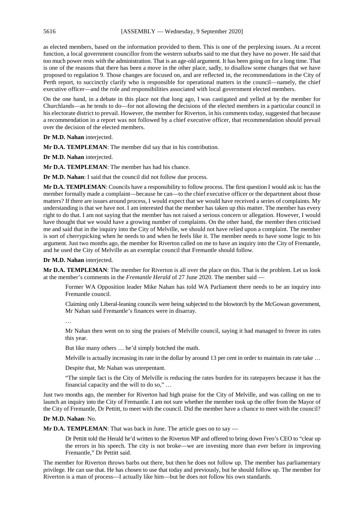as elected members, based on the information provided to them. This is one of the perplexing issues. At a recent function, a local government councillor from the western suburbs said to me that they have no power. He said that too much power rests with the administration. That is an age-old argument. It has been going on for a long time. That is one of the reasons that there has been a move in the other place, sadly, to disallow some changes that we have proposed to regulation 9. Those changes are focused on, and are reflected in, the recommendations in the City of Perth report, to succinctly clarify who is responsible for operational matters in the council—namely, the chief executive officer—and the role and responsibilities associated with local government elected members.

On the one hand, in a debate in this place not that long ago, I was castigated and yelled at by the member for Churchlands—as he tends to do—for not allowing the decisions of the elected members in a particular council in his electorate district to prevail. However, the member for Riverton, in his comments today, suggested that because a recommendation in a report was not followed by a chief executive officer, that recommendation should prevail over the decision of the elected members.

**Dr M.D. Nahan** interjected.

**Mr D.A. TEMPLEMAN**: The member did say that in his contribution.

**Dr M.D. Nahan** interjected.

**Mr D.A. TEMPLEMAN**: The member has had his chance.

**Dr M.D. Nahan**: I said that the council did not follow due process.

**Mr D.A. TEMPLEMAN**: Councils have a responsibility to follow process. The first question I would ask is: has the member formally made a complaint—because he can—to the chief executive officer or the department about those matters? If there are issues around process, I would expect that we would have received a series of complaints. My understanding is that we have not. I am interested that the member has taken up this matter. The member has every right to do that. I am not saying that the member has not raised a serious concern or allegation. However, I would have thought that we would have a growing number of complaints. On the other hand, the member then criticised me and said that in the inquiry into the City of Melville, we should not have relied upon a complaint. The member is sort of cherrypicking when he needs to and when he feels like it. The member needs to have some logic to his argument. Just two months ago, the member for Riverton called on me to have an inquiry into the City of Fremantle, and he used the City of Melville as an exemplar council that Fremantle should follow.

**Dr M.D. Nahan** interjected.

**Mr D.A. TEMPLEMAN**: The member for Riverton is all over the place on this. That is the problem. Let us look at the member's comments in the *Fremantle Herald* of 27 June 2020. The member said —

Former WA Opposition leader Mike Nahan has told WA Parliament there needs to be an inquiry into Fremantle council.

Claiming only Liberal-leaning councils were being subjected to the blowtorch by the McGowan government, Mr Nahan said Fremantle's finances were in disarray.

…

Mr Nahan then went on to sing the praises of Melville council, saying it had managed to freeze its rates this year.

But like many others … he'd simply botched the math.

Melville is actually increasing its rate in the dollar by around 13 per cent in order to maintain its rate take …

Despite that, Mr Nahan was unrepentant.

"The simple fact is the City of Melville is reducing the rates burden for its ratepayers because it has the financial capacity and the will to do so," …

Just two months ago, the member for Riverton had high praise for the City of Melville, and was calling on me to launch an inquiry into the City of Fremantle. I am not sure whether the member took up the offer from the Mayor of the City of Fremantle, Dr Pettitt, to meet with the council. Did the member have a chance to meet with the council?

#### **Dr M.D. Nahan**: No.

**Mr D.A. TEMPLEMAN**: That was back in June. The article goes on to say —

Dr Pettitt told the Herald he'd written to the Riverton MP and offered to bring down Freo's CEO to "clear up the errors in his speech. The city is not broke—we are investing more than ever before in improving Fremantle," Dr Pettitt said.

The member for Riverton throws barbs out there, but then he does not follow up. The member has parliamentary privilege. He can use that. He has chosen to use that today and previously, but he should follow up. The member for Riverton is a man of process—I actually like him—but he does not follow his own standards.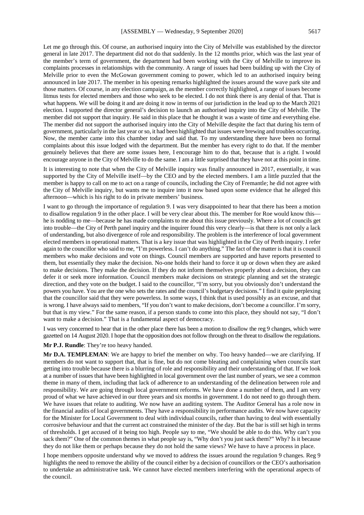Let me go through this. Of course, an authorised inquiry into the City of Melville was established by the director general in late 2017. The department did not do that suddenly. In the 12 months prior, which was the last year of the member's term of government, the department had been working with the City of Melville to improve its complaints processes in relationships with the community. A range of issues had been building up with the City of Melville prior to even the McGowan government coming to power, which led to an authorised inquiry being announced in late 2017. The member in his opening remarks highlighted the issues around the wave park site and those matters. Of course, in any election campaign, as the member correctly highlighted, a range of issues become litmus tests for elected members and those who seek to be elected. I do not think there is any denial of that. That is what happens. We will be doing it and are doing it now in terms of our jurisdiction in the lead up to the March 2021 election. I supported the director general's decision to launch an authorised inquiry into the City of Melville. The member did not support that inquiry. He said in this place that he thought it was a waste of time and everything else. The member did not support the authorised inquiry into the City of Melville despite the fact that during his term of government, particularly in the last year or so, it had been highlighted that issues were brewing and troubles occurring. Now, the member came into this chamber today and said that. To my understanding there have been no formal

complaints about this issue lodged with the department. But the member has every right to do that. If the member genuinely believes that there are some issues here, I encourage him to do that, because that is a right. I would encourage anyone in the City of Melville to do the same. I am a little surprised that they have not at this point in time. It is interesting to note that when the City of Melville inquiry was finally announced in 2017, essentially, it was

supported by the City of Melville itself—by the CEO and by the elected members. I am a little puzzled that the member is happy to call on me to act on a range of councils, including the City of Fremantle; he did not agree with the City of Melville inquiry, but wants me to inquire into it now based upon some evidence that he alleged this afternoon—which is his right to do in private members' business.

I want to go through the importance of regulation 9. I was very disappointed to hear that there has been a motion to disallow regulation 9 in the other place. I will be very clear about this. The member for Roe would know this he is nodding to me—because he has made complaints to me about this issue previously. Where a lot of councils get into trouble—the City of Perth panel inquiry and the inquirer found this very clearly—is that there is not only a lack of understanding, but also divergence of role and responsibility. The problem is the interference of local government elected members in operational matters. That is a key issue that was highlighted in the City of Perth inquiry. I refer again to the councillor who said to me, "I'm powerless. I can't do anything." The fact of the matter is that it is council members who make decisions and vote on things. Council members are supported and have reports presented to them, but essentially they make the decision. No-one holds their hand to force it up or down when they are asked to make decisions. They make the decision. If they do not inform themselves properly about a decision, they can defer it or seek more information. Council members make decisions on strategic planning and set the strategic direction, and they vote on the budget. I said to the councillor, "I'm sorry, but you obviously don't understand the powers you have. You are the one who sets the rates and the council's budgetary decisions." I find it quite perplexing that the councillor said that they were powerless. In some ways, I think that is used possibly as an excuse, and that is wrong. I have always said to members, "If you don't want to make decisions, don't become a councillor. I'm sorry, but that is my view." For the same reason, if a person stands to come into this place, they should not say, "I don't want to make a decision." That is a fundamental aspect of democracy.

I was very concerned to hear that in the other place there has been a motion to disallow the reg 9 changes, which were gazetted on 14 August 2020. I hope that the opposition does not follow through on the threat to disallow the regulations.

#### **Mr P.J. Rundle**: They're too heavy handed.

**Mr D.A. TEMPLEMAN**: We are happy to brief the member on why. Too heavy handed—we are clarifying. If members do not want to support that, that is fine, but do not come bleating and complaining when councils start getting into trouble because there is a blurring of role and responsibility and their understanding of that. If we look at a number of issues that have been highlighted in local government over the last number of years, we see a common theme in many of them, including that lack of adherence to an understanding of the delineation between role and responsibility. We are going through local government reforms. We have done a number of them, and I am very proud of what we have achieved in our three years and six months in government. I do not need to go through them. We have issues that relate to auditing. We now have an auditing system. The Auditor General has a role now in the financial audits of local governments. They have a responsibility in performance audits. We now have capacity for the Minister for Local Government to deal with individual councils, rather than having to deal with essentially corrosive behaviour and that the current act constrained the minister of the day. But the bar is still set high in terms of thresholds. I get accused of it being too high. People say to me, "We should be able to do this. Why can't you sack them?" One of the common themes in what people say is, "Why don't you just sack them?" Why? Is it because they do not like them or perhaps because they do not hold the same views? We have to have a process in place.

I hope members opposite understand why we moved to address the issues around the regulation 9 changes. Reg 9 highlights the need to remove the ability of the council either by a decision of councillors or the CEO's authorisation to undertake an administrative task. We cannot have elected members interfering with the operational aspects of the council.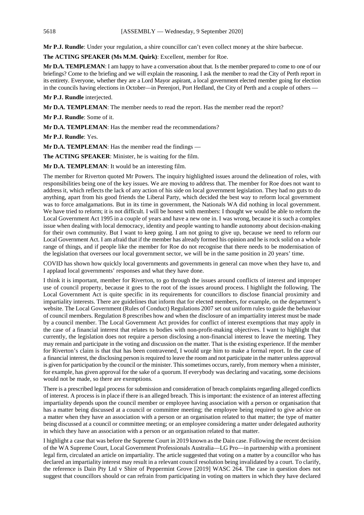**Mr P.J. Rundle**: Under your regulation, a shire councillor can't even collect money at the shire barbecue.

**The ACTING SPEAKER (Ms M.M. Quirk)**: Excellent, member for Roe.

**Mr D.A. TEMPLEMAN**: I am happy to have a conversation about that. Is the member prepared to come to one of our briefings? Come to the briefing and we will explain the reasoning. I ask the member to read the City of Perth report in its entirety. Everyone, whether they are a Lord Mayor aspirant, a local government elected member going for election in the councils having elections in October—in Perenjori, Port Hedland, the City of Perth and a couple of others —

**Mr P.J. Rundle** interjected.

**Mr D.A. TEMPLEMAN**: The member needs to read the report. Has the member read the report?

**Mr P.J. Rundle**: Some of it.

**Mr D.A. TEMPLEMAN**: Has the member read the recommendations?

**Mr P.J. Rundle**: Yes.

**Mr D.A. TEMPLEMAN**: Has the member read the findings —

**The ACTING SPEAKER**: Minister, he is waiting for the film.

**Mr D.A. TEMPLEMAN**: It would be an interesting film.

The member for Riverton quoted Mr Powers. The inquiry highlighted issues around the delineation of roles, with responsibilities being one of the key issues. We are moving to address that. The member for Roe does not want to address it, which reflects the lack of any action of his side on local government legislation. They had no guts to do anything, apart from his good friends the Liberal Party, which decided the best way to reform local government was to force amalgamations. But in its time in government, the Nationals WA did nothing in local government. We have tried to reform; it is not difficult. I will be honest with members: I thought we would be able to reform the Local Government Act 1995 in a couple of years and have a new one in. I was wrong, because it is such a complex issue when dealing with local democracy, identity and people wanting to handle autonomy about decision-making for their own community. But I want to keep going. I am not going to give up, because we need to reform our Local Government Act. I am afraid that if the member has already formed his opinion and he is rock solid on a whole range of things, and if people like the member for Roe do not recognise that there needs to be modernisation of the legislation that oversees our local government sector, we will be in the same position in 20 years' time.

COVID has shown how quickly local governments and governments in general can move when they have to, and I applaud local governments' responses and what they have done.

I think it is important, member for Riverton, to go through the issues around conflicts of interest and improper use of council property, because it goes to the root of the issues around process. I highlight the following. The Local Government Act is quite specific in its requirements for councillors to disclose financial proximity and impartiality interests. There are guidelines that inform that for elected members, for example, on the department's website. The Local Government (Rules of Conduct) Regulations 2007 set out uniform rules to guide the behaviour of council members. Regulation 8 prescribes how and when the disclosure of an impartiality interest must be made by a council member. The Local Government Act provides for conflict of interest exemptions that may apply in the case of a financial interest that relates to bodies with non-profit-making objectives. I want to highlight that currently, the legislation does not require a person disclosing a non-financial interest to leave the meeting. They may remain and participate in the voting and discussion on the matter. That is the existing experience. If the member for Riverton's claim is that that has been contravened, I would urge him to make a formal report. In the case of a financial interest, the disclosing person is required to leave the room and not participate in the matter unless approval is given for participation by the council or the minister. This sometimes occurs, rarely, from memory when a minister, for example, has given approval for the sake of a quorum. If everybody was declaring and vacating, some decisions would not be made, so there are exemptions.

There is a prescribed legal process for submission and consideration of breach complaints regarding alleged conflicts of interest. A process is in place if there is an alleged breach. This is important: the existence of an interest affecting impartiality depends upon the council member or employee having association with a person or organisation that has a matter being discussed at a council or committee meeting; the employee being required to give advice on a matter when they have an association with a person or an organisation related to that matter; the type of matter being discussed at a council or committee meeting; or an employee considering a matter under delegated authority in which they have an association with a person or an organisation related to that matter.

I highlight a case that was before the Supreme Court in 2019 known as the Dain case. Following the recent decision of the WA Supreme Court, Local Government Professionals Australia—LG Pro—in partnership with a prominent legal firm, circulated an article on impartiality. The article suggested that voting on a matter by a councillor who has declared an impartiality interest may result in a relevant council resolution being invalidated by a court. To clarify, the reference is Dain Pty Ltd v Shire of Peppermint Grove [2019] WASC 264. The case in question does not suggest that councillors should or can refrain from participating in voting on matters in which they have declared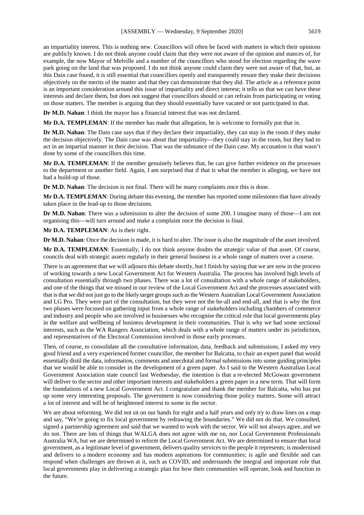an impartiality interest. This is nothing new. Councillors will often be faced with matters in which their opinions are publicly known. I do not think anyone could claim that they were not aware of the opinion and stances of, for example, the now Mayor of Melville and a number of the councillors who stood for election regarding the wave park going on the land that was proposed. I do not think anyone could claim they were not aware of that, but, as this Dain case found, it is still essential that councillors openly and transparently ensure they make their decisions objectively on the merits of the matter and that they can demonstrate that they did. The article as a reference point is an important consideration around this issue of impartiality and direct interest; it tells us that we can have these interests and declare them, but does not suggest that councillors should or can refrain from participating or voting on those matters. The member is arguing that they should essentially have vacated or not participated in that.

**Dr M.D. Nahan**: I think the mayor has a financial interest that was not declared.

**Mr D.A. TEMPLEMAN**: If the member has made that allegation, he is welcome to formally put that in.

**Dr M.D. Nahan**: The Dain case says that if they declare their impartiality, they can stay in the room if they make the decision objectively. The Dain case was about that impartiality—they could stay in the room, but they had to act in an impartial manner in their decision. That was the substance of the Dain case. My accusation is that wasn't done by some of the councillors this time.

**Mr D.A. TEMPLEMAN**: If the member genuinely believes that, he can give further evidence on the processes to the department or another field. Again, I am surprised that if that is what the member is alleging, we have not had a build-up of those.

**Dr M.D. Nahan**: The decision is not final. There will be many complaints once this is done.

**Mr D.A. TEMPLEMAN**: During debate this evening, the member has reported some milestones that have already taken place in the lead-up to those decisions.

**Dr M.D. Nahan**: There was a submission to alter the decision of some 200. I imagine many of those—I am not organising this—will turn around and make a complaint once the decision is final.

**Mr D.A. TEMPLEMAN**: As is their right.

**Dr M.D. Nahan**: Once the decision is made, it is hard to alter. The issue is also the magnitude of the asset involved.

**Mr D.A. TEMPLEMAN**: Essentially, I do not think anyone doubts the strategic value of that asset. Of course, councils deal with strategic assets regularly in their general business in a whole range of matters over a course.

There is an agreement that we will adjourn this debate shortly, but I finish by saying that we are now in the process of working towards a new Local Government Act for Western Australia. The process has involved high levels of consultation essentially through two phases. There was a lot of consultation with a whole range of stakeholders, and one of the things that we missed in our review of the Local Government Act and the processes associated with that is that we did not just go to the likely target groups such as the Western Australian Local Government Association and LG Pro. They were part of the consultation, but they were not the be-all and end-all, and that is why the first two phases were focused on gathering input from a whole range of stakeholders including chambers of commerce and industry and people who are involved in businesses who recognise the critical role that local governments play in the welfare and wellbeing of business development in their communities. That is why we had some sectional interests, such as the WA Rangers Association, which deals with a whole range of matters under its jurisdiction, and representatives of the Electoral Commission involved in those early processes.

Then, of course, to consolidate all the consultative information, data, feedback and submissions, I asked my very good friend and a very experienced former councillor, the member for Balcatta, to chair an expert panel that would essentially distil the data, information, comments and anecdotal and formal submissions into some guiding principles that we would be able to consider in the development of a green paper. As I said to the Western Australian Local Government Association state council last Wednesday, the intention is that a re-elected McGowan government will deliver to the sector and other important interests and stakeholders a green paper in a new term. That will form the foundations of a new Local Government Act. I congratulate and thank the member for Balcatta, who has put up some very interesting proposals. The government is now considering those policy matters. Some will attract a lot of interest and will be of heightened interest to some in the sector.

We are about reforming. We did not sit on our hands for eight and a half years and only try to draw lines on a map and say, "We're going to fix local government by redrawing the boundaries." We did not do that. We consulted, signed a partnership agreement and said that we wanted to work with the sector. We will not always agree, and we do not. There are lots of things that WALGA does not agree with me on, nor Local Government Professionals Australia WA, but we are determined to reform the Local Government Act. We are determined to ensure that local government, as a legitimate level of government, delivers quality services to the people it represents; is modernised and delivers to a modern economy and has modern aspirations for communities; is agile and flexible and can respond when challenges are thrown at it, such as COVID; and understands the integral and important role that local governments play in delivering a strategic plan for how their communities will operate, look and function in the future.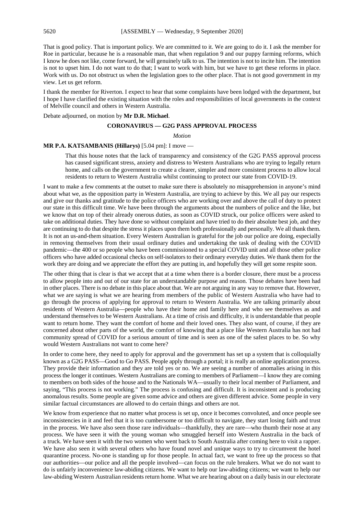That is good policy. That is important policy. We are committed to it. We are going to do it. I ask the member for Roe in particular, because he is a reasonable man, that when regulation 9 and our puppy farming reforms, which I know he does not like, come forward, he will genuinely talk to us. The intention is not to incite him. The intention is not to upset him. I do not want to do that; I want to work with him, but we have to get these reforms in place. Work with us. Do not obstruct us when the legislation goes to the other place. That is not good government in my view. Let us get reform.

I thank the member for Riverton. I expect to hear that some complaints have been lodged with the department, but I hope I have clarified the existing situation with the roles and responsibilities of local governments in the context of Melville council and others in Western Australia.

Debate adjourned, on motion by **Mr D.R. Michael**.

# **CORONAVIRUS — G2G PASS APPROVAL PROCESS**

*Motion*

#### **MR P.A. KATSAMBANIS (Hillarys)** [5.04 pm]: I move —

That this house notes that the lack of transparency and consistency of the G2G PASS approval process has caused significant stress, anxiety and distress to Western Australians who are trying to legally return home, and calls on the government to create a clearer, simpler and more consistent process to allow local residents to return to Western Australia whilst continuing to protect our state from COVID-19.

I want to make a few comments at the outset to make sure there is absolutely no misapprehension in anyone's mind about what we, as the opposition party in Western Australia, are trying to achieve by this. We all pay our respects and give our thanks and gratitude to the police officers who are working over and above the call of duty to protect our state in this difficult time. We have been through the arguments about the numbers of police and the like, but we know that on top of their already onerous duties, as soon as COVID struck, our police officers were asked to take on additional duties. They have done so without complaint and have tried to do their absolute best job, and they are continuing to do that despite the stress it places upon them both professionally and personally. We all thank them. It is not an us-and-them situation. Every Western Australian is grateful for the job our police are doing, especially in removing themselves from their usual ordinary duties and undertaking the task of dealing with the COVID pandemic—the 400 or so people who have been commissioned to a special COVID unit and all those other police officers who have added occasional checks on self-isolators to their ordinary everyday duties. We thank them for the work they are doing and we appreciate the effort they are putting in, and hopefully they will get some respite soon.

The other thing that is clear is that we accept that at a time when there is a border closure, there must be a process to allow people into and out of our state for an understandable purpose and reason. Those debates have been had in other places. There is no debate in this place about that. We are not arguing in any way to remove that. However, what we are saying is what we are hearing from members of the public of Western Australia who have had to go through the process of applying for approval to return to Western Australia. We are talking primarily about residents of Western Australia—people who have their home and family here and who see themselves as and understand themselves to be Western Australians. At a time of crisis and difficulty, it is understandable that people want to return home. They want the comfort of home and their loved ones. They also want, of course, if they are concerned about other parts of the world, the comfort of knowing that a place like Western Australia has not had community spread of COVID for a serious amount of time and is seen as one of the safest places to be. So why would Western Australians not want to come here?

In order to come here, they need to apply for approval and the government has set up a system that is colloquially known as a G2G PASS—Good to Go PASS. People apply through a portal; it is really an online application process. They provide their information and they are told yes or no. We are seeing a number of anomalies arising in this process the longer it continues. Western Australians are coming to members of Parliament—I know they are coming to members on both sides of the house and to the Nationals WA—usually to their local member of Parliament, and saying, "This process is not working." The process is confusing and difficult. It is inconsistent and is producing anomalous results. Some people are given some advice and others are given different advice. Some people in very similar factual circumstances are allowed to do certain things and others are not.

We know from experience that no matter what process is set up, once it becomes convoluted, and once people see inconsistencies in it and feel that it is too cumbersome or too difficult to navigate, they start losing faith and trust in the process. We have also seen those rare individuals—thankfully, they are rare—who thumb their nose at any process. We have seen it with the young woman who smuggled herself into Western Australia in the back of a truck. We have seen it with the two women who went back to South Australia after coming here to visit a rapper. We have also seen it with several others who have found novel and unique ways to try to circumvent the hotel quarantine process. No-one is standing up for those people. In actual fact, we want to free up the process so that our authorities—our police and all the people involved—can focus on the rule breakers. What we do not want to do is unfairly inconvenience law-abiding citizens. We want to help our law-abiding citizens; we want to help our law-abiding Western Australian residents return home. What we are hearing about on a daily basis in our electorate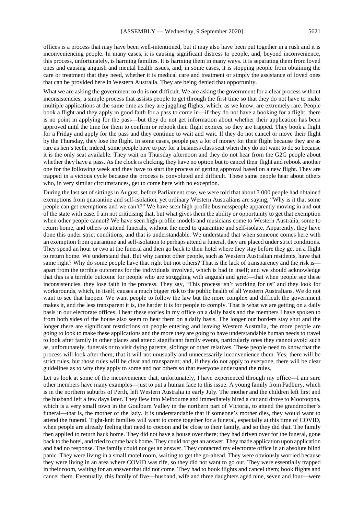offices is a process that may have been well-intentioned, but it may also have been put together in a rush and it is inconveniencing people. In many cases, it is causing significant distress to people, and, beyond inconvenience, this process, unfortunately, is harming families. It is harming them in many ways. It is separating them from loved ones and causing anguish and mental health issues, and, in some cases, it is stopping people from obtaining the care or treatment that they need, whether it is medical care and treatment or simply the assistance of loved ones that can be provided here in Western Australia. They are being denied that opportunity.

What we are asking the government to do is not difficult. We are asking the government for a clear process without inconsistencies, a simple process that assists people to get through the first time so that they do not have to make multiple applications at the same time as they are juggling flights, which, as we know, are extremely rare. People book a flight and they apply in good faith for a pass to come in—if they do not have a booking for a flight, there is no point in applying for the pass—but they do not get information about whether their application has been approved until the time for them to confirm or rebook their flight expires, so they are trapped. They book a flight for a Friday and apply for the pass and they continue to wait and wait. If they do not cancel or move their flight by the Thursday, they lose the flight. In some cases, people pay a lot of money for their flight because they are as rare as hen's teeth; indeed, some people have to pay for a business class seat when they do not want to do so because it is the only seat available. They wait on Thursday afternoon and they do not hear from the G2G people about whether they have a pass. As the clock is clicking, they have no option but to cancel their flight and rebook another one for the following week and they have to start the process of getting approval based on a new flight. They are trapped in a vicious cycle because the process is convoluted and difficult. These same people hear about others who, in very similar circumstances, get to come here with no exception.

During the last set of sittings in August, before Parliament rose, we were told that about 7 000 people had obtained exemptions from quarantine and self-isolation, yet ordinary Western Australians are saying, "Why is it that some people can get exemptions and we can't?" We have seen high-profile businesspeople apparently moving in and out of the state with ease. I am not criticising that, but what gives them the ability or opportunity to get that exemption when other people cannot? We have seen high-profile models and musicians come to Western Australia, some to return home, and others to attend funerals, without the need to quarantine and self-isolate. Apparently, they have done this under strict conditions, and that is understandable. We understand that when someone comes here with an exemption from quarantine and self-isolation to perhaps attend a funeral, they are placed under strict conditions. They spend an hour or two at the funeral and then go back to their hotel where they stay before they get on a flight to return home. We understand that. But why cannot other people, such as Western Australian residents, have that same right? Why do some people have that right but not others? That is the lack of transparency and the risk is apart from the terrible outcomes for the individuals involved, which is bad in itself; and we should acknowledge that this is a terrible outcome for people who are struggling with anguish and grief—that when people see these inconsistencies, they lose faith in the process. They say, "This process isn't working for us" and they look for workarounds, which, in itself, causes a much bigger risk to the public health of all Western Australians. We do not want to see that happen. We want people to follow the law but the more complex and difficult the government makes it, and the less transparent it is, the harder it is for people to comply. That is what we are getting on a daily basis in our electorate offices. I hear these stories in my office on a daily basis and the members I have spoken to from both sides of the house also seem to hear them on a daily basis. The longer our borders stay shut and the longer there are significant restrictions on people entering and leaving Western Australia, the more people are going to look to make these applications and the more they are going to have understandable human needs to travel to look after family in other places and attend significant family events, particularly ones they cannot avoid such as, unfortunately, funerals or to visit dying parents, siblings or other relatives. These people need to know that the process will look after them; that it will not unusually and unnecessarily inconvenience them. Yes, there will be strict rules, but those rules will be clear and transparent; and, if they do not apply to everyone, there will be clear guidelines as to why they apply to some and not others so that everyone understand the rules.

Let us look at some of the inconvenience that, unfortunately, I have experienced through my office—I am sure other members have many examples—just to put a human face to this issue. A young family from Padbury, which is in the northern suburbs of Perth, left Western Australia in early July. The mother and the children left first and the husband left a few days later. They flew into Melbourne and immediately hired a car and drove to Mooroopna, which is a very small town in the Goulburn Valley in the northern part of Victoria, to attend the grandmother's funeral—that is, the mother of the lady. It is understandable that if someone's mother dies, they would want to attend the funeral. Tight-knit families will want to come together for a funeral, especially at this time of COVID, when people are already feeling that need to cocoon and be close to their family, and so they did that. The family then applied to return back home. They did not have a house over there; they had driven over for the funeral, gone back to the hotel, and tried to come back home. They could not get an answer. They made application upon application and had no response. The family could not get an answer. They contacted my electorate office in an absolute blind panic. They were living in a small motel room, waiting to get the go-ahead. They were obviously worried because they were living in an area where COVID was rife, so they did not want to go out. They were essentially trapped in their room, waiting for an answer that did not come. They had to book flights and cancel them; book flights and cancel them. Eventually, this family of five—husband, wife and three daughters aged nine, seven and four—were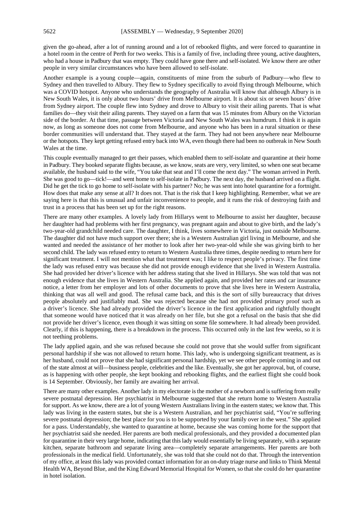given the go-ahead, after a lot of running around and a lot of rebooked flights, and were forced to quarantine in a hotel room in the centre of Perth for two weeks. This is a family of five, including three young, active daughters, who had a house in Padbury that was empty. They could have gone there and self-isolated. We know there are other people in very similar circumstances who have been allowed to self-isolate.

Another example is a young couple—again, constituents of mine from the suburb of Padbury—who flew to Sydney and then travelled to Albury. They flew to Sydney specifically to avoid flying through Melbourne, which was a COVID hotspot. Anyone who understands the geography of Australia will know that although Albury is in New South Wales, it is only about two hours' drive from Melbourne airport. It is about six or seven hours' drive from Sydney airport. The couple flew into Sydney and drove to Albury to visit their ailing parents. That is what families do—they visit their ailing parents. They stayed on a farm that was 15 minutes from Albury on the Victorian side of the border. At that time, passage between Victoria and New South Wales was humdrum. I think it is again now, as long as someone does not come from Melbourne, and anyone who has been in a rural situation or these border communities will understand that. They stayed at the farm. They had not been anywhere near Melbourne or the hotspots. They kept getting refused entry back into WA, even though there had been no outbreak in New South Wales at the time.

This couple eventually managed to get their passes, which enabled them to self-isolate and quarantine at their home in Padbury. They booked separate flights because, as we know, seats are very, very limited, so when one seat became available, the husband said to the wife, "You take that seat and I'll come the next day." The woman arrived in Perth. She was good to go—tick!—and went home to self-isolate in Padbury. The next day, the husband arrived on a flight. Did he get the tick to go home to self-isolate with his partner? No; he was sent into hotel quarantine for a fortnight. How does that make any sense at all? It does not. That is the risk that I keep highlighting. Remember, what we are saying here is that this is unusual and unfair inconvenience to people, and it runs the risk of destroying faith and trust in a process that has been set up for the right reasons.

There are many other examples. A lovely lady from Hillarys went to Melbourne to assist her daughter, because her daughter had had problems with her first pregnancy, was pregnant again and about to give birth, and the lady's two-year-old grandchild needed care. The daughter, I think, lives somewhere in Victoria, just outside Melbourne. The daughter did not have much support over there; she is a Western Australian girl living in Melbourne, and she wanted and needed the assistance of her mother to look after her two-year-old while she was giving birth to her second child. The lady was refused entry to return to Western Australia three times, despite needing to return here for significant treatment. I will not mention what that treatment was; I like to respect people's privacy. The first time the lady was refused entry was because she did not provide enough evidence that she lived in Western Australia. She had provided her driver's licence with her address stating that she lived in Hillarys. She was told that was not enough evidence that she lives in Western Australia. She applied again, and provided her rates and car insurance notice, a letter from her employer and lots of other documents to prove that she lives here in Western Australia, thinking that was all well and good. The refusal came back, and this is the sort of silly bureaucracy that drives people absolutely and justifiably mad. She was rejected because she had not provided primary proof such as a driver's licence. She had already provided the driver's licence in the first application and rightfully thought that someone would have noticed that it was already on her file, but she got a refusal on the basis that she did not provide her driver's licence, even though it was sitting on some file somewhere. It had already been provided. Clearly, if this is happening, there is a breakdown in the process. This occurred only in the last few weeks, so it is not teething problems.

The lady applied again, and she was refused because she could not prove that she would suffer from significant personal hardship if she was not allowed to return home. This lady, who is undergoing significant treatment, as is her husband, could not prove that she had significant personal hardship, yet we see other people coming in and out of the state almost at will—business people, celebrities and the like. Eventually, she got her approval, but, of course, as is happening with other people, she kept booking and rebooking flights, and the earliest flight she could book is 14 September. Obviously, her family are awaiting her arrival.

There are many other examples. Another lady in my electorate is the mother of a newborn and is suffering from really severe postnatal depression. Her psychiatrist in Melbourne suggested that she return home to Western Australia for support. As we know, there are a lot of young Western Australians living in the eastern states; we know that. This lady was living in the eastern states, but she is a Western Australian, and her psychiatrist said, "You're suffering severe postnatal depression; the best place for you is to be supported by your family over in the west." She applied for a pass. Understandably, she wanted to quarantine at home, because she was coming home for the support that her psychiatrist said she needed. Her parents are both medical professionals, and they provided a documented plan for quarantine in their very large home, indicating that this lady would essentially be living separately, with a separate kitchen, separate bathroom and separate living area—completely separate arrangements. Her parents are both professionals in the medical field. Unfortunately, she was told that she could not do that. Through the intervention of my office, at least this lady was provided contact information for an on-duty triage nurse and links to Think Mental Health WA, Beyond Blue, and the King Edward Memorial Hospital for Women, so that she could do her quarantine in hotel isolation.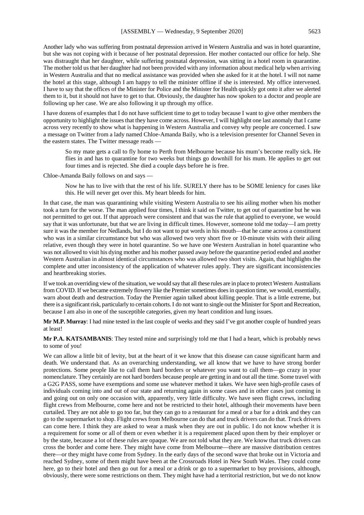Another lady who was suffering from postnatal depression arrived in Western Australia and was in hotel quarantine, but she was not coping with it because of her postnatal depression. Her mother contacted our office for help. She was distraught that her daughter, while suffering postnatal depression, was sitting in a hotel room in quarantine. The mother told us that her daughter had not been provided with any information about medical help when arriving in Western Australia and that no medical assistance was provided when she asked for it at the hotel. I will not name the hotel at this stage, although I am happy to tell the minister offline if she is interested. My office intervened. I have to say that the offices of the Minister for Police and the Minister for Health quickly got onto it after we alerted them to it, but it should not have to get to that. Obviously, the daughter has now spoken to a doctor and people are following up her case. We are also following it up through my office.

I have dozens of examples that I do not have sufficient time to get to today because I want to give other members the opportunity to highlight the issues that they have come across. However, I will highlight one last anomaly that I came across very recently to show what is happening in Western Australia and convey why people are concerned. I saw a message on Twitter from a lady named Chloe-Amanda Baily, who is a television presenter for Channel Seven in the eastern states. The Twitter message reads —

So my mate gets a call to fly home to Perth from Melbourne because his mum's become really sick. He flies in and has to quarantine for two weeks but things go downhill for his mum. He applies to get out four times and is rejected. She died a couple days before he is free.

Chloe-Amanda Baily follows on and says —

Now he has to live with that the rest of his life. SURELY there has to be SOME leniency for cases like this. He will never get over this. My heart bleeds for him.

In that case, the man was quarantining while visiting Western Australia to see his ailing mother when his mother took a turn for the worse. The man applied four times, I think it said on Twitter, to get out of quarantine but he was not permitted to get out. If that approach were consistent and that was the rule that applied to everyone, we would say that it was unfortunate, but that we are living in difficult times. However, someone told me today—I am pretty sure it was the member for Nedlands, but I do not want to put words in his mouth—that he came across a constituent who was in a similar circumstance but who was allowed two very short five or 10-minute visits with their ailing relative, even though they were in hotel quarantine. So we have one Western Australian in hotel quarantine who was not allowed to visit his dying mother and his mother passed away before the quarantine period ended and another Western Australian in almost identical circumstances who was allowed two short visits. Again, that highlights the complete and utter inconsistency of the application of whatever rules apply. They are significant inconsistencies and heartbreaking stories.

If we took an overriding view of the situation, we would say that all these rules are in place to protect Western Australians from COVID. If we became extremely flowery like the Premier sometimes does in question time, we would, essentially, warn about death and destruction. Today the Premier again talked about killing people. That is a little extreme, but there is a significant risk, particularly to certain cohorts. I do not want to single out the Minister for Sport and Recreation, because I am also in one of the susceptible categories, given my heart condition and lung issues.

**Mr M.P. Murray**: I had mine tested in the last couple of weeks and they said I've got another couple of hundred years at least!

**Mr P.A. KATSAMBANIS**: They tested mine and surprisingly told me that I had a heart, which is probably news to some of you!

We can allow a little bit of levity, but at the heart of it we know that this disease can cause significant harm and death. We understand that. As an overarching understanding, we all know that we have to have strong border protections. Some people like to call them hard borders or whatever you want to call them—go crazy in your nomenclature. They certainly are not hard borders because people are getting in and out all the time. Some travel with a G2G PASS, some have exemptions and some use whatever method it takes. We have seen high-profile cases of individuals coming into and out of our state and returning again in some cases and in other cases just coming in and going out on only one occasion with, apparently, very little difficulty. We have seen flight crews, including flight crews from Melbourne, come here and not be restricted to their hotel, although their movements have been curtailed. They are not able to go too far, but they can go to a restaurant for a meal or a bar for a drink and they can go to the supermarket to shop. Flight crews from Melbourne can do that and truck drivers can do that. Truck drivers can come here. I think they are asked to wear a mask when they are out in public. I do not know whether it is a requirement for some or all of them or even whether it is a requirement placed upon them by their employer or by the state, because a lot of these rules are opaque. We are not told what they are. We know that truck drivers can cross the border and come here. They might have come from Melbourne—there are massive distribution centres there—or they might have come from Sydney. In the early days of the second wave that broke out in Victoria and reached Sydney, some of them might have been at the Crossroads Hotel in New South Wales. They could come here, go to their hotel and then go out for a meal or a drink or go to a supermarket to buy provisions, although, obviously, there were some restrictions on them. They might have had a territorial restriction, but we do not know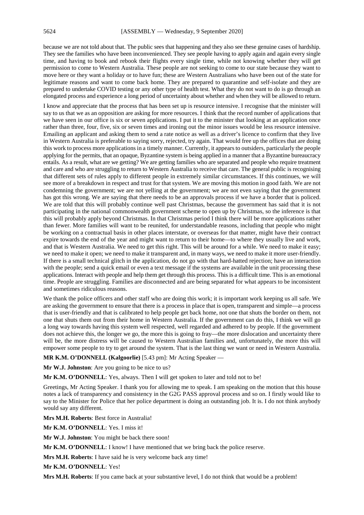because we are not told about that. The public sees that happening and they also see these genuine cases of hardship. They see the families who have been inconvenienced. They see people having to apply again and again every single time, and having to book and rebook their flights every single time, while not knowing whether they will get permission to come to Western Australia. These people are not seeking to come to our state because they want to move here or they want a holiday or to have fun; these are Western Australians who have been out of the state for legitimate reasons and want to come back home. They are prepared to quarantine and self-isolate and they are prepared to undertake COVID testing or any other type of health test. What they do not want to do is go through an elongated process and experience a long period of uncertainty about whether and when they will be allowed to return.

I know and appreciate that the process that has been set up is resource intensive. I recognise that the minister will say to us that we as an opposition are asking for more resources. I think that the record number of applications that we have seen in our office is six or seven applications. I put it to the minister that looking at an application once rather than three, four, five, six or seven times and ironing out the minor issues would be less resource intensive. Emailing an applicant and asking them to send a rate notice as well as a driver's licence to confirm that they live in Western Australia is preferable to saying sorry, rejected, try again. That would free up the offices that are doing this work to process more applications in a timely manner. Currently, it appears to outsiders, particularly the people applying for the permits, that an opaque, Byzantine system is being applied in a manner that a Byzantine bureaucracy entails. As a result, what are we getting? We are getting families who are separated and people who require treatment and care and who are struggling to return to Western Australia to receive that care. The general public is recognising that different sets of rules apply to different people in extremely similar circumstances. If this continues, we will see more of a breakdown in respect and trust for that system. We are moving this motion in good faith. We are not condemning the government; we are not yelling at the government; we are not even saying that the government has got this wrong. We are saying that there needs to be an approvals process if we have a border that is policed. We are told that this will probably continue well past Christmas, because the government has said that it is not participating in the national commonwealth government scheme to open up by Christmas, so the inference is that this will probably apply beyond Christmas. In that Christmas period I think there will be more applications rather than fewer. More families will want to be reunited, for understandable reasons, including that people who might be working on a contractual basis in other places interstate, or overseas for that matter, might have their contract expire towards the end of the year and might want to return to their home—to where they usually live and work, and that is Western Australia. We need to get this right. This will be around for a while. We need to make it easy; we need to make it open; we need to make it transparent and, in many ways, we need to make it more user-friendly. If there is a small technical glitch in the application, do not go with that hard-hatted rejection; have an interaction with the people; send a quick email or even a text message if the systems are available in the unit processing these applications. Interact with people and help them get through this process. This is a difficult time. This is an emotional time. People are struggling. Families are disconnected and are being separated for what appears to be inconsistent and sometimes ridiculous reasons.

We thank the police officers and other staff who are doing this work; it is important work keeping us all safe. We are asking the government to ensure that there is a process in place that is open, transparent and simple—a process that is user-friendly and that is calibrated to help people get back home, not one that shuts the border on them, not one that shuts them out from their home in Western Australia. If the government can do this, I think we will go a long way towards having this system well respected, well regarded and adhered to by people. If the government does not achieve this, the longer we go, the more this is going to fray—the more dislocation and uncertainty there will be, the more distress will be caused to Western Australian families and, unfortunately, the more this will empower some people to try to get around the system. That is the last thing we want or need in Western Australia.

**MR K.M. O'DONNELL (Kalgoorlie)** [5.43 pm]: Mr Acting Speaker —

**Mr W.J. Johnston**: Are you going to be nice to us?

**Mr K.M. O'DONNELL**: Yes, always. Then I will get spoken to later and told not to be!

Greetings, Mr Acting Speaker. I thank you for allowing me to speak. I am speaking on the motion that this house notes a lack of transparency and consistency in the G2G PASS approval process and so on. I firstly would like to say to the Minister for Police that her police department is doing an outstanding job. It is. I do not think anybody would say any different.

**Mrs M.H. Roberts**: Best force in Australia!

**Mr K.M. O'DONNELL**: Yes. I miss it!

**Mr W.J. Johnston**: You might be back there soon!

**Mr K.M. O'DONNELL**: I know! I have mentioned that we bring back the police reserve.

**Mrs M.H. Roberts**: I have said he is very welcome back any time!

**Mr K.M. O'DONNELL**: Yes!

**Mrs M.H. Roberts**: If you came back at your substantive level, I do not think that would be a problem!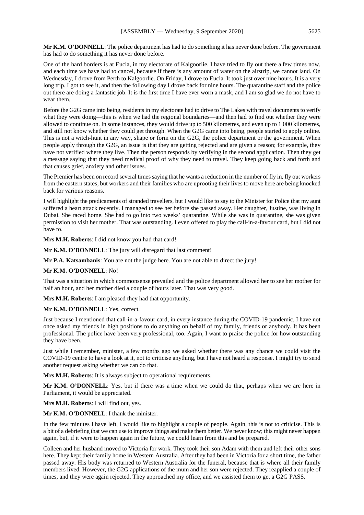**Mr K.M. O'DONNELL**: The police department has had to do something it has never done before. The government has had to do something it has never done before.

One of the hard borders is at Eucla, in my electorate of Kalgoorlie. I have tried to fly out there a few times now, and each time we have had to cancel, because if there is any amount of water on the airstrip, we cannot land. On Wednesday, I drove from Perth to Kalgoorlie. On Friday, I drove to Eucla. It took just over nine hours. It is a very long trip. I got to see it, and then the following day I drove back for nine hours. The quarantine staff and the police out there are doing a fantastic job. It is the first time I have ever worn a mask, and I am so glad we do not have to wear them.

Before the G2G came into being, residents in my electorate had to drive to The Lakes with travel documents to verify what they were doing—this is when we had the regional boundaries—and then had to find out whether they were allowed to continue on. In some instances, they would drive up to 500 kilometres, and even up to 1 000 kilometres, and still not know whether they could get through. When the G2G came into being, people started to apply online. This is not a witch-hunt in any way, shape or form on the G2G, the police department or the government. When people apply through the G2G, an issue is that they are getting rejected and are given a reason; for example, they have not verified where they live. Then the person responds by verifying in the second application. Then they get a message saying that they need medical proof of why they need to travel. They keep going back and forth and that causes grief, anxiety and other issues.

The Premier has been on record several times saying that he wants a reduction in the number of fly in, fly out workers from the eastern states, but workers and their families who are uprooting their lives to move here are being knocked back for various reasons.

I will highlight the predicaments of stranded travellers, but I would like to say to the Minister for Police that my aunt suffered a heart attack recently. I managed to see her before she passed away. Her daughter, Justine, was living in Dubai. She raced home. She had to go into two weeks' quarantine. While she was in quarantine, she was given permission to visit her mother. That was outstanding. I even offered to play the call-in-a-favour card, but I did not have to.

**Mrs M.H. Roberts**: I did not know you had that card!

**Mr K.M. O'DONNELL**: The jury will disregard that last comment!

**Mr P.A. Katsambanis**: You are not the judge here. You are not able to direct the jury!

#### **Mr K.M. O'DONNELL**: No!

That was a situation in which commonsense prevailed and the police department allowed her to see her mother for half an hour, and her mother died a couple of hours later. That was very good.

**Mrs M.H. Roberts**: I am pleased they had that opportunity.

#### **Mr K.M. O'DONNELL**: Yes, correct.

Just because I mentioned that call-in-a-favour card, in every instance during the COVID-19 pandemic, I have not once asked my friends in high positions to do anything on behalf of my family, friends or anybody. It has been professional. The police have been very professional, too. Again, I want to praise the police for how outstanding they have been.

Just while I remember, minister, a few months ago we asked whether there was any chance we could visit the COVID-19 centre to have a look at it, not to criticise anything, but I have not heard a response. I might try to send another request asking whether we can do that.

**Mrs M.H. Roberts**: It is always subject to operational requirements.

**Mr K.M. O'DONNELL**: Yes, but if there was a time when we could do that, perhaps when we are here in Parliament, it would be appreciated.

**Mrs M.H. Roberts**: I will find out, yes.

**Mr K.M. O'DONNELL**: I thank the minister.

In the few minutes I have left, I would like to highlight a couple of people. Again, this is not to criticise. This is a bit of a debriefing that we can use to improve things and make them better. We never know; this might never happen again, but, if it were to happen again in the future, we could learn from this and be prepared.

Colleen and her husband moved to Victoria for work. They took their son Adam with them and left their other sons here. They kept their family home in Western Australia. After they had been in Victoria for a short time, the father passed away. His body was returned to Western Australia for the funeral, because that is where all their family members lived. However, the G2G applications of the mum and her son were rejected. They reapplied a couple of times, and they were again rejected. They approached my office, and we assisted them to get a G2G PASS.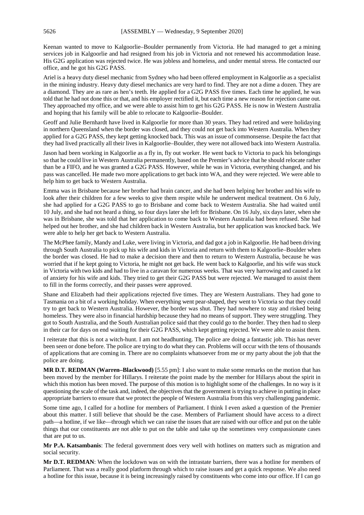Keenan wanted to move to Kalgoorlie–Boulder permanently from Victoria. He had managed to get a mining services job in Kalgoorlie and had resigned from his job in Victoria and not renewed his accommodation lease. His G2G application was rejected twice. He was jobless and homeless, and under mental stress. He contacted our office, and he got his G2G PASS.

Ariel is a heavy duty diesel mechanic from Sydney who had been offered employment in Kalgoorlie as a specialist in the mining industry. Heavy duty diesel mechanics are very hard to find. They are not a dime a dozen. They are a diamond. They are as rare as hen's teeth. He applied for a G2G PASS five times. Each time he applied, he was told that he had not done this or that, and his employer rectified it, but each time a new reason for rejection came out. They approached my office, and we were able to assist him to get his G2G PASS. He is now in Western Australia and hoping that his family will be able to relocate to Kalgoorlie–Boulder.

Geoff and Julie Bernhardt have lived in Kalgoorlie for more than 30 years. They had retired and were holidaying in northern Queensland when the border was closed, and they could not get back into Western Australia. When they applied for a G2G PASS, they kept getting knocked back. This was an issue of commonsense. Despite the fact that they had lived practically all their lives in Kalgoorlie–Boulder, they were not allowed back into Western Australia.

Jason had been working in Kalgoorlie as a fly in, fly out worker. He went back to Victoria to pack his belongings so that he could live in Western Australia permanently, based on the Premier's advice that he should relocate rather than be a FIFO, and he was granted a G2G PASS. However, while he was in Victoria, everything changed, and his pass was cancelled. He made two more applications to get back into WA, and they were rejected. We were able to help him to get back to Western Australia.

Emma was in Brisbane because her brother had brain cancer, and she had been helping her brother and his wife to look after their children for a few weeks to give them respite while he underwent medical treatment. On 6 July, she had applied for a G2G PASS to go to Brisbane and come back to Western Australia. She had waited until 10 July, and she had not heard a thing, so four days later she left for Brisbane. On 16 July, six days later, when she was in Brisbane, she was told that her application to come back to Western Australia had been refused. She had helped out her brother, and she had children back in Western Australia, but her application was knocked back. We were able to help her get back to Western Australia.

The McPhee family, Mandy and Luke, were living in Victoria, and dad got a job in Kalgoorlie. He had been driving through South Australia to pick up his wife and kids in Victoria and return with them to Kalgoorlie–Boulder when the border was closed. He had to make a decision there and then to return to Western Australia, because he was worried that if he kept going to Victoria, he might not get back. He went back to Kalgoorlie, and his wife was stuck in Victoria with two kids and had to live in a caravan for numerous weeks. That was very harrowing and caused a lot of anxiety for his wife and kids. They tried to get their G2G PASS but were rejected. We managed to assist them to fill in the forms correctly, and their passes were approved.

Shane and Elizabeth had their applications rejected five times. They are Western Australians. They had gone to Tasmania on a bit of a working holiday. When everything went pear-shaped, they went to Victoria so that they could try to get back to Western Australia. However, the border was shut. They had nowhere to stay and risked being homeless. They were also in financial hardship because they had no means of support. They were struggling. They got to South Australia, and the South Australian police said that they could go to the border. They then had to sleep in their car for days on end waiting for their G2G PASS, which kept getting rejected. We were able to assist them.

I reiterate that this is not a witch-hunt. I am not headhunting. The police are doing a fantastic job. This has never been seen or done before. The police are trying to do what they can. Problems will occur with the tens of thousands of applications that are coming in. There are no complaints whatsoever from me or my party about the job that the police are doing.

**MR D.T. REDMAN (Warren–Blackwood)** [5.55 pm]: I also want to make some remarks on the motion that has been moved by the member for Hillarys. I reiterate the point made by the member for Hillarys about the spirit in which this motion has been moved. The purpose of this motion is to highlight some of the challenges. In no way is it questioning the scale of the task and, indeed, the objectives that the government is trying to achieve in putting in place appropriate barriers to ensure that we protect the people of Western Australia from this very challenging pandemic.

Some time ago, I called for a hotline for members of Parliament. I think I even asked a question of the Premier about this matter. I still believe that should be the case. Members of Parliament should have access to a direct path—a hotline, if we like—through which we can raise the issues that are raised with our office and put on the table things that our constituents are not able to put on the table and take up the sometimes very compassionate cases that are put to us.

**Mr P.A. Katsambanis**: The federal government does very well with hotlines on matters such as migration and social security.

**Mr D.T. REDMAN**: When the lockdown was on with the intrastate barriers, there was a hotline for members of Parliament. That was a really good platform through which to raise issues and get a quick response. We also need a hotline for this issue, because it is being increasingly raised by constituents who come into our office. If I can go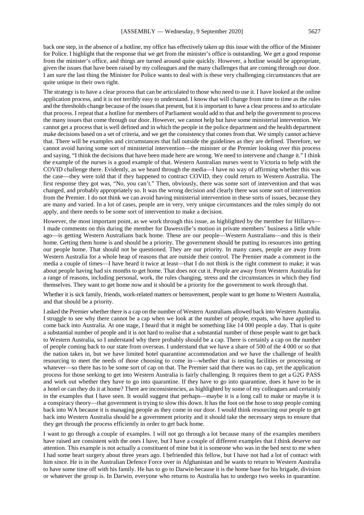back one step, in the absence of a hotline, my office has effectively taken up this issue with the office of the Minister

for Police. I highlight that the response that we get from the minister's office is outstanding. We get a good response from the minister's office, and things are turned around quite quickly. However, a hotline would be appropriate, given the issues that have been raised by my colleagues and the many challenges that are coming through our door. I am sure the last thing the Minister for Police wants to deal with is these very challenging circumstances that are quite unique in their own right.

The strategy is to have a clear process that can be articulated to those who need to use it. I have looked at the online application process, and it is not terribly easy to understand. I know that will change from time to time as the rules and the thresholds change because of the issues that present, but it is important to have a clear process and to articulate that process. I repeat that a hotline for members of Parliament would add to that and help the government to process the many issues that come through our door. However, we cannot help but have some ministerial intervention. We cannot get a process that is well defined and in which the people in the police department and the health department make decisions based on a set of criteria, and we get the consistency that comes from that. We simply cannot achieve that. There will be examples and circumstances that fall outside the guidelines as they are defined. Therefore, we cannot avoid having some sort of ministerial intervention—the minister or the Premier looking over this process and saying, "I think the decisions that have been made here are wrong. We need to intervene and change it." I think the example of the nurses is a good example of that. Western Australian nurses went to Victoria to help with the COVID challenge there. Evidently, as we heard through the media—I have no way of affirming whether this was the case—they were told that if they happened to contract COVID, they could return to Western Australia. The first response they got was, "No, you can't." Then, obviously, there was some sort of intervention and that was changed, and probably appropriately so. It was the wrong decision and clearly there was some sort of intervention from the Premier. I do not think we can avoid having ministerial intervention in these sorts of issues, because they are many and varied. In a lot of cases, people are in very, very unique circumstances and the rules simply do not apply, and there needs to be some sort of intervention to make a decision.

However, the most important point, as we work through this issue, as highlighted by the member for Hillarys— I made comments on this during the member for Dawesville's motion in private members' business a little while ago—is getting Western Australians back home. These are our people—Western Australians—and this is their home. Getting them home is and should be a priority. The government should be putting its resources into getting our people home. That should not be questioned. They are our priority. In many cases, people are away from Western Australia for a whole heap of reasons that are outside their control. The Premier made a comment in the media a couple of times—I have heard it twice at least—that I do not think is the right comment to make; it was about people having had six months to get home. That does not cut it. People are away from Western Australia for a range of reasons, including personal, work, the rules changing, stress and the circumstances in which they find themselves. They want to get home now and it should be a priority for the government to work through that.

Whether it is sick family, friends, work-related matters or bereavement, people want to get home to Western Australia, and that should be a priority.

I asked the Premier whether there is a cap on the number of Western Australians allowed back into Western Australia. I struggle to see why there cannot be a cap when we look at the number of people, expats, who have applied to come back into Australia. At one stage, I heard that it might be something like 14 000 people a day. That is quite a substantial number of people and it is not hard to realise that a substantial number of those people want to get back to Western Australia, so I understand why there probably should be a cap. There is certainly a cap on the number of people coming back to our state from overseas. I understand that we have a share of 500 of the 4 000 or so that the nation takes in, but we have limited hotel quarantine accommodation and we have the challenge of health resourcing to meet the needs of those choosing to come in—whether that is testing facilities or processing or whatever—so there has to be some sort of cap on that. The Premier said that there was no cap, yet the application process for those seeking to get into Western Australia is fairly challenging. It requires them to get a G2G PASS and work out whether they have to go into quarantine. If they have to go into quarantine, does it have to be in a hotel or can they do it at home? There are inconsistencies, as highlighted by some of my colleagues and certainly in the examples that I have seen. It would suggest that perhaps—maybe it is a long call to make or maybe it is a conspiracy theory—that government is trying to slow this down. It has the foot on the hose to stop people coming back into WA because it is managing people as they come in our door. I would think resourcing our people to get back into Western Australia should be a government priority and it should take the necessary steps to ensure that they get through the process efficiently in order to get back home.

I want to go through a couple of examples. I will not go through a lot because many of the examples members have raised are consistent with the ones I have, but I have a couple of different examples that I think deserve our attention. This example is not actually a constituent of mine but it is someone who was in the bed next to me when I had some heart surgery about three years ago. I befriended this fellow, but I have not had a lot of contact with him since. He is in the Australian Defence Force over in Afghanistan and he wants to return to Western Australia to have some time off with his family. He has to go to Darwin because it is the home base for his brigade, division or whatever the group is. In Darwin, everyone who returns to Australia has to undergo two weeks in quarantine.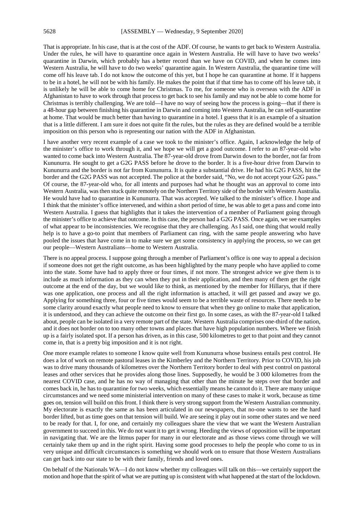That is appropriate. In his case, that is at the cost of the ADF. Of course, he wants to get back to Western Australia. Under the rules, he will have to quarantine once again in Western Australia. He will have to have two weeks' quarantine in Darwin, which probably has a better record than we have on COVID, and when he comes into Western Australia, he will have to do two weeks' quarantine again. In Western Australia, the quarantine time will come off his leave tab. I do not know the outcome of this yet, but I hope he can quarantine at home. If it happens to be in a hotel, he will not be with his family. He makes the point that if that time has to come off his leave tab, it is unlikely he will be able to come home for Christmas. To me, for someone who is overseas with the ADF in Afghanistan to have to work through that process to get back to see his family and may not be able to come home for Christmas is terribly challenging. We are told—I have no way of seeing how the process is going—that if there is a 48-hour gap between finishing his quarantine in Darwin and coming into Western Australia, he can self-quarantine at home. That would be much better than having to quarantine in a hotel. I guess that it is an example of a situation that is a little different. I am sure it does not quite fit the rules, but the rules as they are defined would be a terrible imposition on this person who is representing our nation with the ADF in Afghanistan.

I have another very recent example of a case we took to the minister's office. Again, I acknowledge the help of the minister's office to work through it, and we hope we will get a good outcome. I refer to an 87-year-old who wanted to come back into Western Australia. The 87-year-old drove from Darwin down to the border, not far from Kununurra. He sought to get a G2G PASS before he drove to the border. It is a five-hour drive from Darwin to Kununurra and the border is not far from Kununurra. It is quite a substantial drive. He had his G2G PASS, hit the border and the G2G PASS was not accepted. The police at the border said, "No, we do not accept your G2G pass." Of course, the 87-year-old who, for all intents and purposes had what he thought was an approval to come into Western Australia, was then stuck quite remotely on the Northern Territory side of the border with Western Australia. He would have had to quarantine in Kununurra. That was accepted. We talked to the minister's office. I hope and I think that the minister's office intervened, and within a short period of time, he was able to get a pass and come into Western Australia. I guess that highlights that it takes the intervention of a member of Parliament going through the minister's office to achieve that outcome. In this case, the person had a G2G PASS. Once again, we see examples of what appear to be inconsistencies. We recognise that they are challenging. As I said, one thing that would really help is to have a go-to point that members of Parliament can ring, with the same people answering who have pooled the issues that have come in to make sure we get some consistency in applying the process, so we can get our people—Western Australians—home to Western Australia.

There is no appeal process. I suppose going through a member of Parliament's office is one way to appeal a decision if someone does not get the right outcome, as has been highlighted by the many people who have applied to come into the state. Some have had to apply three or four times, if not more. The strongest advice we give them is to include as much information as they can when they put in their application, and then many of them get the right outcome at the end of the day, but we would like to think, as mentioned by the member for Hillarys, that if there was one application, one process and all the right information is attached, it will get passed and away we go. Applying for something three, four or five times would seem to be a terrible waste of resources. There needs to be some clarity around exactly what people need to know to ensure that when they go online to make that application, it is understood, and they can achieve the outcome on their first go. In some cases, as with the 87-year-old I talked about, people can be isolated in a very remote part of the state. Western Australia comprises one-third of the nation, and it does not border on to too many other towns and places that have high population numbers. Where we finish up is a fairly isolated spot. If a person has driven, as in this case, 500 kilometres to get to that point and they cannot come in, that is a pretty big imposition and it is not right.

One more example relates to someone I know quite well from Kununurra whose business entails pest control. He does a lot of work on remote pastoral leases in the Kimberley and the Northern Territory. Prior to COVID, his job was to drive many thousands of kilometres over the Northern Territory border to deal with pest control on pastoral leases and other services that he provides along those lines. Supposedly, he would be 3 000 kilometres from the nearest COVID case, and he has no way of managing that other than the minute he steps over that border and comes back in, he has to quarantine for two weeks, which essentially means he cannot do it. There are many unique circumstances and we need some ministerial intervention on many of these cases to make it work, because as time goes on, tension will build on this front. I think there is very strong support from the Western Australian community. My electorate is exactly the same as has been articulated in our newspapers, that no-one wants to see the hard border lifted, but as time goes on that tension will build. We are seeing it play out in some other states and we need to be ready for that. I, for one, and certainly my colleagues share the view that we want the Western Australian government to succeed in this. We do not want it to get it wrong. Heeding the views of opposition will be important in navigating that. We are the litmus paper for many in our electorate and as those views come through we will certainly take them up and in the right spirit. Having some good processes to help the people who come to us in very unique and difficult circumstances is something we should work on to ensure that those Western Australians can get back into our state to be with their family, friends and loved ones.

On behalf of the Nationals WA—I do not know whether my colleagues will talk on this—we certainly support the motion and hope that the spirit of what we are putting up is consistent with what happened at the start of the lockdown.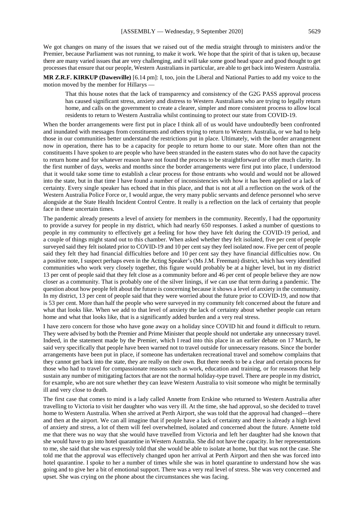We got changes on many of the issues that we raised out of the media straight through to ministers and/or the Premier, because Parliament was not running, to make it work. We hope that the spirit of that is taken up, because there are many varied issues that are very challenging, and it will take some good head space and good thought to get processes that ensure that our people, Western Australians in particular, are able to get back into Western Australia.

**MR Z.R.F. KIRKUP (Dawesville)** [6.14 pm]: I, too, join the Liberal and National Parties to add my voice to the motion moved by the member for Hillarys —

That this house notes that the lack of transparency and consistency of the G2G PASS approval process has caused significant stress, anxiety and distress to Western Australians who are trying to legally return home, and calls on the government to create a clearer, simpler and more consistent process to allow local residents to return to Western Australia whilst continuing to protect our state from COVID-19.

When the border arrangements were first put in place I think all of us would have undoubtedly been confronted and inundated with messages from constituents and others trying to return to Western Australia, or we had to help those in our communities better understand the restrictions put in place. Ultimately, with the border arrangement now in operation, there has to be a capacity for people to return home to our state. More often than not the constituents I have spoken to are people who have been stranded in the eastern states who do not have the capacity to return home and for whatever reason have not found the process to be straightforward or offer much clarity. In the first number of days, weeks and months since the border arrangements were first put into place, I understood that it would take some time to establish a clear process for those entrants who would and would not be allowed into the state, but in that time I have found a number of inconsistencies with how it has been applied or a lack of certainty. Every single speaker has echoed that in this place, and that is not at all a reflection on the work of the Western Australia Police Force or, I would argue, the very many public servants and defence personnel who serve alongside at the State Health Incident Control Centre. It really is a reflection on the lack of certainty that people face in these uncertain times.

The pandemic already presents a level of anxiety for members in the community. Recently, I had the opportunity to provide a survey for people in my district, which had nearly 650 responses. I asked a number of questions to people in my community to effectively get a feeling for how they have felt during the COVID-19 period, and a couple of things might stand out to this chamber. When asked whether they felt isolated, five per cent of people surveyed said they felt isolated prior to COVID-19 and 10 per cent say they feel isolated now. Five per cent of people said they felt they had financial difficulties before and 10 per cent say they have financial difficulties now. On a positive note, I suspect perhaps even in the Acting Speaker's (Ms J.M. Freeman) district, which has very identified communities who work very closely together, this figure would probably be at a higher level, but in my district 13 per cent of people said that they felt close as a community before and 46 per cent of people believe they are now closer as a community. That is probably one of the silver linings, if we can use that term during a pandemic. The question about how people felt about the future is concerning because it shows a level of anxiety in the community. In my district, 13 per cent of people said that they were worried about the future prior to COVID-19, and now that is 53 per cent. More than half the people who were surveyed in my community felt concerned about the future and what that looks like. When we add to that level of anxiety the lack of certainty about whether people can return home and what that looks like, that is a significantly added burden and a very real stress.

I have zero concern for those who have gone away on a holiday since COVID hit and found it difficult to return. They were advised by both the Premier and Prime Minister that people should not undertake any unnecessary travel. Indeed, in the statement made by the Premier, which I read into this place in an earlier debate on 17 March, he said very specifically that people have been warned not to travel outside for unnecessary reasons. Since the border arrangements have been put in place, if someone has undertaken recreational travel and somehow complains that they cannot get back into the state, they are really on their own. But there needs to be a clear and certain process for those who had to travel for compassionate reasons such as work, education and training, or for reasons that help sustain any number of mitigating factors that are not the normal holiday-type travel. There are people in my district, for example, who are not sure whether they can leave Western Australia to visit someone who might be terminally ill and very close to death.

The first case that comes to mind is a lady called Annette from Erskine who returned to Western Australia after travelling to Victoria to visit her daughter who was very ill. At the time, she had approval, so she decided to travel home to Western Australia. When she arrived at Perth Airport, she was told that the approval had changed—there and then at the airport. We can all imagine that if people have a lack of certainty and there is already a high level of anxiety and stress, a lot of them will feel overwhelmed, isolated and concerned about the future. Annette told me that there was no way that she would have travelled from Victoria and left her daughter had she known that she would have to go into hotel quarantine in Western Australia. She did not have the capacity. In her representations to me, she said that she was expressly told that she would be able to isolate at home, but that was not the case. She told me that the approval was effectively changed upon her arrival at Perth Airport and then she was forced into hotel quarantine. I spoke to her a number of times while she was in hotel quarantine to understand how she was going and to give her a bit of emotional support. There was a very real level of stress. She was very concerned and upset. She was crying on the phone about the circumstances she was facing.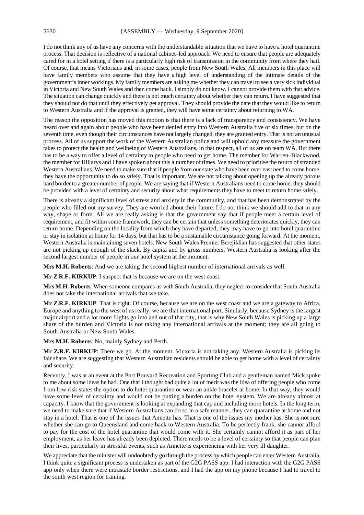I do not think any of us have any concerns with the understandable situation that we have to have a hotel quarantine process. That decision is reflective of a national cabinet–led approach. We need to ensure that people are adequately cared for in a hotel setting if there is a particularly high risk of transmission in the community from where they hail. Of course, that means Victorians and, in some cases, people from New South Wales. All members in this place will have family members who assume that they have a high level of understanding of the intimate details of the government's inner workings. My family members are asking me whether they can travel to see a very sick individual in Victoria and New South Wales and then come back. I simply do not know. I cannot provide them with that advice. The situation can change quickly and there is not much certainty about whether they can return. I have suggested that they should not do that until they effectively get approval. They should provide the date that they would like to return to Western Australia and if the approval is granted, they will have some certainty about returning to WA.

The reason the opposition has moved this motion is that there is a lack of transparency and consistency. We have heard over and again about people who have been denied entry into Western Australia five or six times, but on the seventh time, even though their circumstances have not largely changed, they are granted entry. That is not an unusual process. All of us support the work of the Western Australian police and will uphold any measure the government takes to protect the health and wellbeing of Western Australians. In that respect, all of us are on team WA. But there has to be a way to offer a level of certainty to people who need to get home. The member for Warren–Blackwood, the member for Hillarys and I have spoken about this a number of times. We need to prioritise the return of stranded Western Australians. We need to make sure that if people from our state who have been over east need to come home, they have the opportunity to do so safely. That is important. We are not talking about opening up the already porous hard border to a greater number of people. We are saying that if Western Australians need to come home, they should be provided with a level of certainty and security about what requirements they have to meet to return home safely.

There is already a significant level of stress and anxiety in the community, and that has been demonstrated by the people who filled out my survey. They are worried about their future. I do not think we should add to that in any way, shape or form. All we are really asking is that the government say that if people meet a certain level of requirement, and fit within some framework, they can be certain that unless something deteriorates quickly, they can return home. Depending on the locality from which they have departed, they may have to go into hotel quarantine or stay in isolation at home for 14 days, but that has to be a sustainable circumstance going forward. At the moment, Western Australia is maintaining seven hotels. New South Wales Premier Berejiklian has suggested that other states are not picking up enough of the slack. By capita and by gross numbers, Western Australia is looking after the second largest number of people in our hotel system at the moment.

**Mrs M.H. Roberts**: And we are taking the second highest number of international arrivals as well.

**Mr Z.R.F. KIRKUP**: I suspect that is because we are on the west coast.

**Mrs M.H. Roberts**: When someone compares us with South Australia, they neglect to consider that South Australia does not take the international arrivals that we take.

**Mr Z.R.F. KIRKUP**: That is right. Of course, because we are on the west coast and we are a gateway to Africa, Europe and anything to the west of us really, we are that international port. Similarly, because Sydney is the largest major airport and a lot more flights go into and out of that city, that is why New South Wales is picking up a large share of the burden and Victoria is not taking any international arrivals at the moment; they are all going to South Australia or New South Wales.

**Mrs M.H. Roberts**: No, mainly Sydney and Perth.

**Mr Z.R.F. KIRKUP**: There we go. At the moment, Victoria is not taking any. Western Australia is picking its fair share. We are suggesting that Western Australian residents should be able to get home with a level of certainty and security.

Recently, I was at an event at the Port Bouvard Recreation and Sporting Club and a gentleman named Mick spoke to me about some ideas he had. One that I thought had quite a lot of merit was the idea of offering people who come from low-risk states the option to do hotel quarantine or wear an ankle bracelet at home. In that way, they would have some level of certainty and would not be putting a burden on the hotel system. We are already almost at capacity. I know that the government is looking at expanding that cap and including more hotels. In the long term, we need to make sure that if Western Australians can do so in a safe manner, they can quarantine at home and not stay in a hotel. That is one of the issues that Annette has. That is one of the issues my mother has. She is not sure whether she can go to Queensland and come back to Western Australia. To be perfectly frank, she cannot afford to pay for the cost of the hotel quarantine that would come with it. She certainly cannot afford it as part of her employment, as her leave has already been depleted. There needs to be a level of certainty so that people can plan their lives, particularly in stressful events, such as Annette is experiencing with her very ill daughter.

We appreciate that the minister will undoubtedly go through the process by which people can enter Western Australia. I think quite a significant process is undertaken as part of the G2G PASS app. I had interaction with the G2G PASS app only when there were intrastate border restrictions, and I had the app on my phone because I had to travel to the south west region for training.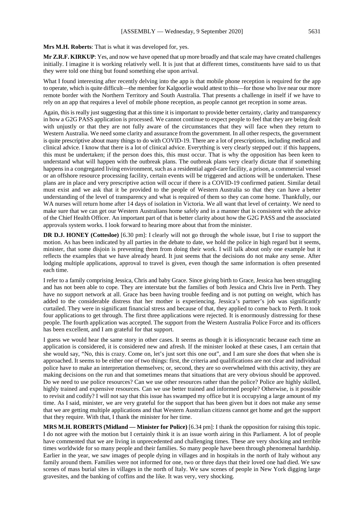**Mrs M.H. Roberts**: That is what it was developed for, yes.

**Mr Z.R.F. KIRKUP**: Yes, and now we have opened that up more broadly and that scale may have created challenges initially. I imagine it is working relatively well. It is just that at different times, constituents have said to us that they were told one thing but found something else upon arrival.

What I found interesting after recently delving into the app is that mobile phone reception is required for the app to operate, which is quite difficult—the member for Kalgoorlie would attest to this—for those who live near our more remote border with the Northern Territory and South Australia. That presents a challenge in itself if we have to rely on an app that requires a level of mobile phone reception, as people cannot get reception in some areas.

Again, this is really just suggesting that at this time it is important to provide better certainty, clarity and transparency in how a G2G PASS application is processed. We cannot continue to expect people to feel that they are being dealt with unjustly or that they are not fully aware of the circumstances that they will face when they return to Western Australia. We need some clarity and assurance from the government. In all other respects, the government is quite prescriptive about many things to do with COVID-19. There are a lot of prescriptions, including medical and clinical advice. I know that there is a lot of clinical advice. Everything is very clearly stepped out: if this happens, this must be undertaken; if the person does this, this must occur. That is why the opposition has been keen to understand what will happen with the outbreak plans. The outbreak plans very clearly dictate that if something happens in a congregated living environment, such as a residential aged-care facility, a prison, a commercial vessel or an offshore resource processing facility, certain events will be triggered and actions will be undertaken. These plans are in place and very prescriptive action will occur if there is a COVID-19 confirmed patient. Similar detail must exist and we ask that it be provided to the people of Western Australia so that they can have a better understanding of the level of transparency and what is required of them so they can come home. Thankfully, our WA nurses will return home after 14 days of isolation in Victoria. We all want that level of certainty. We need to make sure that we can get our Western Australians home safely and in a manner that is consistent with the advice of the Chief Health Officer. An important part of that is better clarity about how the G2G PASS and the associated approvals system works. I look forward to hearing more about that from the minister.

**DR D.J. HONEY (Cottesloe)** [6.30 pm]: I clearly will not go through the whole issue, but I rise to support the motion. As has been indicated by all parties in the debate to date, we hold the police in high regard but it seems, minister, that some disjoin is preventing them from doing their work. I will talk about only one example but it reflects the examples that we have already heard. It just seems that the decisions do not make any sense. After lodging multiple applications, approval to travel is given, even though the same information is often presented each time.

I refer to a family comprising Jessica, Chris and baby Grace. Since giving birth to Grace, Jessica has been struggling and has not been able to cope. They are interstate but the families of both Jessica and Chris live in Perth. They have no support network at all. Grace has been having trouble feeding and is not putting on weight, which has added to the considerable distress that her mother is experiencing. Jessica's partner's job was significantly curtailed. They were in significant financial stress and because of that, they applied to come back to Perth. It took four applications to get through. The first three applications were rejected. It is enormously distressing for these people. The fourth application was accepted. The support from the Western Australia Police Force and its officers has been excellent, and I am grateful for that support.

I guess we would hear the same story in other cases. It seems as though it is idiosyncratic because each time an application is considered, it is considered new and afresh. If the minister looked at these cases, I am certain that she would say, "No, this is crazy. Come on, let's just sort this one out", and I am sure she does that when she is approached. It seems to be either one of two things: first, the criteria and qualifications are not clear and individual police have to make an interpretation themselves; or, second, they are so overwhelmed with this activity, they are making decisions on the run and that sometimes means that situations that are very obvious should be approved. Do we need to use police resources? Can we use other resources rather than the police? Police are highly skilled, highly trained and expensive resources. Can we use better trained and informed people? Otherwise, is it possible to revisit and codify? I will not say that this issue has swamped my office but it is occupying a large amount of my time. As I said, minister, we are very grateful for the support that has been given but it does not make any sense that we are getting multiple applications and that Western Australian citizens cannot get home and get the support that they require. With that, I thank the minister for her time.

**MRS M.H. ROBERTS (Midland — Minister for Police)** [6.34 pm]: I thank the opposition for raising this topic. I do not agree with the motion but I certainly think it is an issue worth airing in this Parliament. A lot of people have commented that we are living in unprecedented and challenging times. These are very shocking and terrible times worldwide for so many people and their families. So many people have been through phenomenal hardship. Earlier in the year, we saw images of people dying in villages and in hospitals in the north of Italy without any family around them. Families were not informed for one, two or three days that their loved one had died. We saw scenes of mass burial sites in villages in the north of Italy. We saw scenes of people in New York digging large gravesites, and the banking of coffins and the like. It was very, very shocking.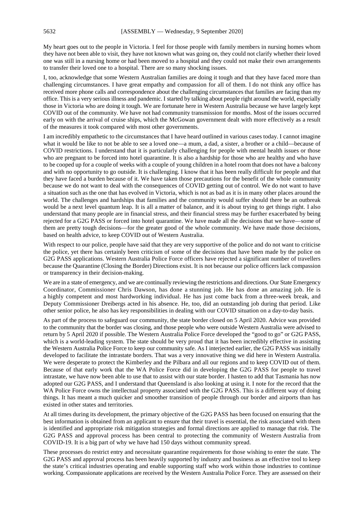My heart goes out to the people in Victoria. I feel for those people with family members in nursing homes whom they have not been able to visit, they have not known what was going on, they could not clarify whether their loved one was still in a nursing home or had been moved to a hospital and they could not make their own arrangements to transfer their loved one to a hospital. There are so many shocking issues.

I, too, acknowledge that some Western Australian families are doing it tough and that they have faced more than challenging circumstances. I have great empathy and compassion for all of them. I do not think any office has received more phone calls and correspondence about the challenging circumstances that families are facing than my office. This is a very serious illness and pandemic. I started by talking about people right around the world, especially those in Victoria who are doing it tough. We are fortunate here in Western Australia because we have largely kept COVID out of the community. We have not had community transmission for months. Most of the issues occurred early on with the arrival of cruise ships, which the McGowan government dealt with more effectively as a result of the measures it took compared with most other governments.

I am incredibly empathetic to the circumstances that I have heard outlined in various cases today. I cannot imagine what it would be like to not be able to see a loved one—a mum, a dad, a sister, a brother or a child—because of COVID restrictions. I understand that it is particularly challenging for people with mental health issues or those who are pregnant to be forced into hotel quarantine. It is also a hardship for those who are healthy and who have to be cooped up for a couple of weeks with a couple of young children in a hotel room that does not have a balcony and with no opportunity to go outside. It is challenging. I know that it has been really difficult for people and that they have faced a burden because of it. We have taken those precautions for the benefit of the whole community because we do not want to deal with the consequences of COVID getting out of control. We do not want to have a situation such as the one that has evolved in Victoria, which is not as bad as it is in many other places around the world. The challenges and hardships that families and the community would suffer should there be an outbreak would be a next level quantum leap. It is all a matter of balance, and it is about trying to get things right. I also understand that many people are in financial stress, and their financial stress may be further exacerbated by being rejected for a G2G PASS or forced into hotel quarantine. We have made all the decisions that we have—some of them are pretty tough decisions—for the greater good of the whole community. We have made those decisions, based on health advice, to keep COVID out of Western Australia.

With respect to our police, people have said that they are very supportive of the police and do not want to criticise the police, yet there has certainly been criticism of some of the decisions that have been made by the police on G2G PASS applications. Western Australia Police Force officers have rejected a significant number of travellers because the Quarantine (Closing the Border) Directions exist. It is not because our police officers lack compassion or transparency in their decision-making.

We are in a state of emergency, and we are continually reviewing the restrictions and directions. Our State Emergency Coordinator, Commissioner Chris Dawson, has done a stunning job. He has done an amazing job. He is a highly competent and most hardworking individual. He has just come back from a three-week break, and Deputy Commissioner Dreibergs acted in his absence. He, too, did an outstanding job during that period. Like other senior police, he also has key responsibilities in dealing with our COVID situation on a day-to-day basis.

As part of the process to safeguard our community, the state border closed on 5 April 2020. Advice was provided to the community that the border was closing, and those people who were outside Western Australia were advised to return by 5 April 2020 if possible. The Western Australia Police Force developed the "good to go" or G2G PASS, which is a world-leading system. The state should be very proud that it has been incredibly effective in assisting the Western Australia Police Force to keep our community safe. As I interjected earlier, the G2G PASS was initially developed to facilitate the intrastate borders. That was a very innovative thing we did here in Western Australia. We were desperate to protect the Kimberley and the Pilbara and all our regions and to keep COVID out of them. Because of that early work that the WA Police Force did in developing the G2G PASS for people to travel intrastate, we have now been able to use that to assist with our state border. I hasten to add that Tasmania has now adopted our G2G PASS, and I understand that Queensland is also looking at using it. I note for the record that the WA Police Force owns the intellectual property associated with the G2G PASS. This is a different way of doing things. It has meant a much quicker and smoother transition of people through our border and airports than has existed in other states and territories.

At all times during its development, the primary objective of the G2G PASS has been focused on ensuring that the best information is obtained from an applicant to ensure that their travel is essential, the risk associated with them is identified and appropriate risk mitigation strategies and formal directions are applied to manage that risk. The G2G PASS and approval process has been central to protecting the community of Western Australia from COVID-19. It is a big part of why we have had 150 days without community spread.

These processes do restrict entry and necessitate quarantine requirements for those wishing to enter the state. The G2G PASS and approval process has been heavily supported by industry and business as an effective tool to keep the state's critical industries operating and enable supporting staff who work within those industries to continue working. Compassionate applications are received by the Western Australia Police Force. They are assessed on their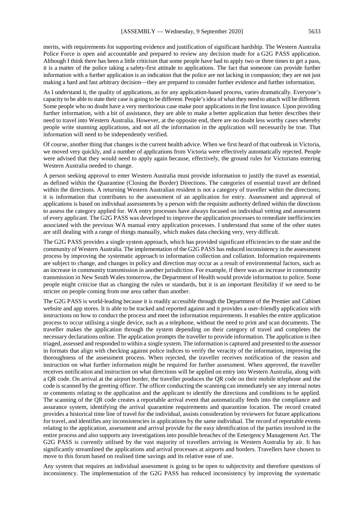merits, with requirements for supporting evidence and justification of significant hardship. The Western Australia Police Force is open and accountable and prepared to review any decision made for a G2G PASS application. Although I think there has been a little criticism that some people have had to apply two or three times to get a pass, it is a matter of the police taking a safety-first attitude to applications. The fact that someone can provide further information with a further application is an indication that the police are not lacking in compassion; they are not just making a hard and fast arbitrary decision—they are prepared to consider further evidence and further information.

As I understand it, the quality of applications, as for any application-based process, varies dramatically. Everyone's capacity to be able to state their case is going to be different. People's idea of what they need to attach will be different. Some people who no doubt have a very meritorious case make poor applications in the first instance. Upon providing further information, with a bit of assistance, they are able to make a better application that better describes their need to travel into Western Australia. However, at the opposite end, there are no doubt less worthy cases whereby people write stunning applications, and not all the information in the application will necessarily be true. That information will need to be independently verified.

Of course, another thing that changes is the current health advice. When we first heard of that outbreak in Victoria, we moved very quickly, and a number of applications from Victoria were effectively automatically rejected. People were advised that they would need to apply again because, effectively, the ground rules for Victorians entering Western Australia needed to change.

A person seeking approval to enter Western Australia must provide information to justify the travel as essential, as defined within the Quarantine (Closing the Border) Directions. The categories of essential travel are defined within the directions. A returning Western Australian resident is not a category of traveller within the directions; it is information that contributes to the assessment of an application for entry. Assessment and approval of applications is based on individual assessments by a person with the requisite authority defined within the directions to assess the category applied for. WA entry processes have always focused on individual vetting and assessment of every applicant. The G2G PASS was developed to improve the application processes to remediate inefficiencies associated with the previous WA manual entry application processes. I understand that some of the other states are still dealing with a range of things manually, which makes data checking very, very difficult.

The G2G PASS provides a single system approach, which has provided significant efficiencies to the state and the community of Western Australia. The implementation of the G2G PASS has reduced inconsistency in the assessment process by improving the systematic approach to information collection and collation. Information requirements are subject to change, and changes in policy and direction may occur as a result of environmental factors, such as an increase in community transmission in another jurisdiction. For example, if there was an increase in community transmission in New South Wales tomorrow, the Department of Health would provide information to police. Some people might criticise that as changing the rules or standards, but it is an important flexibility if we need to be stricter on people coming from one area rather than another.

The G2G PASS is world-leading because it is readily accessible through the Department of the Premier and Cabinet website and app stores. It is able to be tracked and reported against and it provides a user-friendly application with instructions on how to conduct the process and meet the information requirements. It enables the entire application process to occur utilising a single device, such as a telephone, without the need to print and scan documents. The traveller makes the application through the system depending on their category of travel and completes the necessary declarations online. The application prompts the traveller to provide information. The application is then triaged, assessed and responded to within a single system. The information is captured and presented to the assessor in formats that align with checking against police indices to verify the veracity of the information, improving the thoroughness of the assessment process. When rejected, the traveller receives notification of the reason and instruction on what further information might be required for further assessment. When approved, the traveller receives notification and instruction on what directions will be applied on entry into Western Australia, along with a QR code. On arrival at the airport border, the traveller produces the QR code on their mobile telephone and the code is scanned by the greeting officer. The officer conducting the scanning can immediately see any internal notes or comments relating to the application and the applicant to identify the directions and conditions to be applied. The scanning of the QR code creates a reportable arrival event that automatically feeds into the compliance and assurance system, identifying the arrival quarantine requirements and quarantine location. The record created provides a historical time line of travel for the individual, assists consideration by reviewers for future applications for travel, and identifies any inconsistencies in applications by the same individual. The record of reportable events relating to the application, assessment and arrival provide for the easy identification of the parties involved in the entire process and also supports any investigations into possible breaches of the Emergency Management Act. The G2G PASS is currently utilised by the vast majority of travellers arriving in Western Australia by air. It has significantly streamlined the applications and arrival processes at airports and borders. Travellers have chosen to move to this forum based on realised time savings and its relative ease of use.

Any system that requires an individual assessment is going to be open to subjectivity and therefore questions of inconsistency. The implementation of the G2G PASS has reduced inconsistency by improving the systematic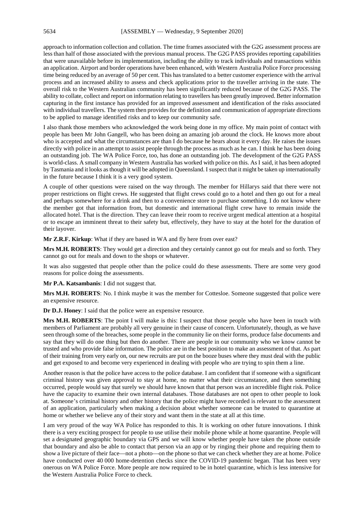approach to information collection and collation. The time frames associated with the G2G assessment process are less than half of those associated with the previous manual process. The G2G PASS provides reporting capabilities that were unavailable before its implementation, including the ability to track individuals and transactions within an application. Airport and border operations have been enhanced, with Western Australia Police Force processing time being reduced by an average of 50 per cent. This has translated to a better customer experience with the arrival process and an increased ability to assess and check applications prior to the traveller arriving in the state. The overall risk to the Western Australian community has been significantly reduced because of the G2G PASS. The ability to collate, collect and report on information relating to travellers has been greatly improved. Better information capturing in the first instance has provided for an improved assessment and identification of the risks associated with individual travellers. The system then provides for the definition and communication of appropriate directions to be applied to manage identified risks and to keep our community safe.

I also thank those members who acknowledged the work being done in my office. My main point of contact with people has been Mr John Gangell, who has been doing an amazing job around the clock. He knows more about who is accepted and what the circumstances are than I do because he hears about it every day. He raises the issues directly with police in an attempt to assist people through the process as much as he can. I think he has been doing an outstanding job. The WA Police Force, too, has done an outstanding job. The development of the G2G PASS is world-class. A small company in Western Australia has worked with police on this. AsI said, it has been adopted by Tasmania and it looks as though it will be adopted in Queensland. I suspect that it might be taken up internationally in the future because I think it is a very good system.

A couple of other questions were raised on the way through. The member for Hillarys said that there were not proper restrictions on flight crews. He suggested that flight crews could go to a hotel and then go out for a meal and perhaps somewhere for a drink and then to a convenience store to purchase something. I do not know where the member got that information from, but domestic and international flight crew have to remain inside the allocated hotel. That is the direction. They can leave their room to receive urgent medical attention at a hospital or to escape an imminent threat to their safety but, effectively, they have to stay at the hotel for the duration of their layover.

**Mr Z.R.F. Kirkup**: What if they are based in WA and fly here from over east?

**Mrs M.H. ROBERTS**: They would get a direction and they certainly cannot go out for meals and so forth. They cannot go out for meals and down to the shops or whatever.

It was also suggested that people other than the police could do these assessments. There are some very good reasons for police doing the assessments.

**Mr P.A. Katsambanis**: I did not suggest that.

**Mrs M.H. ROBERTS**: No. I think maybe it was the member for Cottesloe. Someone suggested that police were an expensive resource.

**Dr D.J. Honey**: I said that the police were an expensive resource.

**Mrs M.H. ROBERTS**: The point I will make is this: I suspect that those people who have been in touch with members of Parliament are probably all very genuine in their cause of concern. Unfortunately, though, as we have seen through some of the breaches, some people in the community lie on their forms, produce false documents and say that they will do one thing but then do another. There are people in our community who we know cannot be trusted and who provide false information. The police are in the best position to make an assessment of that. As part of their training from very early on, our new recruits are put on the booze buses where they must deal with the public and get exposed to and become very experienced in dealing with people who are trying to spin them a line.

Another reason is that the police have access to the police database. I am confident that if someone with a significant criminal history was given approval to stay at home, no matter what their circumstance, and then something occurred, people would say that surely we should have known that that person was an incredible flight risk. Police have the capacity to examine their own internal databases. Those databases are not open to other people to look at. Someone's criminal history and other history that the police might have recorded is relevant to the assessment of an application, particularly when making a decision about whether someone can be trusted to quarantine at home or whether we believe any of their story and want them in the state at all at this time.

I am very proud of the way WA Police has responded to this. It is working on other future innovations. I think there is a very exciting prospect for people to use utilise their mobile phone while at home quarantine. People will set a designated geographic boundary via GPS and we will know whether people have taken the phone outside that boundary and also be able to contact that person via an app or by ringing their phone and requiring them to show a live picture of their face—not a photo—on the phone so that we can check whether they are at home. Police have conducted over 40 000 home-detention checks since the COVID-19 pandemic began. That has been very onerous on WA Police Force. More people are now required to be in hotel quarantine, which is less intensive for the Western Australia Police Force to check.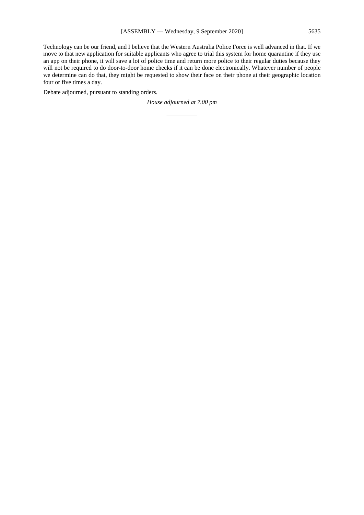Technology can be our friend, and I believe that the Western Australia Police Force is well advanced in that. If we move to that new application for suitable applicants who agree to trial this system for home quarantine if they use an app on their phone, it will save a lot of police time and return more police to their regular duties because they will not be required to do door-to-door home checks if it can be done electronically. Whatever number of people we determine can do that, they might be requested to show their face on their phone at their geographic location four or five times a day.

Debate adjourned, pursuant to standing orders.

*House adjourned at 7.00 pm \_\_\_\_\_\_\_\_\_\_*